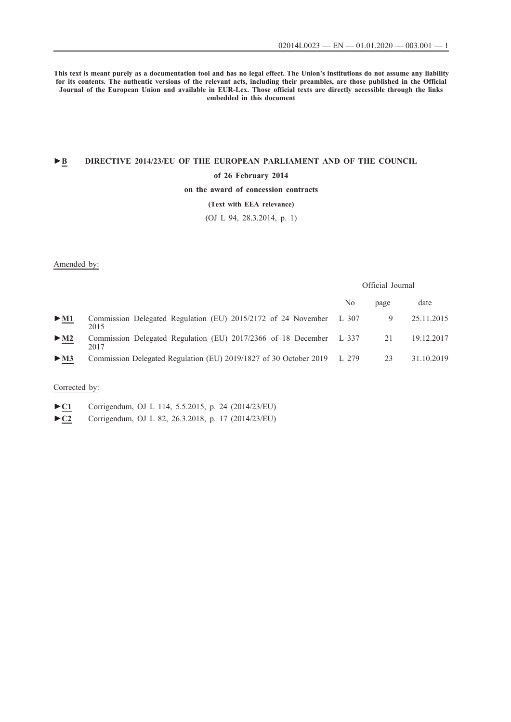**This text is meant purely as a documentation tool and has no legal effect. The Union's institutions do not assume any liability for its contents. The authentic versions of the relevant acts, including their preambles, are those published in the Official Journal of the European Union and available in EUR-Lex. Those official texts are directly accessible through the links embedded in this document**

## **►B [DIRECTIVE 2014/23/EU OF THE EUROPEAN PARLIAMENT AND OF THE COUNCIL](http://data.europa.eu/eli/dir/2014/23/oj/eng)**

## **[of 26 February 2014](http://data.europa.eu/eli/dir/2014/23/oj/eng)**

## **[on the award of concession contracts](http://data.europa.eu/eli/dir/2014/23/oj/eng)**

## **[\(Text with EEA relevance\)](http://data.europa.eu/eli/dir/2014/23/oj/eng)**

[\(OJ L 94, 28.3.2014, p. 1\)](http://data.europa.eu/eli/dir/2014/23/oj/eng)

### Amended by:

## Official Journal

|                                 |                                                                                | No | page | date       |
|---------------------------------|--------------------------------------------------------------------------------|----|------|------------|
| $\blacktriangleright$ <u>M1</u> | Commission Delegated Regulation (EU) 2015/2172 of 24 November L 307<br>2015    |    | 9    | 25.11.2015 |
| $\blacktriangleright$ <u>M2</u> | Commission Delegated Regulation (EU) 2017/2366 of 18 December L 337 21<br>2017 |    |      | 19.12.2017 |
| $>$ M3                          | Commission Delegated Regulation (EU) 2019/1827 of 30 October 2019 L 279        |    | 23   | 31.10.2019 |

## Corrected by:

- [►](http://data.europa.eu/eli/dir/2014/23/corrigendum/2015-05-05/oj/eng)**[C1](http://data.europa.eu/eli/dir/2014/23/corrigendum/2015-05-05/oj/eng)** [Corrigendum, OJ L 114, 5.5.2015, p. 24 \(2014/23/EU\)](http://data.europa.eu/eli/dir/2014/23/corrigendum/2015-05-05/oj/eng)
- [►](http://data.europa.eu/eli/dir/2014/23/corrigendum/2018-03-26/oj/eng)**[C2](http://data.europa.eu/eli/dir/2014/23/corrigendum/2018-03-26/oj/eng)** [Corrigendum, OJ L 82, 26.3.2018, p. 17 \(2014/23/EU\)](http://data.europa.eu/eli/dir/2014/23/corrigendum/2018-03-26/oj/eng)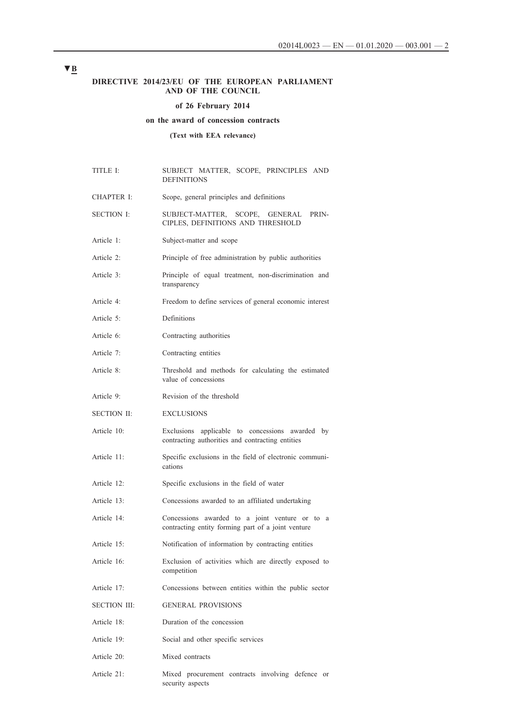## **DIRECTIVE 2014/23/EU OF THE EUROPEAN PARLIAMENT AND OF THE COUNCIL**

## **of 26 February 2014**

## **on the award of concession contracts**

**(Text with EEA relevance)**

| TITLE I:            | SUBJECT MATTER, SCOPE, PRINCIPLES AND<br><b>DEFINITIONS</b>                                          |  |  |  |  |
|---------------------|------------------------------------------------------------------------------------------------------|--|--|--|--|
| CHAPTER I:          | Scope, general principles and definitions                                                            |  |  |  |  |
| <b>SECTION I:</b>   | SUBJECT-MATTER, SCOPE, GENERAL PRIN-<br>CIPLES, DEFINITIONS AND THRESHOLD                            |  |  |  |  |
| Article 1:          | Subject-matter and scope                                                                             |  |  |  |  |
| Article 2:          | Principle of free administration by public authorities                                               |  |  |  |  |
| Article 3:          | Principle of equal treatment, non-discrimination and<br>transparency                                 |  |  |  |  |
| Article 4:          | Freedom to define services of general economic interest                                              |  |  |  |  |
| Article 5:          | Definitions                                                                                          |  |  |  |  |
| Article 6:          | Contracting authorities                                                                              |  |  |  |  |
| Article 7:          | Contracting entities                                                                                 |  |  |  |  |
| Article 8:          | Threshold and methods for calculating the estimated<br>value of concessions                          |  |  |  |  |
| Article 9:          | Revision of the threshold                                                                            |  |  |  |  |
| <b>SECTION II:</b>  | <b>EXCLUSIONS</b>                                                                                    |  |  |  |  |
| Article 10:         | Exclusions applicable to concessions awarded by<br>contracting authorities and contracting entities  |  |  |  |  |
| Article 11:         | Specific exclusions in the field of electronic communi-<br>cations                                   |  |  |  |  |
| Article 12:         | Specific exclusions in the field of water                                                            |  |  |  |  |
| Article 13:         | Concessions awarded to an affiliated undertaking                                                     |  |  |  |  |
| Article 14:         | Concessions awarded to a joint venture or to a<br>contracting entity forming part of a joint venture |  |  |  |  |
| Article 15:         | Notification of information by contracting entities                                                  |  |  |  |  |
| Article 16:         | Exclusion of activities which are directly exposed to<br>competition                                 |  |  |  |  |
| Article 17:         | Concessions between entities within the public sector                                                |  |  |  |  |
| <b>SECTION III:</b> | <b>GENERAL PROVISIONS</b>                                                                            |  |  |  |  |
| Article 18:         | Duration of the concession                                                                           |  |  |  |  |
| Article 19:         | Social and other specific services                                                                   |  |  |  |  |
| Article 20:         | Mixed contracts                                                                                      |  |  |  |  |
| Article 21:         | Mixed procurement contracts involving defence or<br>security aspects                                 |  |  |  |  |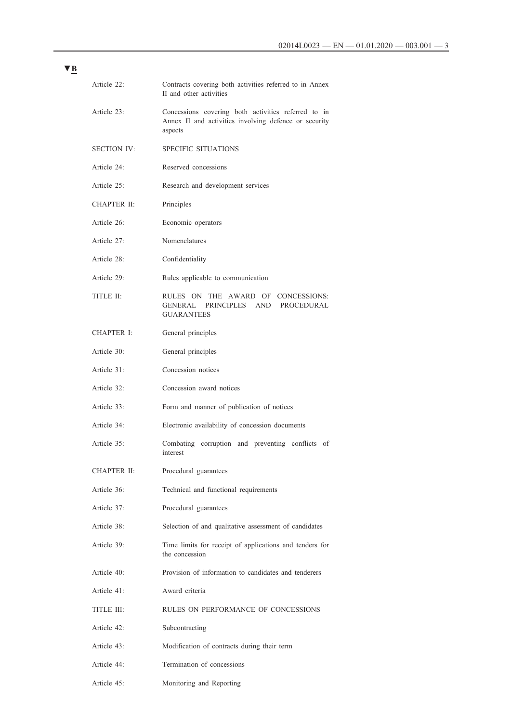| Article 22:        | Contracts covering both activities referred to in Annex<br>II and other activities                                      |
|--------------------|-------------------------------------------------------------------------------------------------------------------------|
| Article 23:        | Concessions covering both activities referred to in<br>Annex II and activities involving defence or security<br>aspects |
| <b>SECTION IV:</b> | <b>SPECIFIC SITUATIONS</b>                                                                                              |
| Article 24:        | Reserved concessions                                                                                                    |
| Article 25:        | Research and development services                                                                                       |
| CHAPTER II:        | Principles                                                                                                              |
| Article 26:        | Economic operators                                                                                                      |
| Article 27:        | Nomenclatures                                                                                                           |
| Article 28:        | Confidentiality                                                                                                         |
| Article 29:        | Rules applicable to communication                                                                                       |
| TITLE II:          | RULES ON THE AWARD OF CONCESSIONS:<br>GENERAL PRINCIPLES AND PROCEDURAL<br><b>GUARANTEES</b>                            |
| <b>CHAPTER I:</b>  | General principles                                                                                                      |
| Article 30:        | General principles                                                                                                      |
| Article 31:        | Concession notices                                                                                                      |
| Article 32:        | Concession award notices                                                                                                |
| Article 33:        | Form and manner of publication of notices                                                                               |
| Article 34:        | Electronic availability of concession documents                                                                         |
| Article 35:        | Combating corruption and preventing conflicts of<br>interest                                                            |
| CHAPTER II:        | Procedural guarantees                                                                                                   |
| Article 36:        | Technical and functional requirements                                                                                   |
| Article 37:        | Procedural guarantees                                                                                                   |
| Article 38:        | Selection of and qualitative assessment of candidates                                                                   |
| Article 39:        | Time limits for receipt of applications and tenders for<br>the concession                                               |
| Article 40:        | Provision of information to candidates and tenderers                                                                    |
| Article 41:        | Award criteria                                                                                                          |
| TITLE III:         | RULES ON PERFORMANCE OF CONCESSIONS                                                                                     |
| Article 42:        | Subcontracting                                                                                                          |
| Article 43:        | Modification of contracts during their term                                                                             |
| Article 44:        | Termination of concessions                                                                                              |
| Article 45:        | Monitoring and Reporting                                                                                                |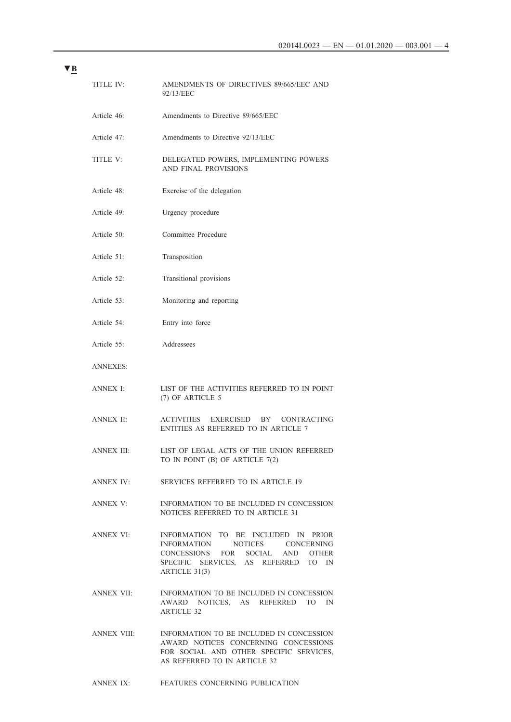| TITLE IV:         | AMENDMENTS OF DIRECTIVES 89/665/EEC AND<br>92/13/EEC                                                                                                               |
|-------------------|--------------------------------------------------------------------------------------------------------------------------------------------------------------------|
| Article 46:       | Amendments to Directive 89/665/EEC                                                                                                                                 |
| Article 47:       | Amendments to Directive 92/13/EEC                                                                                                                                  |
| TITLE V:          | DELEGATED POWERS, IMPLEMENTING POWERS<br><b>AND FINAL PROVISIONS</b>                                                                                               |
| Article 48:       | Exercise of the delegation                                                                                                                                         |
| Article 49:       | Urgency procedure                                                                                                                                                  |
| Article 50:       | Committee Procedure                                                                                                                                                |
| Article $51$ :    | Transposition                                                                                                                                                      |
| Article 52:       | Transitional provisions                                                                                                                                            |
| Article 53:       | Monitoring and reporting                                                                                                                                           |
| Article 54:       | Entry into force                                                                                                                                                   |
| Article 55:       | Addressees                                                                                                                                                         |
| ANNEXES:          |                                                                                                                                                                    |
| ANNEX I:          | LIST OF THE ACTIVITIES REFERRED TO IN POINT<br>(7) OF ARTICLE 5                                                                                                    |
| <b>ANNEX II:</b>  | ACTIVITIES<br>EXERCISED BY CONTRACTING<br>ENTITIES AS REFERRED TO IN ARTICLE 7                                                                                     |
| <b>ANNEX III:</b> | LIST OF LEGAL ACTS OF THE UNION REFERRED<br>TO IN POINT (B) OF ARTICLE 7(2)                                                                                        |
| <b>ANNEX IV:</b>  | <b>SERVICES REFERRED TO IN ARTICLE 19</b>                                                                                                                          |
| ANNEX V:          | INFORMATION TO BE INCLUDED IN CONCESSION<br>NOTICES REFERRED TO IN ARTICLE 31                                                                                      |
| ANNEX VI:         | INFORMATION TO BE INCLUDED IN PRIOR<br>INFORMATION NOTICES CONCERNING<br>CONCESSIONS FOR SOCIAL AND OTHER<br>SPECIFIC SERVICES, AS REFERRED TO IN<br>ARTICLE 31(3) |
| ANNEX VII:        | INFORMATION TO BE INCLUDED IN CONCESSION<br>AWARD NOTICES, AS REFERRED<br>TO IN<br><b>ARTICLE 32</b>                                                               |
| ANNEX VIII:       | INFORMATION TO BE INCLUDED IN CONCESSION<br>AWARD NOTICES CONCERNING CONCESSIONS<br>FOR SOCIAL AND OTHER SPECIFIC SERVICES,<br>AS REFERRED TO IN ARTICLE 32        |

[ANNEX IX:](#page-68-0) [FEATURES CONCERNING PUBLICATION](#page-68-0)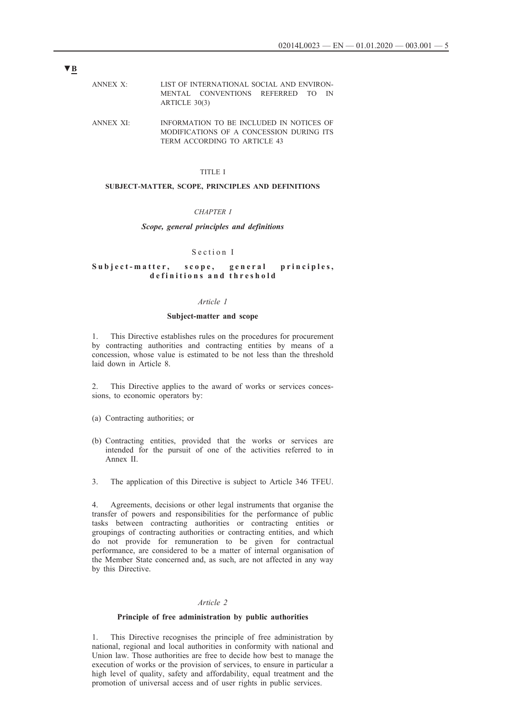- <span id="page-4-0"></span>[ANNEX X: LIST OF INTERNATIONAL SOCIAL AND ENVIRON](#page-69-0)-[MENTAL CONVENTIONS REFERRED TO IN](#page-69-0)  [ARTICLE 30\(3\)](#page-69-0)
- [ANNEX XI:](#page-70-0) [INFORMATION TO BE INCLUDED IN NOTICES OF](#page-70-0)  [MODIFICATIONS OF A CONCESSION DURING ITS](#page-70-0)  [TERM ACCORDING TO ARTICLE 43](#page-70-0)

## TITLE I

## **SUBJECT-MATTER, SCOPE, PRINCIPLES AND DEFINITIONS**

## *CHAPTER I*

## *Scope, general principles and definitions*

#### Section I

## Subject-matter, scope, general principles, d e finitions and threshold

#### *Article 1*

#### **Subject-matter and scope**

1. This Directive establishes rules on the procedures for procurement by contracting authorities and contracting entities by means of a concession, whose value is estimated to be not less than the threshold laid down in Article 8.

2. This Directive applies to the award of works or services concessions, to economic operators by:

- (a) Contracting authorities; or
- (b) Contracting entities, provided that the works or services are intended for the pursuit of one of the activities referred to in Annex II.
- 3. The application of this Directive is subject to Article 346 TFEU.

4. Agreements, decisions or other legal instruments that organise the transfer of powers and responsibilities for the performance of public tasks between contracting authorities or contracting entities or groupings of contracting authorities or contracting entities, and which do not provide for remuneration to be given for contractual performance, are considered to be a matter of internal organisation of the Member State concerned and, as such, are not affected in any way by this Directive.

## *Article 2*

### **Principle of free administration by public authorities**

1. This Directive recognises the principle of free administration by national, regional and local authorities in conformity with national and Union law. Those authorities are free to decide how best to manage the execution of works or the provision of services, to ensure in particular a high level of quality, safety and affordability, equal treatment and the promotion of universal access and of user rights in public services.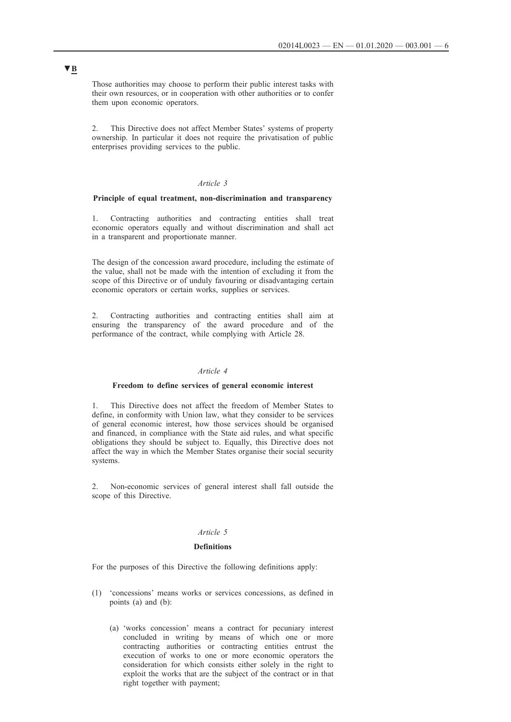<span id="page-5-0"></span>Those authorities may choose to perform their public interest tasks with their own resources, or in cooperation with other authorities or to confer them upon economic operators.

2. This Directive does not affect Member States' systems of property ownership. In particular it does not require the privatisation of public enterprises providing services to the public.

## *Article 3*

## **Principle of equal treatment, non-discrimination and transparency**

1. Contracting authorities and contracting entities shall treat economic operators equally and without discrimination and shall act in a transparent and proportionate manner.

The design of the concession award procedure, including the estimate of the value, shall not be made with the intention of excluding it from the scope of this Directive or of unduly favouring or disadvantaging certain economic operators or certain works, supplies or services.

2. Contracting authorities and contracting entities shall aim at ensuring the transparency of the award procedure and of the performance of the contract, while complying with Article 28.

## *Article 4*

### **Freedom to define services of general economic interest**

1. This Directive does not affect the freedom of Member States to define, in conformity with Union law, what they consider to be services of general economic interest, how those services should be organised and financed, in compliance with the State aid rules, and what specific obligations they should be subject to. Equally, this Directive does not affect the way in which the Member States organise their social security systems.

2. Non-economic services of general interest shall fall outside the scope of this Directive.

## *Article 5*

#### **Definitions**

For the purposes of this Directive the following definitions apply:

- (1) 'concessions' means works or services concessions, as defined in points (a) and (b):
	- (a) 'works concession' means a contract for pecuniary interest concluded in writing by means of which one or more contracting authorities or contracting entities entrust the execution of works to one or more economic operators the consideration for which consists either solely in the right to exploit the works that are the subject of the contract or in that right together with payment;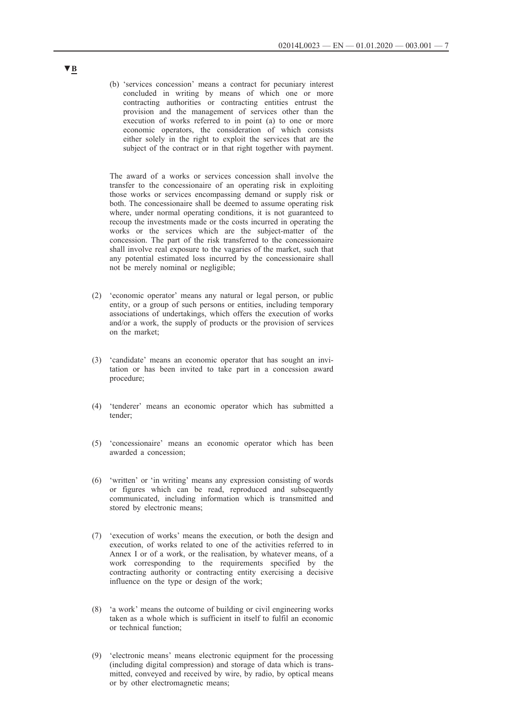(b) 'services concession' means a contract for pecuniary interest concluded in writing by means of which one or more contracting authorities or contracting entities entrust the provision and the management of services other than the execution of works referred to in point (a) to one or more economic operators, the consideration of which consists either solely in the right to exploit the services that are the subject of the contract or in that right together with payment.

The award of a works or services concession shall involve the transfer to the concessionaire of an operating risk in exploiting those works or services encompassing demand or supply risk or both. The concessionaire shall be deemed to assume operating risk where, under normal operating conditions, it is not guaranteed to recoup the investments made or the costs incurred in operating the works or the services which are the subject-matter of the concession. The part of the risk transferred to the concessionaire shall involve real exposure to the vagaries of the market, such that any potential estimated loss incurred by the concessionaire shall not be merely nominal or negligible;

- (2) 'economic operator' means any natural or legal person, or public entity, or a group of such persons or entities, including temporary associations of undertakings, which offers the execution of works and/or a work, the supply of products or the provision of services on the market;
- (3) 'candidate' means an economic operator that has sought an invitation or has been invited to take part in a concession award procedure;
- (4) 'tenderer' means an economic operator which has submitted a tender;
- (5) 'concessionaire' means an economic operator which has been awarded a concession;
- (6) 'written' or 'in writing' means any expression consisting of words or figures which can be read, reproduced and subsequently communicated, including information which is transmitted and stored by electronic means;
- (7) 'execution of works' means the execution, or both the design and execution, of works related to one of the activities referred to in Annex I or of a work, or the realisation, by whatever means, of a work corresponding to the requirements specified by the contracting authority or contracting entity exercising a decisive influence on the type or design of the work;
- (8) 'a work' means the outcome of building or civil engineering works taken as a whole which is sufficient in itself to fulfil an economic or technical function;
- (9) 'electronic means' means electronic equipment for the processing (including digital compression) and storage of data which is transmitted, conveyed and received by wire, by radio, by optical means or by other electromagnetic means;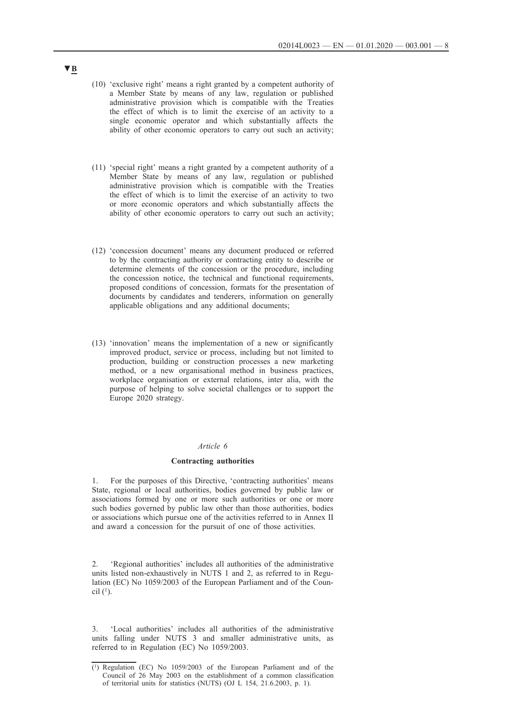- <span id="page-7-0"></span>(10) 'exclusive right' means a right granted by a competent authority of a Member State by means of any law, regulation or published administrative provision which is compatible with the Treaties the effect of which is to limit the exercise of an activity to a single economic operator and which substantially affects the ability of other economic operators to carry out such an activity;
- (11) 'special right' means a right granted by a competent authority of a Member State by means of any law, regulation or published administrative provision which is compatible with the Treaties the effect of which is to limit the exercise of an activity to two or more economic operators and which substantially affects the ability of other economic operators to carry out such an activity;
- (12) 'concession document' means any document produced or referred to by the contracting authority or contracting entity to describe or determine elements of the concession or the procedure, including the concession notice, the technical and functional requirements, proposed conditions of concession, formats for the presentation of documents by candidates and tenderers, information on generally applicable obligations and any additional documents;
- (13) 'innovation' means the implementation of a new or significantly improved product, service or process, including but not limited to production, building or construction processes a new marketing method, or a new organisational method in business practices, workplace organisation or external relations, inter alia, with the purpose of helping to solve societal challenges or to support the Europe 2020 strategy.

## *Article 6*

#### **Contracting authorities**

1. For the purposes of this Directive, 'contracting authorities' means State, regional or local authorities, bodies governed by public law or associations formed by one or more such authorities or one or more such bodies governed by public law other than those authorities, bodies or associations which pursue one of the activities referred to in Annex II and award a concession for the pursuit of one of those activities.

2. 'Regional authorities' includes all authorities of the administrative units listed non-exhaustively in NUTS 1 and 2, as referred to in Regulation (EC) No 1059/2003 of the European Parliament and of the Council  $(1)$ .

3. 'Local authorities' includes all authorities of the administrative units falling under NUTS 3 and smaller administrative units, as referred to in Regulation (EC) No 1059/2003.

<sup>(1)</sup> Regulation (EC) No 1059/2003 of the European Parliament and of the Council of 26 May 2003 on the establishment of a common classification of territorial units for statistics (NUTS) (OJ L 154, 21.6.2003, p. 1).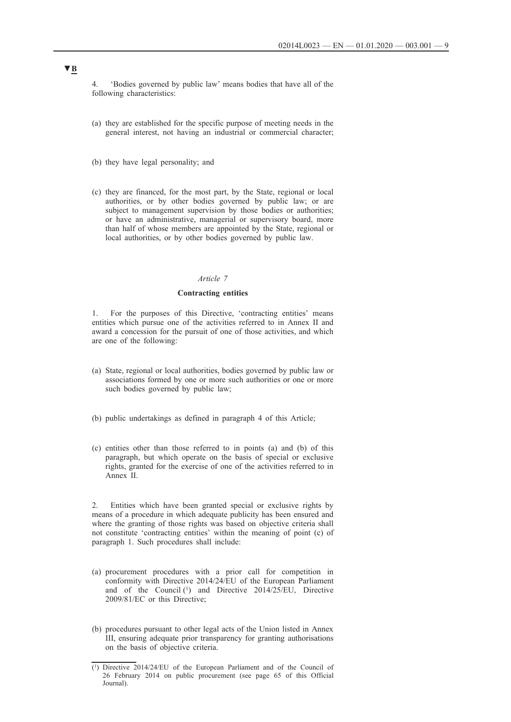<span id="page-8-0"></span>4. 'Bodies governed by public law' means bodies that have all of the following characteristics:

- (a) they are established for the specific purpose of meeting needs in the general interest, not having an industrial or commercial character;
- (b) they have legal personality; and
- (c) they are financed, for the most part, by the State, regional or local authorities, or by other bodies governed by public law; or are subject to management supervision by those bodies or authorities; or have an administrative, managerial or supervisory board, more than half of whose members are appointed by the State, regional or local authorities, or by other bodies governed by public law.

## *Article 7*

#### **Contracting entities**

1. For the purposes of this Directive, 'contracting entities' means entities which pursue one of the activities referred to in Annex II and award a concession for the pursuit of one of those activities, and which are one of the following:

- (a) State, regional or local authorities, bodies governed by public law or associations formed by one or more such authorities or one or more such bodies governed by public law;
- (b) public undertakings as defined in paragraph 4 of this Article;
- (c) entities other than those referred to in points (a) and (b) of this paragraph, but which operate on the basis of special or exclusive rights, granted for the exercise of one of the activities referred to in Annex II.

2. Entities which have been granted special or exclusive rights by means of a procedure in which adequate publicity has been ensured and where the granting of those rights was based on objective criteria shall not constitute 'contracting entities' within the meaning of point (c) of paragraph 1. Such procedures shall include:

- (a) procurement procedures with a prior call for competition in conformity with Directive 2014/24/EU of the European Parliament and of the Council (1) and Directive 2014/25/EU, Directive 2009/81/EC or this Directive;
- (b) procedures pursuant to other legal acts of the Union listed in Annex III, ensuring adequate prior transparency for granting authorisations on the basis of objective criteria.

<sup>(1)</sup> Directive 2014/24/EU of the European Parliament and of the Council of 26 February 2014 on public procurement (see page 65 of this Official Journal).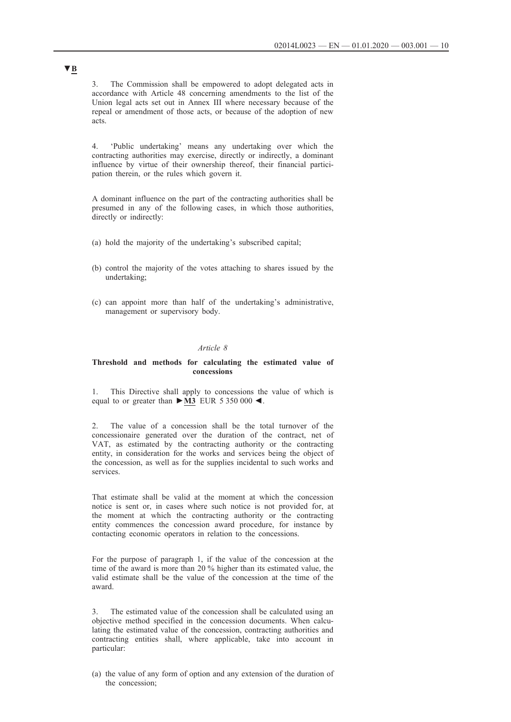<span id="page-9-0"></span>3. The Commission shall be empowered to adopt delegated acts in accordance with Article 48 concerning amendments to the list of the Union legal acts set out in Annex III where necessary because of the repeal or amendment of those acts, or because of the adoption of new acts.

4. 'Public undertaking' means any undertaking over which the contracting authorities may exercise, directly or indirectly, a dominant influence by virtue of their ownership thereof, their financial participation therein, or the rules which govern it.

A dominant influence on the part of the contracting authorities shall be presumed in any of the following cases, in which those authorities, directly or indirectly:

- (a) hold the majority of the undertaking's subscribed capital;
- (b) control the majority of the votes attaching to shares issued by the undertaking;
- (c) can appoint more than half of the undertaking's administrative, management or supervisory body.

### *Article 8*

### **Threshold and methods for calculating the estimated value of concessions**

1. This Directive shall apply to concessions the value of which is equal to or greater than **►M3** EUR 5 350 000 ◄.

2. The value of a concession shall be the total turnover of the concessionaire generated over the duration of the contract, net of VAT, as estimated by the contracting authority or the contracting entity, in consideration for the works and services being the object of the concession, as well as for the supplies incidental to such works and services.

That estimate shall be valid at the moment at which the concession notice is sent or, in cases where such notice is not provided for, at the moment at which the contracting authority or the contracting entity commences the concession award procedure, for instance by contacting economic operators in relation to the concessions.

For the purpose of paragraph 1, if the value of the concession at the time of the award is more than 20 % higher than its estimated value, the valid estimate shall be the value of the concession at the time of the award.

3. The estimated value of the concession shall be calculated using an objective method specified in the concession documents. When calculating the estimated value of the concession, contracting authorities and contracting entities shall, where applicable, take into account in particular:

(a) the value of any form of option and any extension of the duration of the concession;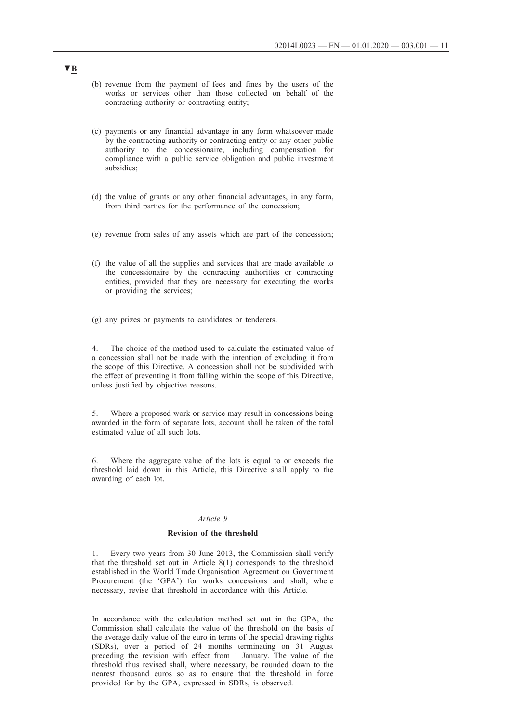- <span id="page-10-0"></span>(b) revenue from the payment of fees and fines by the users of the works or services other than those collected on behalf of the contracting authority or contracting entity;
- (c) payments or any financial advantage in any form whatsoever made by the contracting authority or contracting entity or any other public authority to the concessionaire, including compensation for compliance with a public service obligation and public investment subsidies;
- (d) the value of grants or any other financial advantages, in any form, from third parties for the performance of the concession;
- (e) revenue from sales of any assets which are part of the concession;
- (f) the value of all the supplies and services that are made available to the concessionaire by the contracting authorities or contracting entities, provided that they are necessary for executing the works or providing the services;
- (g) any prizes or payments to candidates or tenderers.

4. The choice of the method used to calculate the estimated value of a concession shall not be made with the intention of excluding it from the scope of this Directive. A concession shall not be subdivided with the effect of preventing it from falling within the scope of this Directive, unless justified by objective reasons.

5. Where a proposed work or service may result in concessions being awarded in the form of separate lots, account shall be taken of the total estimated value of all such lots.

6. Where the aggregate value of the lots is equal to or exceeds the threshold laid down in this Article, this Directive shall apply to the awarding of each lot.

## *Article 9*

### **Revision of the threshold**

1. Every two years from 30 June 2013, the Commission shall verify that the threshold set out in Article 8(1) corresponds to the threshold established in the World Trade Organisation Agreement on Government Procurement (the 'GPA') for works concessions and shall, where necessary, revise that threshold in accordance with this Article.

In accordance with the calculation method set out in the GPA, the Commission shall calculate the value of the threshold on the basis of the average daily value of the euro in terms of the special drawing rights (SDRs), over a period of 24 months terminating on 31 August preceding the revision with effect from 1 January. The value of the threshold thus revised shall, where necessary, be rounded down to the nearest thousand euros so as to ensure that the threshold in force provided for by the GPA, expressed in SDRs, is observed.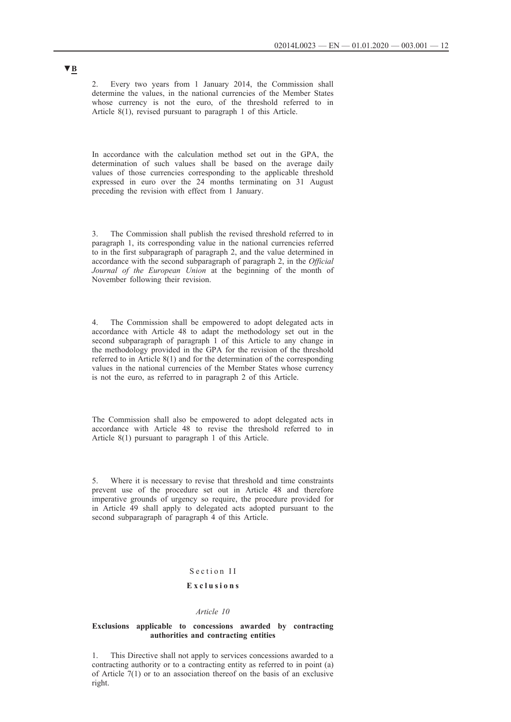<span id="page-11-0"></span>2. Every two years from 1 January 2014, the Commission shall determine the values, in the national currencies of the Member States whose currency is not the euro, of the threshold referred to in Article 8(1), revised pursuant to paragraph 1 of this Article.

In accordance with the calculation method set out in the GPA, the determination of such values shall be based on the average daily values of those currencies corresponding to the applicable threshold expressed in euro over the 24 months terminating on 31 August preceding the revision with effect from 1 January.

3. The Commission shall publish the revised threshold referred to in paragraph 1, its corresponding value in the national currencies referred to in the first subparagraph of paragraph 2, and the value determined in accordance with the second subparagraph of paragraph 2, in the *Official Journal of the European Union* at the beginning of the month of November following their revision.

4. The Commission shall be empowered to adopt delegated acts in accordance with Article 48 to adapt the methodology set out in the second subparagraph of paragraph 1 of this Article to any change in the methodology provided in the GPA for the revision of the threshold referred to in Article 8(1) and for the determination of the corresponding values in the national currencies of the Member States whose currency is not the euro, as referred to in paragraph 2 of this Article.

The Commission shall also be empowered to adopt delegated acts in accordance with Article 48 to revise the threshold referred to in Article 8(1) pursuant to paragraph 1 of this Article.

5. Where it is necessary to revise that threshold and time constraints prevent use of the procedure set out in Article 48 and therefore imperative grounds of urgency so require, the procedure provided for in Article 49 shall apply to delegated acts adopted pursuant to the second subparagraph of paragraph 4 of this Article.

# Section II

# **E x c l u s i o n s**

### *Article 10*

### **Exclusions applicable to concessions awarded by contracting authorities and contracting entities**

1. This Directive shall not apply to services concessions awarded to a contracting authority or to a contracting entity as referred to in point (a) of Article 7(1) or to an association thereof on the basis of an exclusive right.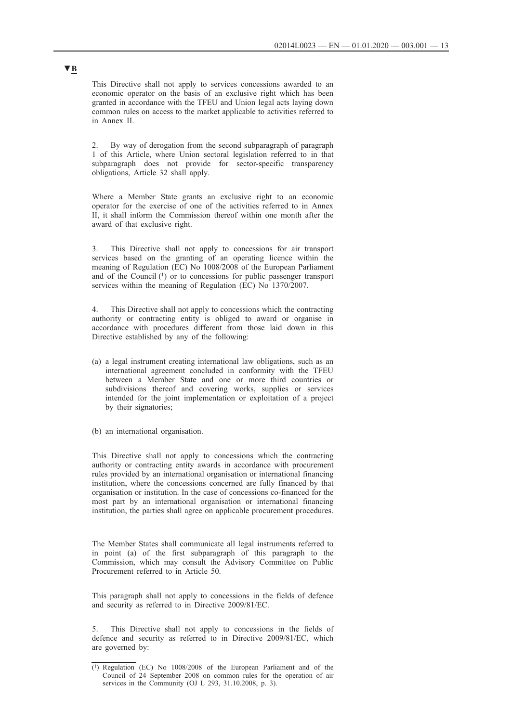This Directive shall not apply to services concessions awarded to an economic operator on the basis of an exclusive right which has been granted in accordance with the TFEU and Union legal acts laying down common rules on access to the market applicable to activities referred to in Annex II.

2. By way of derogation from the second subparagraph of paragraph 1 of this Article, where Union sectoral legislation referred to in that subparagraph does not provide for sector-specific transparency obligations, Article 32 shall apply.

Where a Member State grants an exclusive right to an economic operator for the exercise of one of the activities referred to in Annex II, it shall inform the Commission thereof within one month after the award of that exclusive right.

3. This Directive shall not apply to concessions for air transport services based on the granting of an operating licence within the meaning of Regulation (EC) No 1008/2008 of the European Parliament and of the Council (1) or to concessions for public passenger transport services within the meaning of Regulation (EC) No 1370/2007.

4. This Directive shall not apply to concessions which the contracting authority or contracting entity is obliged to award or organise in accordance with procedures different from those laid down in this Directive established by any of the following:

- (a) a legal instrument creating international law obligations, such as an international agreement concluded in conformity with the TFEU between a Member State and one or more third countries or subdivisions thereof and covering works, supplies or services intended for the joint implementation or exploitation of a project by their signatories;
- (b) an international organisation.

This Directive shall not apply to concessions which the contracting authority or contracting entity awards in accordance with procurement rules provided by an international organisation or international financing institution, where the concessions concerned are fully financed by that organisation or institution. In the case of concessions co-financed for the most part by an international organisation or international financing institution, the parties shall agree on applicable procurement procedures.

The Member States shall communicate all legal instruments referred to in point (a) of the first subparagraph of this paragraph to the Commission, which may consult the Advisory Committee on Public Procurement referred to in Article 50.

This paragraph shall not apply to concessions in the fields of defence and security as referred to in Directive 2009/81/EC.

5. This Directive shall not apply to concessions in the fields of defence and security as referred to in Directive 2009/81/EC, which are governed by:

<sup>(1)</sup> Regulation (EC) No 1008/2008 of the European Parliament and of the Council of 24 September 2008 on common rules for the operation of air services in the Community (OJ L 293, 31.10.2008, p. 3).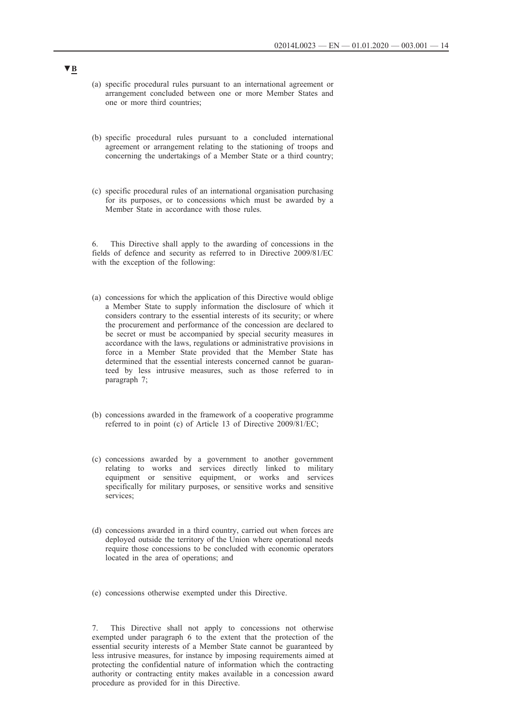- (a) specific procedural rules pursuant to an international agreement or arrangement concluded between one or more Member States and one or more third countries;
- (b) specific procedural rules pursuant to a concluded international agreement or arrangement relating to the stationing of troops and concerning the undertakings of a Member State or a third country;
- (c) specific procedural rules of an international organisation purchasing for its purposes, or to concessions which must be awarded by a Member State in accordance with those rules.

6. This Directive shall apply to the awarding of concessions in the fields of defence and security as referred to in Directive 2009/81/EC with the exception of the following:

- (a) concessions for which the application of this Directive would oblige a Member State to supply information the disclosure of which it considers contrary to the essential interests of its security; or where the procurement and performance of the concession are declared to be secret or must be accompanied by special security measures in accordance with the laws, regulations or administrative provisions in force in a Member State provided that the Member State has determined that the essential interests concerned cannot be guaranteed by less intrusive measures, such as those referred to in paragraph 7;
- (b) concessions awarded in the framework of a cooperative programme referred to in point (c) of Article 13 of Directive 2009/81/EC;
- (c) concessions awarded by a government to another government relating to works and services directly linked to military equipment or sensitive equipment, or works and services specifically for military purposes, or sensitive works and sensitive services:
- (d) concessions awarded in a third country, carried out when forces are deployed outside the territory of the Union where operational needs require those concessions to be concluded with economic operators located in the area of operations; and
- (e) concessions otherwise exempted under this Directive.

7. This Directive shall not apply to concessions not otherwise exempted under paragraph 6 to the extent that the protection of the essential security interests of a Member State cannot be guaranteed by less intrusive measures, for instance by imposing requirements aimed at protecting the confidential nature of information which the contracting authority or contracting entity makes available in a concession award procedure as provided for in this Directive.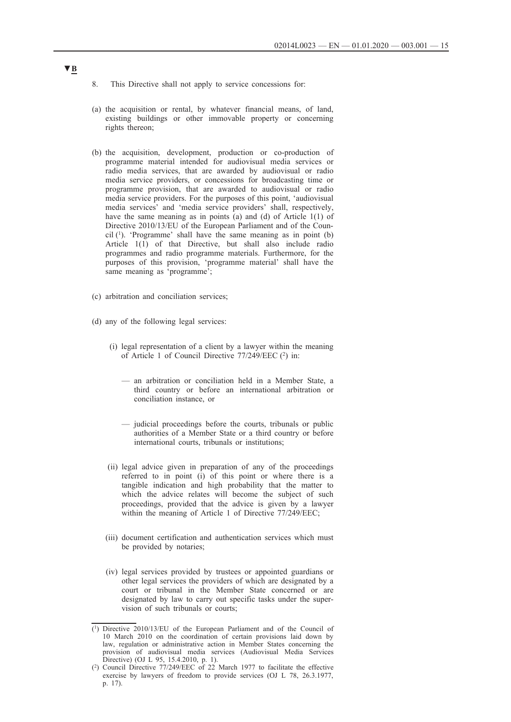- 8. This Directive shall not apply to service concessions for:
- (a) the acquisition or rental, by whatever financial means, of land, existing buildings or other immovable property or concerning rights thereon;
- (b) the acquisition, development, production or co-production of programme material intended for audiovisual media services or radio media services, that are awarded by audiovisual or radio media service providers, or concessions for broadcasting time or programme provision, that are awarded to audiovisual or radio media service providers. For the purposes of this point, 'audiovisual media services' and 'media service providers' shall, respectively, have the same meaning as in points (a) and (d) of Article 1(1) of Directive 2010/13/EU of the European Parliament and of the Council  $(1)$ . 'Programme' shall have the same meaning as in point  $(b)$ Article 1(1) of that Directive, but shall also include radio programmes and radio programme materials. Furthermore, for the purposes of this provision, 'programme material' shall have the same meaning as 'programme';
- (c) arbitration and conciliation services;
- (d) any of the following legal services:
	- (i) legal representation of a client by a lawyer within the meaning of Article 1 of Council Directive 77/249/EEC (2) in:
		- an arbitration or conciliation held in a Member State, a third country or before an international arbitration or conciliation instance, or
		- judicial proceedings before the courts, tribunals or public authorities of a Member State or a third country or before international courts, tribunals or institutions;
	- (ii) legal advice given in preparation of any of the proceedings referred to in point (i) of this point or where there is a tangible indication and high probability that the matter to which the advice relates will become the subject of such proceedings, provided that the advice is given by a lawyer within the meaning of Article 1 of Directive 77/249/EEC;
	- (iii) document certification and authentication services which must be provided by notaries;
	- (iv) legal services provided by trustees or appointed guardians or other legal services the providers of which are designated by a court or tribunal in the Member State concerned or are designated by law to carry out specific tasks under the supervision of such tribunals or courts;

<sup>(1)</sup> Directive 2010/13/EU of the European Parliament and of the Council of 10 March 2010 on the coordination of certain provisions laid down by law, regulation or administrative action in Member States concerning the provision of audiovisual media services (Audiovisual Media Services Directive) (OJ L 95, 15.4.2010, p. 1).

<sup>(2)</sup> Council Directive 77/249/EEC of 22 March 1977 to facilitate the effective exercise by lawyers of freedom to provide services (OJ L 78, 26.3.1977, p. 17).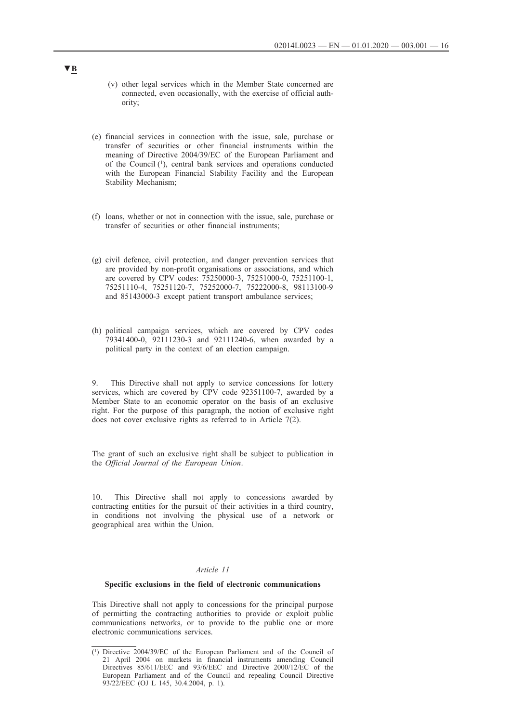- <span id="page-15-0"></span>(v) other legal services which in the Member State concerned are connected, even occasionally, with the exercise of official authority;
- (e) financial services in connection with the issue, sale, purchase or transfer of securities or other financial instruments within the meaning of Directive 2004/39/EC of the European Parliament and of the Council (1), central bank services and operations conducted with the European Financial Stability Facility and the European Stability Mechanism;
- (f) loans, whether or not in connection with the issue, sale, purchase or transfer of securities or other financial instruments;
- (g) civil defence, civil protection, and danger prevention services that are provided by non-profit organisations or associations, and which are covered by CPV codes: 75250000-3, 75251000-0, 75251100-1, 75251110-4, 75251120-7, 75252000-7, 75222000-8, 98113100-9 and 85143000-3 except patient transport ambulance services;
- (h) political campaign services, which are covered by CPV codes 79341400-0, 92111230-3 and 92111240-6, when awarded by a political party in the context of an election campaign.

9. This Directive shall not apply to service concessions for lottery services, which are covered by CPV code 92351100-7, awarded by a Member State to an economic operator on the basis of an exclusive right. For the purpose of this paragraph, the notion of exclusive right does not cover exclusive rights as referred to in Article 7(2).

The grant of such an exclusive right shall be subject to publication in the *Official Journal of the European Union*.

10. This Directive shall not apply to concessions awarded by contracting entities for the pursuit of their activities in a third country, in conditions not involving the physical use of a network or geographical area within the Union.

## *Article 11*

#### **Specific exclusions in the field of electronic communications**

This Directive shall not apply to concessions for the principal purpose of permitting the contracting authorities to provide or exploit public communications networks, or to provide to the public one or more electronic communications services.

<sup>(1)</sup> Directive 2004/39/EC of the European Parliament and of the Council of 21 April 2004 on markets in financial instruments amending Council Directives 85/611/EEC and 93/6/EEC and Directive 2000/12/EC of the European Parliament and of the Council and repealing Council Directive 93/22/EEC (OJ L 145, 30.4.2004, p. 1).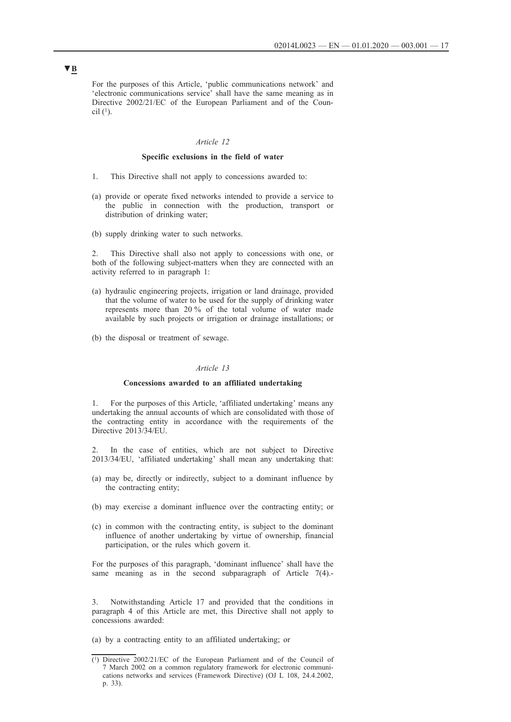<span id="page-16-0"></span>For the purposes of this Article, 'public communications network' and 'electronic communications service' shall have the same meaning as in Directive 2002/21/EC of the European Parliament and of the Council  $(1)$ .

## *Article 12*

## **Specific exclusions in the field of water**

- 1. This Directive shall not apply to concessions awarded to:
- (a) provide or operate fixed networks intended to provide a service to the public in connection with the production, transport or distribution of drinking water;
- (b) supply drinking water to such networks.

2. This Directive shall also not apply to concessions with one, or both of the following subject-matters when they are connected with an activity referred to in paragraph 1:

- (a) hydraulic engineering projects, irrigation or land drainage, provided that the volume of water to be used for the supply of drinking water represents more than 20 % of the total volume of water made available by such projects or irrigation or drainage installations; or
- (b) the disposal or treatment of sewage.

#### *Article 13*

#### **Concessions awarded to an affiliated undertaking**

1. For the purposes of this Article, 'affiliated undertaking' means any undertaking the annual accounts of which are consolidated with those of the contracting entity in accordance with the requirements of the Directive 2013/34/EU.

In the case of entities, which are not subject to Directive 2013/34/EU, 'affiliated undertaking' shall mean any undertaking that:

- (a) may be, directly or indirectly, subject to a dominant influence by the contracting entity;
- (b) may exercise a dominant influence over the contracting entity; or
- (c) in common with the contracting entity, is subject to the dominant influence of another undertaking by virtue of ownership, financial participation, or the rules which govern it.

For the purposes of this paragraph, 'dominant influence' shall have the same meaning as in the second subparagraph of Article 7(4).-

3. Notwithstanding Article 17 and provided that the conditions in paragraph 4 of this Article are met, this Directive shall not apply to concessions awarded:

(a) by a contracting entity to an affiliated undertaking; or

<sup>(1)</sup> Directive 2002/21/EC of the European Parliament and of the Council of 7 March 2002 on a common regulatory framework for electronic communications networks and services (Framework Directive) (OJ L 108, 24.4.2002, p. 33).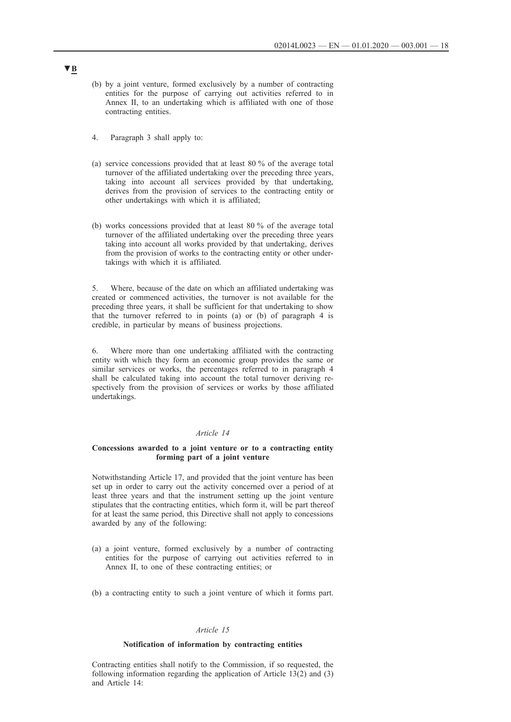- <span id="page-17-0"></span>(b) by a joint venture, formed exclusively by a number of contracting entities for the purpose of carrying out activities referred to in Annex II, to an undertaking which is affiliated with one of those contracting entities.
- 4. Paragraph 3 shall apply to:
- (a) service concessions provided that at least 80 % of the average total turnover of the affiliated undertaking over the preceding three years, taking into account all services provided by that undertaking, derives from the provision of services to the contracting entity or other undertakings with which it is affiliated;
- (b) works concessions provided that at least 80 % of the average total turnover of the affiliated undertaking over the preceding three years taking into account all works provided by that undertaking, derives from the provision of works to the contracting entity or other undertakings with which it is affiliated.

5. Where, because of the date on which an affiliated undertaking was created or commenced activities, the turnover is not available for the preceding three years, it shall be sufficient for that undertaking to show that the turnover referred to in points (a) or (b) of paragraph 4 is credible, in particular by means of business projections.

6. Where more than one undertaking affiliated with the contracting entity with which they form an economic group provides the same or similar services or works, the percentages referred to in paragraph 4 shall be calculated taking into account the total turnover deriving respectively from the provision of services or works by those affiliated undertakings.

### *Article 14*

## **Concessions awarded to a joint venture or to a contracting entity forming part of a joint venture**

Notwithstanding Article 17, and provided that the joint venture has been set up in order to carry out the activity concerned over a period of at least three years and that the instrument setting up the joint venture stipulates that the contracting entities, which form it, will be part thereof for at least the same period, this Directive shall not apply to concessions awarded by any of the following:

- (a) a joint venture, formed exclusively by a number of contracting entities for the purpose of carrying out activities referred to in Annex II, to one of these contracting entities; or
- (b) a contracting entity to such a joint venture of which it forms part.

#### *Article 15*

## **Notification of information by contracting entities**

Contracting entities shall notify to the Commission, if so requested, the following information regarding the application of Article 13(2) and (3) and Article 14: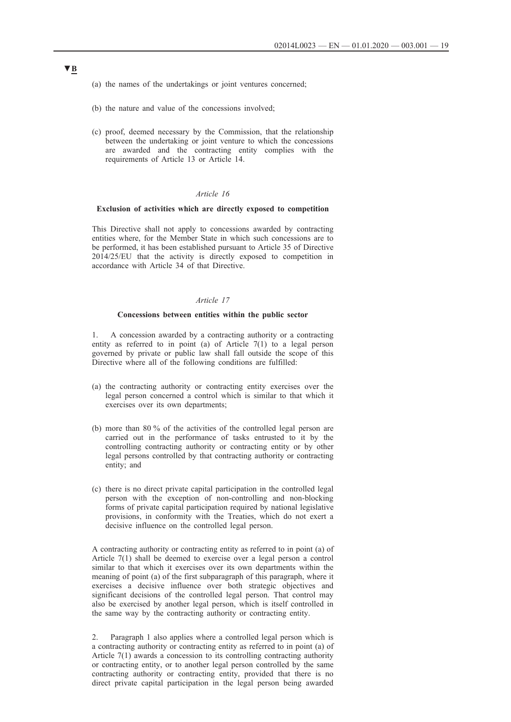- <span id="page-18-0"></span>(a) the names of the undertakings or joint ventures concerned;
- (b) the nature and value of the concessions involved;
- (c) proof, deemed necessary by the Commission, that the relationship between the undertaking or joint venture to which the concessions are awarded and the contracting entity complies with the requirements of Article 13 or Article 14.

## *Article 16*

#### **Exclusion of activities which are directly exposed to competition**

This Directive shall not apply to concessions awarded by contracting entities where, for the Member State in which such concessions are to be performed, it has been established pursuant to Article 35 of Directive 2014/25/EU that the activity is directly exposed to competition in accordance with Article 34 of that Directive.

### *Article 17*

### **Concessions between entities within the public sector**

1. A concession awarded by a contracting authority or a contracting entity as referred to in point (a) of Article  $7(1)$  to a legal person governed by private or public law shall fall outside the scope of this Directive where all of the following conditions are fulfilled:

- (a) the contracting authority or contracting entity exercises over the legal person concerned a control which is similar to that which it exercises over its own departments;
- (b) more than 80 % of the activities of the controlled legal person are carried out in the performance of tasks entrusted to it by the controlling contracting authority or contracting entity or by other legal persons controlled by that contracting authority or contracting entity; and
- (c) there is no direct private capital participation in the controlled legal person with the exception of non-controlling and non-blocking forms of private capital participation required by national legislative provisions, in conformity with the Treaties, which do not exert a decisive influence on the controlled legal person.

A contracting authority or contracting entity as referred to in point (a) of Article 7(1) shall be deemed to exercise over a legal person a control similar to that which it exercises over its own departments within the meaning of point (a) of the first subparagraph of this paragraph, where it exercises a decisive influence over both strategic objectives and significant decisions of the controlled legal person. That control may also be exercised by another legal person, which is itself controlled in the same way by the contracting authority or contracting entity.

2. Paragraph 1 also applies where a controlled legal person which is a contracting authority or contracting entity as referred to in point (a) of Article 7(1) awards a concession to its controlling contracting authority or contracting entity, or to another legal person controlled by the same contracting authority or contracting entity, provided that there is no direct private capital participation in the legal person being awarded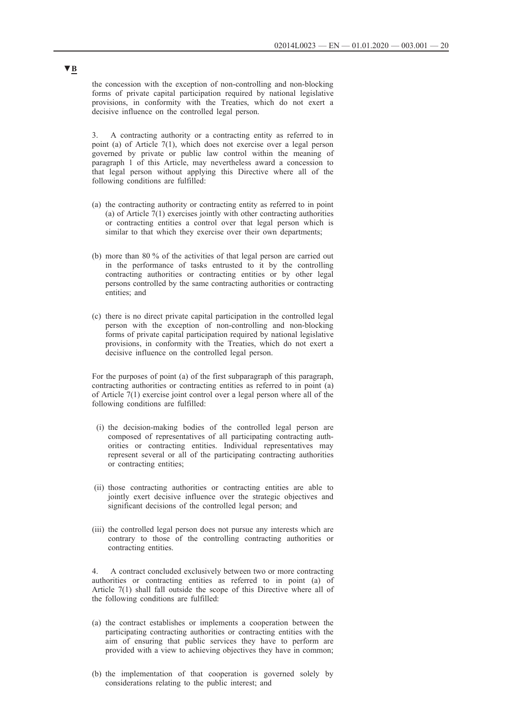the concession with the exception of non-controlling and non-blocking forms of private capital participation required by national legislative provisions, in conformity with the Treaties, which do not exert a decisive influence on the controlled legal person.

3. A contracting authority or a contracting entity as referred to in point (a) of Article 7(1), which does not exercise over a legal person governed by private or public law control within the meaning of paragraph 1 of this Article, may nevertheless award a concession to that legal person without applying this Directive where all of the following conditions are fulfilled:

- (a) the contracting authority or contracting entity as referred to in point (a) of Article 7(1) exercises jointly with other contracting authorities or contracting entities a control over that legal person which is similar to that which they exercise over their own departments;
- (b) more than 80 % of the activities of that legal person are carried out in the performance of tasks entrusted to it by the controlling contracting authorities or contracting entities or by other legal persons controlled by the same contracting authorities or contracting entities; and
- (c) there is no direct private capital participation in the controlled legal person with the exception of non-controlling and non-blocking forms of private capital participation required by national legislative provisions, in conformity with the Treaties, which do not exert a decisive influence on the controlled legal person.

For the purposes of point (a) of the first subparagraph of this paragraph, contracting authorities or contracting entities as referred to in point (a) of Article 7(1) exercise joint control over a legal person where all of the following conditions are fulfilled:

- (i) the decision-making bodies of the controlled legal person are composed of representatives of all participating contracting authorities or contracting entities. Individual representatives may represent several or all of the participating contracting authorities or contracting entities;
- (ii) those contracting authorities or contracting entities are able to jointly exert decisive influence over the strategic objectives and significant decisions of the controlled legal person; and
- (iii) the controlled legal person does not pursue any interests which are contrary to those of the controlling contracting authorities or contracting entities.

4. A contract concluded exclusively between two or more contracting authorities or contracting entities as referred to in point (a) of Article 7(1) shall fall outside the scope of this Directive where all of the following conditions are fulfilled:

- (a) the contract establishes or implements a cooperation between the participating contracting authorities or contracting entities with the aim of ensuring that public services they have to perform are provided with a view to achieving objectives they have in common;
- (b) the implementation of that cooperation is governed solely by considerations relating to the public interest; and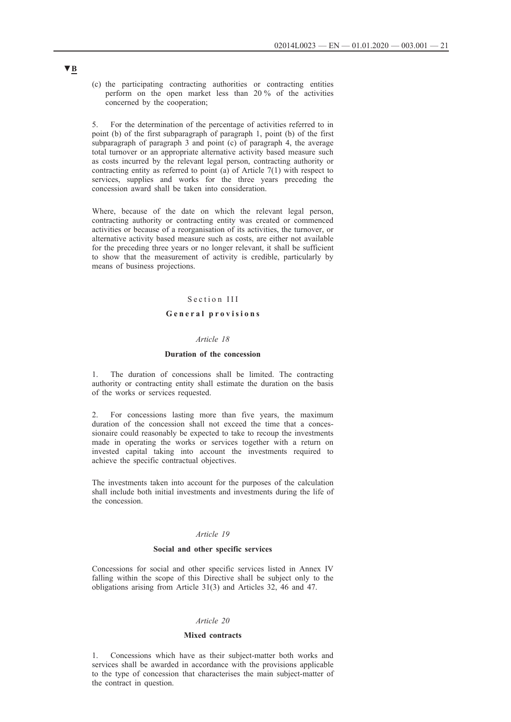<span id="page-20-0"></span>(c) the participating contracting authorities or contracting entities perform on the open market less than 20 % of the activities concerned by the cooperation;

5. For the determination of the percentage of activities referred to in point (b) of the first subparagraph of paragraph 1, point (b) of the first subparagraph of paragraph 3 and point (c) of paragraph 4, the average total turnover or an appropriate alternative activity based measure such as costs incurred by the relevant legal person, contracting authority or contracting entity as referred to point (a) of Article 7(1) with respect to services, supplies and works for the three years preceding the concession award shall be taken into consideration.

Where, because of the date on which the relevant legal person, contracting authority or contracting entity was created or commenced activities or because of a reorganisation of its activities, the turnover, or alternative activity based measure such as costs, are either not available for the preceding three years or no longer relevant, it shall be sufficient to show that the measurement of activity is credible, particularly by means of business projections.

## Section III

## General provisions

## *Article 18*

## **Duration of the concession**

1. The duration of concessions shall be limited. The contracting authority or contracting entity shall estimate the duration on the basis of the works or services requested.

2. For concessions lasting more than five years, the maximum duration of the concession shall not exceed the time that a concessionaire could reasonably be expected to take to recoup the investments made in operating the works or services together with a return on invested capital taking into account the investments required to achieve the specific contractual objectives.

The investments taken into account for the purposes of the calculation shall include both initial investments and investments during the life of the concession.

### *Article 19*

### **Social and other specific services**

Concessions for social and other specific services listed in Annex IV falling within the scope of this Directive shall be subject only to the obligations arising from Article 31(3) and Articles 32, 46 and 47.

### *Article 20*

#### **Mixed contracts**

1. Concessions which have as their subject-matter both works and services shall be awarded in accordance with the provisions applicable to the type of concession that characterises the main subject-matter of the contract in question.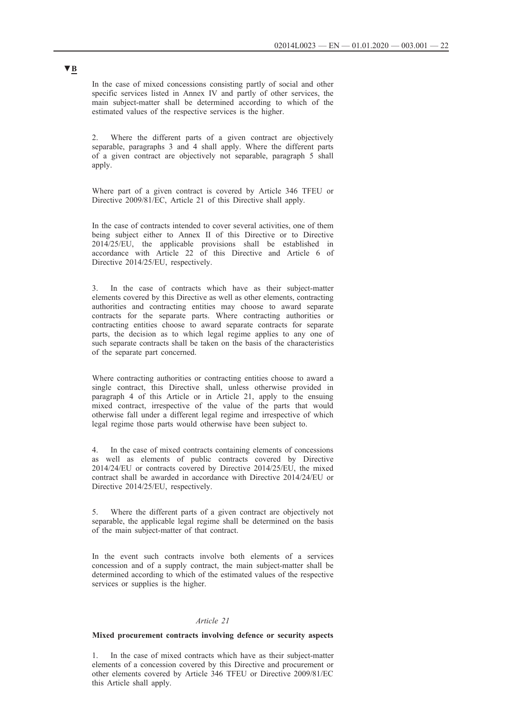<span id="page-21-0"></span>In the case of mixed concessions consisting partly of social and other specific services listed in Annex IV and partly of other services, the main subject-matter shall be determined according to which of the estimated values of the respective services is the higher.

2. Where the different parts of a given contract are objectively separable, paragraphs 3 and 4 shall apply. Where the different parts of a given contract are objectively not separable, paragraph 5 shall apply.

Where part of a given contract is covered by Article 346 TFEU or Directive 2009/81/EC, Article 21 of this Directive shall apply.

In the case of contracts intended to cover several activities, one of them being subject either to Annex II of this Directive or to Directive 2014/25/EU, the applicable provisions shall be established in accordance with Article 22 of this Directive and Article 6 of Directive 2014/25/EU, respectively.

3. In the case of contracts which have as their subject-matter elements covered by this Directive as well as other elements, contracting authorities and contracting entities may choose to award separate contracts for the separate parts. Where contracting authorities or contracting entities choose to award separate contracts for separate parts, the decision as to which legal regime applies to any one of such separate contracts shall be taken on the basis of the characteristics of the separate part concerned.

Where contracting authorities or contracting entities choose to award a single contract, this Directive shall, unless otherwise provided in paragraph 4 of this Article or in Article 21, apply to the ensuing mixed contract, irrespective of the value of the parts that would otherwise fall under a different legal regime and irrespective of which legal regime those parts would otherwise have been subject to.

4. In the case of mixed contracts containing elements of concessions as well as elements of public contracts covered by Directive 2014/24/EU or contracts covered by Directive 2014/25/EU, the mixed contract shall be awarded in accordance with Directive 2014/24/EU or Directive 2014/25/EU, respectively.

5. Where the different parts of a given contract are objectively not separable, the applicable legal regime shall be determined on the basis of the main subject-matter of that contract.

In the event such contracts involve both elements of a services concession and of a supply contract, the main subject-matter shall be determined according to which of the estimated values of the respective services or supplies is the higher.

### *Article 21*

## **Mixed procurement contracts involving defence or security aspects**

1. In the case of mixed contracts which have as their subject-matter elements of a concession covered by this Directive and procurement or other elements covered by Article 346 TFEU or Directive 2009/81/EC this Article shall apply.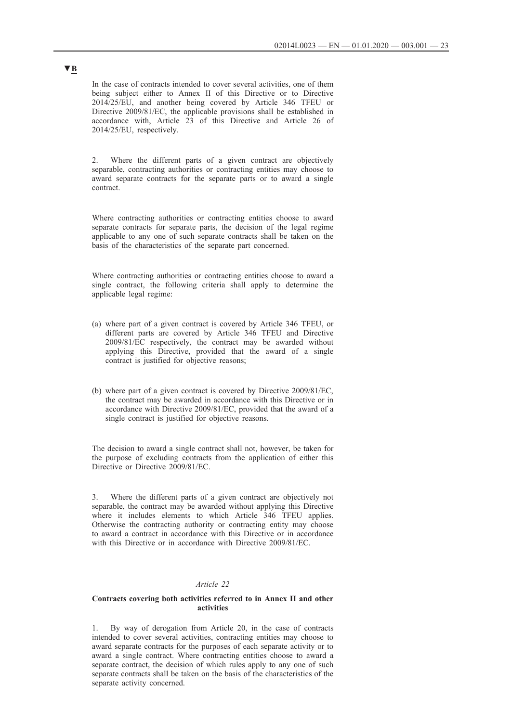<span id="page-22-0"></span>In the case of contracts intended to cover several activities, one of them being subject either to Annex II of this Directive or to Directive 2014/25/EU, and another being covered by Article 346 TFEU or Directive 2009/81/EC, the applicable provisions shall be established in accordance with, Article 23 of this Directive and Article 26 of 2014/25/EU, respectively.

2. Where the different parts of a given contract are objectively separable, contracting authorities or contracting entities may choose to award separate contracts for the separate parts or to award a single contract.

Where contracting authorities or contracting entities choose to award separate contracts for separate parts, the decision of the legal regime applicable to any one of such separate contracts shall be taken on the basis of the characteristics of the separate part concerned.

Where contracting authorities or contracting entities choose to award a single contract, the following criteria shall apply to determine the applicable legal regime:

- (a) where part of a given contract is covered by Article 346 TFEU, or different parts are covered by Article 346 TFEU and Directive 2009/81/EC respectively, the contract may be awarded without applying this Directive, provided that the award of a single contract is justified for objective reasons;
- (b) where part of a given contract is covered by Directive 2009/81/EC, the contract may be awarded in accordance with this Directive or in accordance with Directive 2009/81/EC, provided that the award of a single contract is justified for objective reasons.

The decision to award a single contract shall not, however, be taken for the purpose of excluding contracts from the application of either this Directive or Directive 2009/81/EC.

3. Where the different parts of a given contract are objectively not separable, the contract may be awarded without applying this Directive where it includes elements to which Article 346 TFEU applies. Otherwise the contracting authority or contracting entity may choose to award a contract in accordance with this Directive or in accordance with this Directive or in accordance with Directive 2009/81/EC.

#### *Article 22*

### **Contracts covering both activities referred to in Annex II and other activities**

1. By way of derogation from Article 20, in the case of contracts intended to cover several activities, contracting entities may choose to award separate contracts for the purposes of each separate activity or to award a single contract. Where contracting entities choose to award a separate contract, the decision of which rules apply to any one of such separate contracts shall be taken on the basis of the characteristics of the separate activity concerned.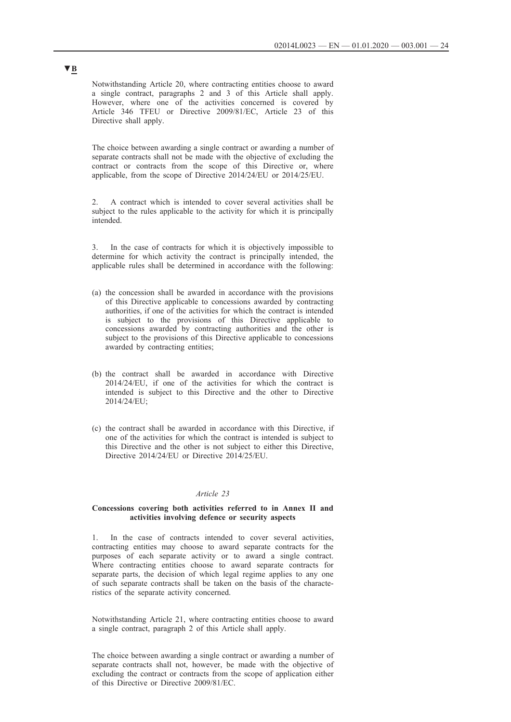<span id="page-23-0"></span>Notwithstanding Article 20, where contracting entities choose to award a single contract, paragraphs 2 and 3 of this Article shall apply. However, where one of the activities concerned is covered by Article 346 TFEU or Directive 2009/81/EC, Article 23 of this Directive shall apply.

The choice between awarding a single contract or awarding a number of separate contracts shall not be made with the objective of excluding the contract or contracts from the scope of this Directive or, where applicable, from the scope of Directive 2014/24/EU or 2014/25/EU.

2. A contract which is intended to cover several activities shall be subject to the rules applicable to the activity for which it is principally intended.

3. In the case of contracts for which it is objectively impossible to determine for which activity the contract is principally intended, the applicable rules shall be determined in accordance with the following:

- (a) the concession shall be awarded in accordance with the provisions of this Directive applicable to concessions awarded by contracting authorities, if one of the activities for which the contract is intended is subject to the provisions of this Directive applicable to concessions awarded by contracting authorities and the other is subject to the provisions of this Directive applicable to concessions awarded by contracting entities;
- (b) the contract shall be awarded in accordance with Directive 2014/24/EU, if one of the activities for which the contract is intended is subject to this Directive and the other to Directive 2014/24/EU;
- (c) the contract shall be awarded in accordance with this Directive, if one of the activities for which the contract is intended is subject to this Directive and the other is not subject to either this Directive, Directive 2014/24/EU or Directive 2014/25/EU.

## *Article 23*

### **Concessions covering both activities referred to in Annex II and activities involving defence or security aspects**

1. In the case of contracts intended to cover several activities, contracting entities may choose to award separate contracts for the purposes of each separate activity or to award a single contract. Where contracting entities choose to award separate contracts for separate parts, the decision of which legal regime applies to any one of such separate contracts shall be taken on the basis of the characteristics of the separate activity concerned.

Notwithstanding Article 21, where contracting entities choose to award a single contract, paragraph 2 of this Article shall apply.

The choice between awarding a single contract or awarding a number of separate contracts shall not, however, be made with the objective of excluding the contract or contracts from the scope of application either of this Directive or Directive 2009/81/EC.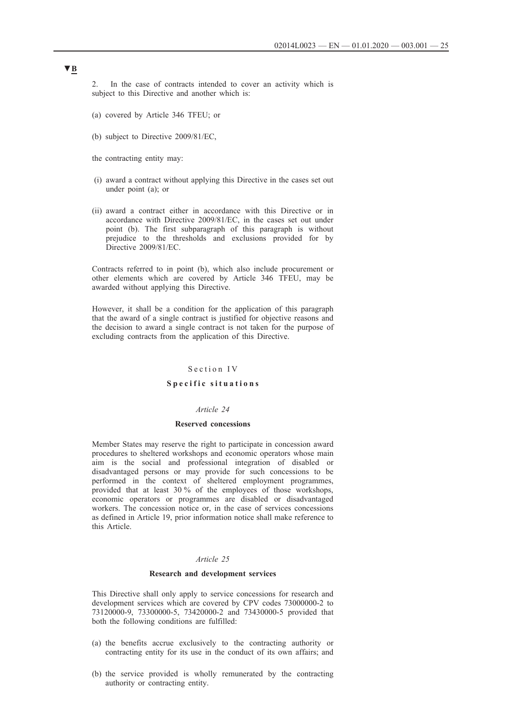<span id="page-24-0"></span>2. In the case of contracts intended to cover an activity which is subject to this Directive and another which is:

- (a) covered by Article 346 TFEU; or
- (b) subject to Directive 2009/81/EC,
- the contracting entity may:
- (i) award a contract without applying this Directive in the cases set out under point (a); or
- (ii) award a contract either in accordance with this Directive or in accordance with Directive 2009/81/EC, in the cases set out under point (b). The first subparagraph of this paragraph is without prejudice to the thresholds and exclusions provided for by Directive 2009/81/EC.

Contracts referred to in point (b), which also include procurement or other elements which are covered by Article 346 TFEU, may be awarded without applying this Directive.

However, it shall be a condition for the application of this paragraph that the award of a single contract is justified for objective reasons and the decision to award a single contract is not taken for the purpose of excluding contracts from the application of this Directive.

#### Section IV

## Specific situations

## *Article 24*

### **Reserved concessions**

Member States may reserve the right to participate in concession award procedures to sheltered workshops and economic operators whose main aim is the social and professional integration of disabled or disadvantaged persons or may provide for such concessions to be performed in the context of sheltered employment programmes, provided that at least 30 % of the employees of those workshops, economic operators or programmes are disabled or disadvantaged workers. The concession notice or, in the case of services concessions as defined in Article 19, prior information notice shall make reference to this Article.

## *Article 25*

#### **Research and development services**

This Directive shall only apply to service concessions for research and development services which are covered by CPV codes 73000000-2 to 73120000-9, 73300000-5, 73420000-2 and 73430000-5 provided that both the following conditions are fulfilled:

- (a) the benefits accrue exclusively to the contracting authority or contracting entity for its use in the conduct of its own affairs; and
- (b) the service provided is wholly remunerated by the contracting authority or contracting entity.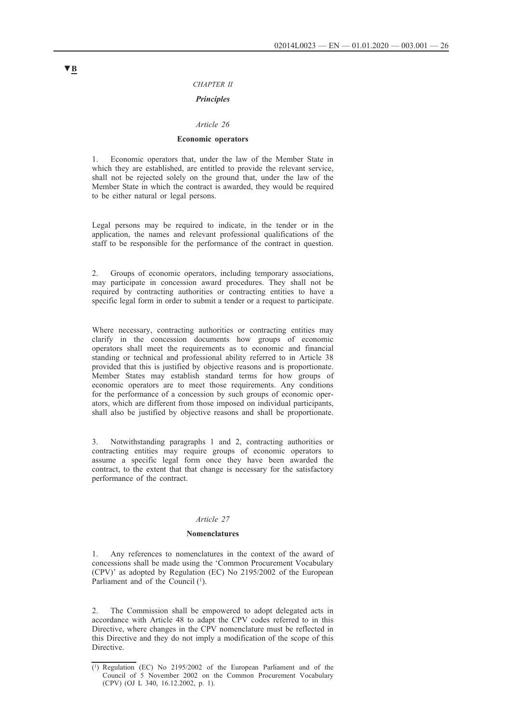### *CHAPTER II*

## *Principles*

#### *Article 26*

### **Economic operators**

<span id="page-25-0"></span>1. Economic operators that, under the law of the Member State in which they are established, are entitled to provide the relevant service, shall not be rejected solely on the ground that, under the law of the Member State in which the contract is awarded, they would be required to be either natural or legal persons.

Legal persons may be required to indicate, in the tender or in the application, the names and relevant professional qualifications of the staff to be responsible for the performance of the contract in question.

2. Groups of economic operators, including temporary associations, may participate in concession award procedures. They shall not be required by contracting authorities or contracting entities to have a specific legal form in order to submit a tender or a request to participate.

Where necessary, contracting authorities or contracting entities may clarify in the concession documents how groups of economic operators shall meet the requirements as to economic and financial standing or technical and professional ability referred to in Article 38 provided that this is justified by objective reasons and is proportionate. Member States may establish standard terms for how groups of economic operators are to meet those requirements. Any conditions for the performance of a concession by such groups of economic operators, which are different from those imposed on individual participants, shall also be justified by objective reasons and shall be proportionate.

3. Notwithstanding paragraphs 1 and 2, contracting authorities or contracting entities may require groups of economic operators to assume a specific legal form once they have been awarded the contract, to the extent that that change is necessary for the satisfactory performance of the contract.

#### *Article 27*

#### **Nomenclatures**

1. Any references to nomenclatures in the context of the award of concessions shall be made using the 'Common Procurement Vocabulary (CPV)' as adopted by Regulation (EC) No 2195/2002 of the European Parliament and of the Council (1).

2. The Commission shall be empowered to adopt delegated acts in accordance with Article 48 to adapt the CPV codes referred to in this Directive, where changes in the CPV nomenclature must be reflected in this Directive and they do not imply a modification of the scope of this Directive.

<sup>(1)</sup> Regulation (EC) No 2195/2002 of the European Parliament and of the Council of 5 November 2002 on the Common Procurement Vocabulary (CPV) (OJ L 340, 16.12.2002, p. 1).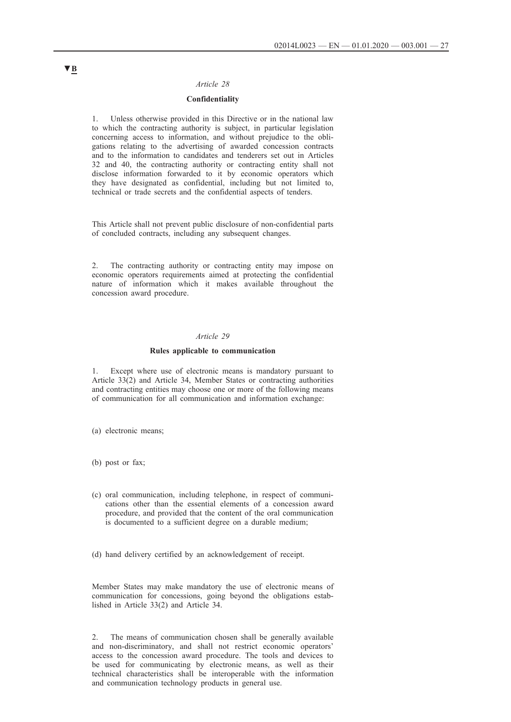### *Article 28*

## **Confidentiality**

<span id="page-26-0"></span>1. Unless otherwise provided in this Directive or in the national law to which the contracting authority is subject, in particular legislation concerning access to information, and without prejudice to the obligations relating to the advertising of awarded concession contracts and to the information to candidates and tenderers set out in Articles 32 and 40, the contracting authority or contracting entity shall not disclose information forwarded to it by economic operators which they have designated as confidential, including but not limited to, technical or trade secrets and the confidential aspects of tenders.

This Article shall not prevent public disclosure of non-confidential parts of concluded contracts, including any subsequent changes.

2. The contracting authority or contracting entity may impose on economic operators requirements aimed at protecting the confidential nature of information which it makes available throughout the concession award procedure.

## *Article 29*

#### **Rules applicable to communication**

1. Except where use of electronic means is mandatory pursuant to Article 33(2) and Article 34, Member States or contracting authorities and contracting entities may choose one or more of the following means of communication for all communication and information exchange:

(a) electronic means;

(b) post or fax;

- (c) oral communication, including telephone, in respect of communications other than the essential elements of a concession award procedure, and provided that the content of the oral communication is documented to a sufficient degree on a durable medium;
- (d) hand delivery certified by an acknowledgement of receipt.

Member States may make mandatory the use of electronic means of communication for concessions, going beyond the obligations established in Article 33(2) and Article 34.

2. The means of communication chosen shall be generally available and non-discriminatory, and shall not restrict economic operators' access to the concession award procedure. The tools and devices to be used for communicating by electronic means, as well as their technical characteristics shall be interoperable with the information and communication technology products in general use.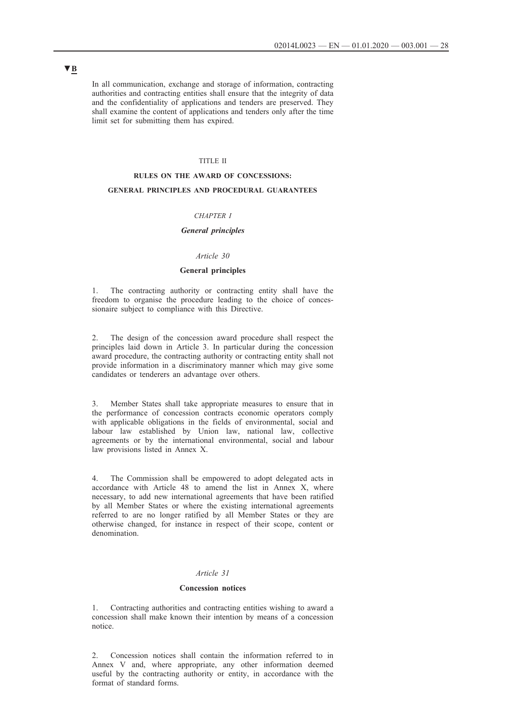<span id="page-27-0"></span>In all communication, exchange and storage of information, contracting authorities and contracting entities shall ensure that the integrity of data and the confidentiality of applications and tenders are preserved. They shall examine the content of applications and tenders only after the time limit set for submitting them has expired.

#### TITLE II

#### **RULES ON THE AWARD OF CONCESSIONS:**

## **GENERAL PRINCIPLES AND PROCEDURAL GUARANTEES**

### *CHAPTER I*

## *General principles*

### *Article 30*

## **General principles**

1. The contracting authority or contracting entity shall have the freedom to organise the procedure leading to the choice of concessionaire subject to compliance with this Directive.

2. The design of the concession award procedure shall respect the principles laid down in Article 3. In particular during the concession award procedure, the contracting authority or contracting entity shall not provide information in a discriminatory manner which may give some candidates or tenderers an advantage over others.

Member States shall take appropriate measures to ensure that in the performance of concession contracts economic operators comply with applicable obligations in the fields of environmental, social and labour law established by Union law, national law, collective agreements or by the international environmental, social and labour law provisions listed in Annex X.

4. The Commission shall be empowered to adopt delegated acts in accordance with Article 48 to amend the list in Annex X, where necessary, to add new international agreements that have been ratified by all Member States or where the existing international agreements referred to are no longer ratified by all Member States or they are otherwise changed, for instance in respect of their scope, content or denomination.

## *Article 31*

### **Concession notices**

1. Contracting authorities and contracting entities wishing to award a concession shall make known their intention by means of a concession notice.

2. Concession notices shall contain the information referred to in Annex V and, where appropriate, any other information deemed useful by the contracting authority or entity, in accordance with the format of standard forms.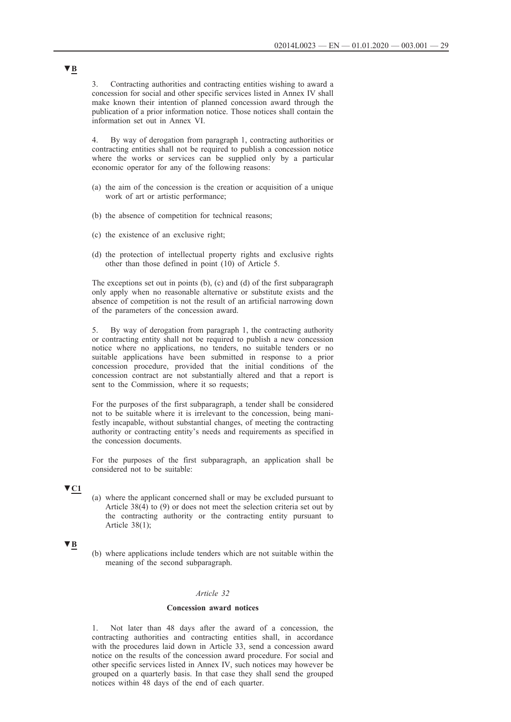<span id="page-28-0"></span>3. Contracting authorities and contracting entities wishing to award a concession for social and other specific services listed in Annex IV shall make known their intention of planned concession award through the publication of a prior information notice. Those notices shall contain the information set out in Annex VI.

4. By way of derogation from paragraph 1, contracting authorities or contracting entities shall not be required to publish a concession notice where the works or services can be supplied only by a particular economic operator for any of the following reasons:

- (a) the aim of the concession is the creation or acquisition of a unique work of art or artistic performance;
- (b) the absence of competition for technical reasons;
- (c) the existence of an exclusive right;
- (d) the protection of intellectual property rights and exclusive rights other than those defined in point (10) of Article 5.

The exceptions set out in points (b), (c) and (d) of the first subparagraph only apply when no reasonable alternative or substitute exists and the absence of competition is not the result of an artificial narrowing down of the parameters of the concession award.

5. By way of derogation from paragraph 1, the contracting authority or contracting entity shall not be required to publish a new concession notice where no applications, no tenders, no suitable tenders or no suitable applications have been submitted in response to a prior concession procedure, provided that the initial conditions of the concession contract are not substantially altered and that a report is sent to the Commission, where it so requests;

For the purposes of the first subparagraph, a tender shall be considered not to be suitable where it is irrelevant to the concession, being manifestly incapable, without substantial changes, of meeting the contracting authority or contracting entity's needs and requirements as specified in the concession documents.

For the purposes of the first subparagraph, an application shall be considered not to be suitable:

## **▼C1**

(a) where the applicant concerned shall or may be excluded pursuant to Article 38(4) to (9) or does not meet the selection criteria set out by the contracting authority or the contracting entity pursuant to Article 38(1);

## **▼B**

(b) where applications include tenders which are not suitable within the meaning of the second subparagraph.

## *Article 32*

#### **Concession award notices**

Not later than 48 days after the award of a concession, the contracting authorities and contracting entities shall, in accordance with the procedures laid down in Article 33, send a concession award notice on the results of the concession award procedure. For social and other specific services listed in Annex IV, such notices may however be grouped on a quarterly basis. In that case they shall send the grouped notices within 48 days of the end of each quarter.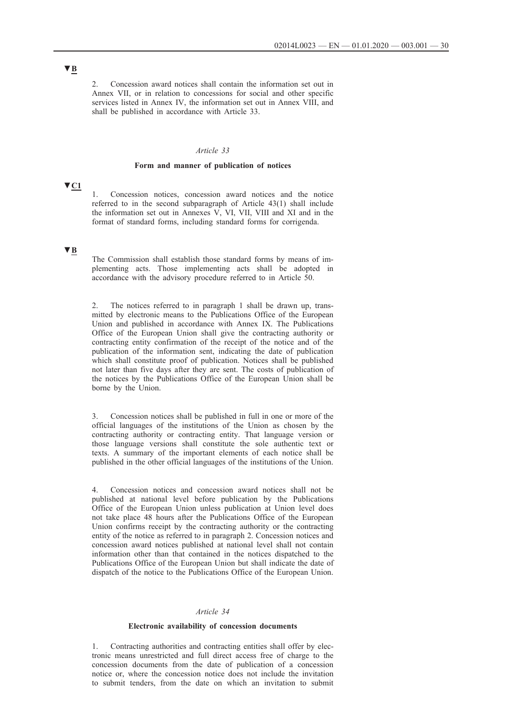<span id="page-29-0"></span>2. Concession award notices shall contain the information set out in Annex VII, or in relation to concessions for social and other specific services listed in Annex IV, the information set out in Annex VIII, and shall be published in accordance with Article 33.

### *Article 33*

### **Form and manner of publication of notices**

# **▼C1**

1. Concession notices, concession award notices and the notice referred to in the second subparagraph of Article 43(1) shall include the information set out in Annexes V, VI, VII, VIII and XI and in the format of standard forms, including standard forms for corrigenda.

## **▼B**

The Commission shall establish those standard forms by means of implementing acts. Those implementing acts shall be adopted in accordance with the advisory procedure referred to in Article 50.

2. The notices referred to in paragraph 1 shall be drawn up, transmitted by electronic means to the Publications Office of the European Union and published in accordance with Annex IX. The Publications Office of the European Union shall give the contracting authority or contracting entity confirmation of the receipt of the notice and of the publication of the information sent, indicating the date of publication which shall constitute proof of publication. Notices shall be published not later than five days after they are sent. The costs of publication of the notices by the Publications Office of the European Union shall be borne by the Union.

3. Concession notices shall be published in full in one or more of the official languages of the institutions of the Union as chosen by the contracting authority or contracting entity. That language version or those language versions shall constitute the sole authentic text or texts. A summary of the important elements of each notice shall be published in the other official languages of the institutions of the Union.

4. Concession notices and concession award notices shall not be published at national level before publication by the Publications Office of the European Union unless publication at Union level does not take place 48 hours after the Publications Office of the European Union confirms receipt by the contracting authority or the contracting entity of the notice as referred to in paragraph 2. Concession notices and concession award notices published at national level shall not contain information other than that contained in the notices dispatched to the Publications Office of the European Union but shall indicate the date of dispatch of the notice to the Publications Office of the European Union.

#### *Article 34*

#### **Electronic availability of concession documents**

1. Contracting authorities and contracting entities shall offer by electronic means unrestricted and full direct access free of charge to the concession documents from the date of publication of a concession notice or, where the concession notice does not include the invitation to submit tenders, from the date on which an invitation to submit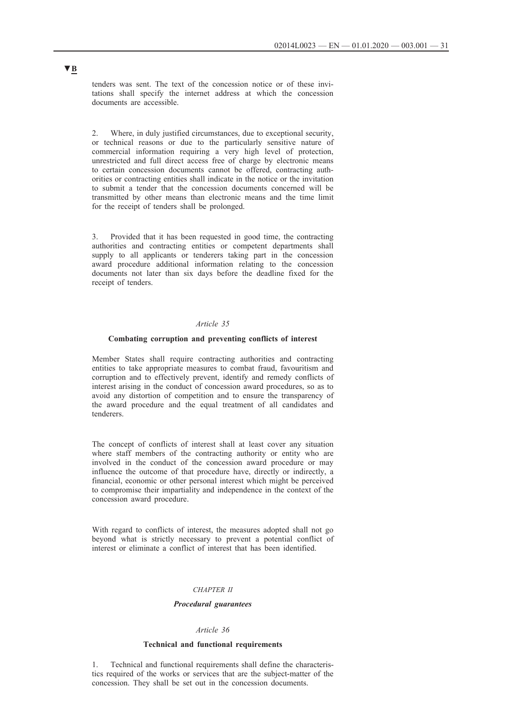<span id="page-30-0"></span>tenders was sent. The text of the concession notice or of these invitations shall specify the internet address at which the concession documents are accessible.

2. Where, in duly justified circumstances, due to exceptional security, or technical reasons or due to the particularly sensitive nature of commercial information requiring a very high level of protection, unrestricted and full direct access free of charge by electronic means to certain concession documents cannot be offered, contracting authorities or contracting entities shall indicate in the notice or the invitation to submit a tender that the concession documents concerned will be transmitted by other means than electronic means and the time limit for the receipt of tenders shall be prolonged.

3. Provided that it has been requested in good time, the contracting authorities and contracting entities or competent departments shall supply to all applicants or tenderers taking part in the concession award procedure additional information relating to the concession documents not later than six days before the deadline fixed for the receipt of tenders.

## *Article 35*

#### **Combating corruption and preventing conflicts of interest**

Member States shall require contracting authorities and contracting entities to take appropriate measures to combat fraud, favouritism and corruption and to effectively prevent, identify and remedy conflicts of interest arising in the conduct of concession award procedures, so as to avoid any distortion of competition and to ensure the transparency of the award procedure and the equal treatment of all candidates and tenderers.

The concept of conflicts of interest shall at least cover any situation where staff members of the contracting authority or entity who are involved in the conduct of the concession award procedure or may influence the outcome of that procedure have, directly or indirectly, a financial, economic or other personal interest which might be perceived to compromise their impartiality and independence in the context of the concession award procedure.

With regard to conflicts of interest, the measures adopted shall not go beyond what is strictly necessary to prevent a potential conflict of interest or eliminate a conflict of interest that has been identified.

## *CHAPTER II*

## *Procedural guarantees*

#### *Article 36*

## **Technical and functional requirements**

1. Technical and functional requirements shall define the characteristics required of the works or services that are the subject-matter of the concession. They shall be set out in the concession documents.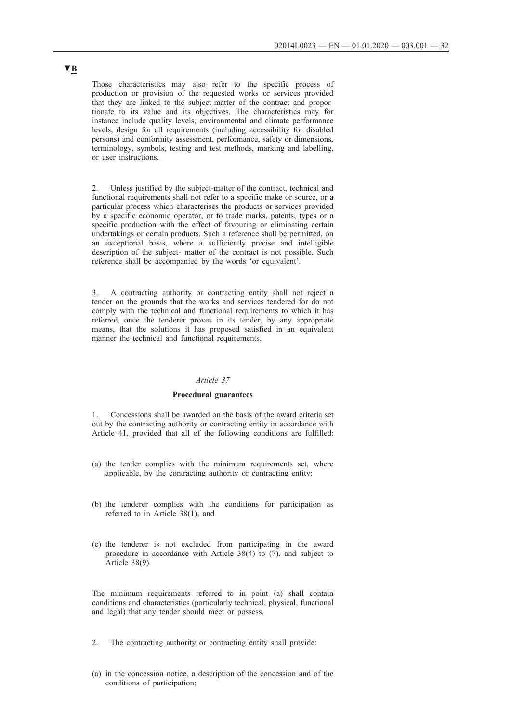<span id="page-31-0"></span>Those characteristics may also refer to the specific process of production or provision of the requested works or services provided that they are linked to the subject-matter of the contract and proportionate to its value and its objectives. The characteristics may for instance include quality levels, environmental and climate performance levels, design for all requirements (including accessibility for disabled persons) and conformity assessment, performance, safety or dimensions, terminology, symbols, testing and test methods, marking and labelling, or user instructions.

2. Unless justified by the subject-matter of the contract, technical and functional requirements shall not refer to a specific make or source, or a particular process which characterises the products or services provided by a specific economic operator, or to trade marks, patents, types or a specific production with the effect of favouring or eliminating certain undertakings or certain products. Such a reference shall be permitted, on an exceptional basis, where a sufficiently precise and intelligible description of the subject- matter of the contract is not possible. Such reference shall be accompanied by the words 'or equivalent'.

3. A contracting authority or contracting entity shall not reject a tender on the grounds that the works and services tendered for do not comply with the technical and functional requirements to which it has referred, once the tenderer proves in its tender, by any appropriate means, that the solutions it has proposed satisfied in an equivalent manner the technical and functional requirements.

#### *Article 37*

#### **Procedural guarantees**

1. Concessions shall be awarded on the basis of the award criteria set out by the contracting authority or contracting entity in accordance with Article 41, provided that all of the following conditions are fulfilled:

- (a) the tender complies with the minimum requirements set, where applicable, by the contracting authority or contracting entity;
- (b) the tenderer complies with the conditions for participation as referred to in Article 38(1); and
- (c) the tenderer is not excluded from participating in the award procedure in accordance with Article 38(4) to (7), and subject to Article 38(9).

The minimum requirements referred to in point (a) shall contain conditions and characteristics (particularly technical, physical, functional and legal) that any tender should meet or possess.

- 2. The contracting authority or contracting entity shall provide:
- (a) in the concession notice, a description of the concession and of the conditions of participation;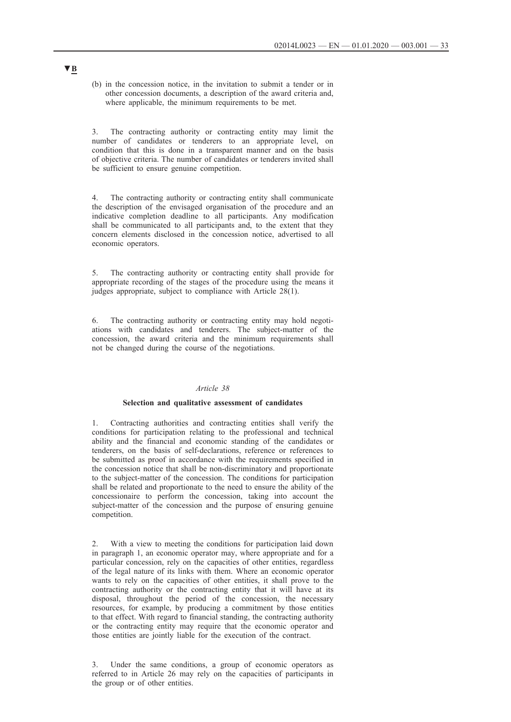<span id="page-32-0"></span>(b) in the concession notice, in the invitation to submit a tender or in other concession documents, a description of the award criteria and, where applicable, the minimum requirements to be met.

3. The contracting authority or contracting entity may limit the number of candidates or tenderers to an appropriate level, on condition that this is done in a transparent manner and on the basis of objective criteria. The number of candidates or tenderers invited shall be sufficient to ensure genuine competition.

4. The contracting authority or contracting entity shall communicate the description of the envisaged organisation of the procedure and an indicative completion deadline to all participants. Any modification shall be communicated to all participants and, to the extent that they concern elements disclosed in the concession notice, advertised to all economic operators.

5. The contracting authority or contracting entity shall provide for appropriate recording of the stages of the procedure using the means it judges appropriate, subject to compliance with Article 28(1).

6. The contracting authority or contracting entity may hold negotiations with candidates and tenderers. The subject-matter of the concession, the award criteria and the minimum requirements shall not be changed during the course of the negotiations.

## *Article 38*

#### **Selection and qualitative assessment of candidates**

1. Contracting authorities and contracting entities shall verify the conditions for participation relating to the professional and technical ability and the financial and economic standing of the candidates or tenderers, on the basis of self-declarations, reference or references to be submitted as proof in accordance with the requirements specified in the concession notice that shall be non-discriminatory and proportionate to the subject-matter of the concession. The conditions for participation shall be related and proportionate to the need to ensure the ability of the concessionaire to perform the concession, taking into account the subject-matter of the concession and the purpose of ensuring genuine competition.

2. With a view to meeting the conditions for participation laid down in paragraph 1, an economic operator may, where appropriate and for a particular concession, rely on the capacities of other entities, regardless of the legal nature of its links with them. Where an economic operator wants to rely on the capacities of other entities, it shall prove to the contracting authority or the contracting entity that it will have at its disposal, throughout the period of the concession, the necessary resources, for example, by producing a commitment by those entities to that effect. With regard to financial standing, the contracting authority or the contracting entity may require that the economic operator and those entities are jointly liable for the execution of the contract.

3. Under the same conditions, a group of economic operators as referred to in Article 26 may rely on the capacities of participants in the group or of other entities.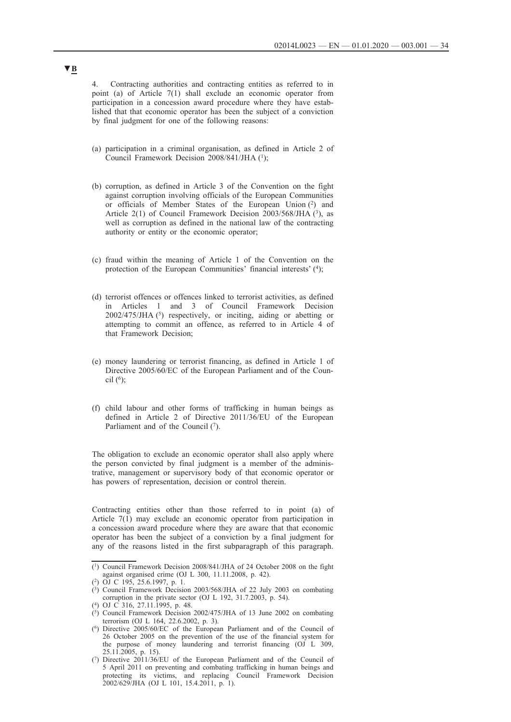4. Contracting authorities and contracting entities as referred to in point (a) of Article 7(1) shall exclude an economic operator from participation in a concession award procedure where they have established that that economic operator has been the subject of a conviction by final judgment for one of the following reasons:

- (a) participation in a criminal organisation, as defined in Article 2 of Council Framework Decision 2008/841/JHA (1);
- (b) corruption, as defined in Article 3 of the Convention on the fight against corruption involving officials of the European Communities or officials of Member States of the European Union (2) and Article 2(1) of Council Framework Decision 2003/568/JHA (3), as well as corruption as defined in the national law of the contracting authority or entity or the economic operator;
- (c) fraud within the meaning of Article 1 of the Convention on the protection of the European Communities' financial interests' (4);
- (d) terrorist offences or offences linked to terrorist activities, as defined in Articles 1 and 3 of Council Framework Decision 2002/475/JHA (5) respectively, or inciting, aiding or abetting or attempting to commit an offence, as referred to in Article 4 of that Framework Decision;
- (e) money laundering or terrorist financing, as defined in Article 1 of Directive 2005/60/EC of the European Parliament and of the Council  $(6)$ ;
- (f) child labour and other forms of trafficking in human beings as defined in Article 2 of Directive 2011/36/EU of the European Parliament and of the Council  $(7)$ .

The obligation to exclude an economic operator shall also apply where the person convicted by final judgment is a member of the administrative, management or supervisory body of that economic operator or has powers of representation, decision or control therein.

Contracting entities other than those referred to in point (a) of Article 7(1) may exclude an economic operator from participation in a concession award procedure where they are aware that that economic operator has been the subject of a conviction by a final judgment for any of the reasons listed in the first subparagraph of this paragraph.

<sup>(1)</sup> Council Framework Decision 2008/841/JHA of 24 October 2008 on the fight against organised crime (OJ L 300, 11.11.2008, p. 42).

<sup>(2)</sup> OJ C 195, 25.6.1997, p. 1.

 $(3)$  Council Framework Decision 2003/568/JHA of 22 July 2003 on combating corruption in the private sector (OJ L 192, 31.7.2003, p. 54).

<sup>(4)</sup> OJ C 316, 27.11.1995, p. 48.

 $(5)$  Council Framework Decision 2002/475/JHA of 13 June 2002 on combating terrorism (OJ L 164, 22.6.2002, p. 3).

<sup>(6)</sup> Directive 2005/60/EC of the European Parliament and of the Council of 26 October 2005 on the prevention of the use of the financial system for the purpose of money laundering and terrorist financing (OJ L 309,  $25.1\overline{1}$ .2005, p. 15).

<sup>(7)</sup> Directive 2011/36/EU of the European Parliament and of the Council of 5 April 2011 on preventing and combating trafficking in human beings and protecting its victims, and replacing Council Framework Decision 2002/629/JHA (OJ L 101, 15.4.2011, p. 1).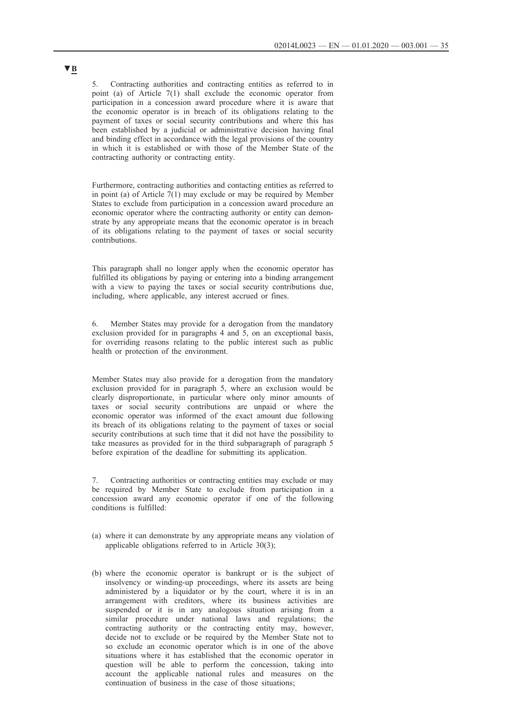5. Contracting authorities and contracting entities as referred to in point (a) of Article 7(1) shall exclude the economic operator from participation in a concession award procedure where it is aware that the economic operator is in breach of its obligations relating to the payment of taxes or social security contributions and where this has been established by a judicial or administrative decision having final and binding effect in accordance with the legal provisions of the country in which it is established or with those of the Member State of the contracting authority or contracting entity.

Furthermore, contracting authorities and contacting entities as referred to in point (a) of Article 7(1) may exclude or may be required by Member States to exclude from participation in a concession award procedure an economic operator where the contracting authority or entity can demonstrate by any appropriate means that the economic operator is in breach of its obligations relating to the payment of taxes or social security contributions.

This paragraph shall no longer apply when the economic operator has fulfilled its obligations by paying or entering into a binding arrangement with a view to paying the taxes or social security contributions due, including, where applicable, any interest accrued or fines.

6. Member States may provide for a derogation from the mandatory exclusion provided for in paragraphs  $4$  and  $5$ , on an exceptional basis, for overriding reasons relating to the public interest such as public health or protection of the environment.

Member States may also provide for a derogation from the mandatory exclusion provided for in paragraph 5, where an exclusion would be clearly disproportionate, in particular where only minor amounts of taxes or social security contributions are unpaid or where the economic operator was informed of the exact amount due following its breach of its obligations relating to the payment of taxes or social security contributions at such time that it did not have the possibility to take measures as provided for in the third subparagraph of paragraph 5 before expiration of the deadline for submitting its application.

7. Contracting authorities or contracting entities may exclude or may be required by Member State to exclude from participation in a concession award any economic operator if one of the following conditions is fulfilled:

- (a) where it can demonstrate by any appropriate means any violation of applicable obligations referred to in Article 30(3);
- (b) where the economic operator is bankrupt or is the subject of insolvency or winding-up proceedings, where its assets are being administered by a liquidator or by the court, where it is in an arrangement with creditors, where its business activities are suspended or it is in any analogous situation arising from a similar procedure under national laws and regulations; the contracting authority or the contracting entity may, however, decide not to exclude or be required by the Member State not to so exclude an economic operator which is in one of the above situations where it has established that the economic operator in question will be able to perform the concession, taking into account the applicable national rules and measures on the continuation of business in the case of those situations;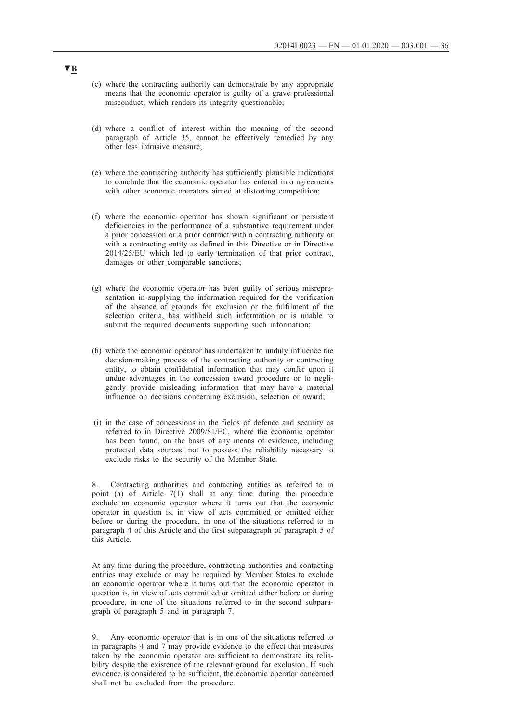- (c) where the contracting authority can demonstrate by any appropriate means that the economic operator is guilty of a grave professional misconduct, which renders its integrity questionable;
- (d) where a conflict of interest within the meaning of the second paragraph of Article 35, cannot be effectively remedied by any other less intrusive measure;
- (e) where the contracting authority has sufficiently plausible indications to conclude that the economic operator has entered into agreements with other economic operators aimed at distorting competition;
- (f) where the economic operator has shown significant or persistent deficiencies in the performance of a substantive requirement under a prior concession or a prior contract with a contracting authority or with a contracting entity as defined in this Directive or in Directive 2014/25/EU which led to early termination of that prior contract, damages or other comparable sanctions;
- (g) where the economic operator has been guilty of serious misrepresentation in supplying the information required for the verification of the absence of grounds for exclusion or the fulfilment of the selection criteria, has withheld such information or is unable to submit the required documents supporting such information;
- (h) where the economic operator has undertaken to unduly influence the decision-making process of the contracting authority or contracting entity, to obtain confidential information that may confer upon it undue advantages in the concession award procedure or to negligently provide misleading information that may have a material influence on decisions concerning exclusion, selection or award;
- (i) in the case of concessions in the fields of defence and security as referred to in Directive 2009/81/EC, where the economic operator has been found, on the basis of any means of evidence, including protected data sources, not to possess the reliability necessary to exclude risks to the security of the Member State.

8. Contracting authorities and contacting entities as referred to in point (a) of Article 7(1) shall at any time during the procedure exclude an economic operator where it turns out that the economic operator in question is, in view of acts committed or omitted either before or during the procedure, in one of the situations referred to in paragraph 4 of this Article and the first subparagraph of paragraph 5 of this Article.

At any time during the procedure, contracting authorities and contacting entities may exclude or may be required by Member States to exclude an economic operator where it turns out that the economic operator in question is, in view of acts committed or omitted either before or during procedure, in one of the situations referred to in the second subparagraph of paragraph 5 and in paragraph 7.

9. Any economic operator that is in one of the situations referred to in paragraphs 4 and 7 may provide evidence to the effect that measures taken by the economic operator are sufficient to demonstrate its reliability despite the existence of the relevant ground for exclusion. If such evidence is considered to be sufficient, the economic operator concerned shall not be excluded from the procedure.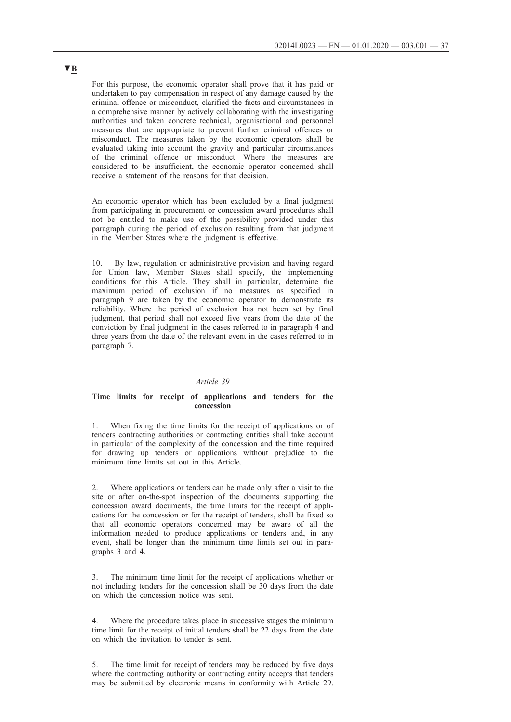<span id="page-36-0"></span>For this purpose, the economic operator shall prove that it has paid or undertaken to pay compensation in respect of any damage caused by the criminal offence or misconduct, clarified the facts and circumstances in a comprehensive manner by actively collaborating with the investigating authorities and taken concrete technical, organisational and personnel measures that are appropriate to prevent further criminal offences or misconduct. The measures taken by the economic operators shall be evaluated taking into account the gravity and particular circumstances of the criminal offence or misconduct. Where the measures are considered to be insufficient, the economic operator concerned shall receive a statement of the reasons for that decision.

An economic operator which has been excluded by a final judgment from participating in procurement or concession award procedures shall not be entitled to make use of the possibility provided under this paragraph during the period of exclusion resulting from that judgment in the Member States where the judgment is effective.

10. By law, regulation or administrative provision and having regard for Union law, Member States shall specify, the implementing conditions for this Article. They shall in particular, determine the maximum period of exclusion if no measures as specified in paragraph  $9$  are taken by the economic operator to demonstrate its reliability. Where the period of exclusion has not been set by final judgment, that period shall not exceed five years from the date of the conviction by final judgment in the cases referred to in paragraph 4 and three years from the date of the relevant event in the cases referred to in paragraph 7.

## *Article 39*

## **Time limits for receipt of applications and tenders for the concession**

1. When fixing the time limits for the receipt of applications or of tenders contracting authorities or contracting entities shall take account in particular of the complexity of the concession and the time required for drawing up tenders or applications without prejudice to the minimum time limits set out in this Article.

2. Where applications or tenders can be made only after a visit to the site or after on-the-spot inspection of the documents supporting the concession award documents, the time limits for the receipt of applications for the concession or for the receipt of tenders, shall be fixed so that all economic operators concerned may be aware of all the information needed to produce applications or tenders and, in any event, shall be longer than the minimum time limits set out in paragraphs 3 and 4.

The minimum time limit for the receipt of applications whether or not including tenders for the concession shall be 30 days from the date on which the concession notice was sent.

4. Where the procedure takes place in successive stages the minimum time limit for the receipt of initial tenders shall be 22 days from the date on which the invitation to tender is sent.

5. The time limit for receipt of tenders may be reduced by five days where the contracting authority or contracting entity accepts that tenders may be submitted by electronic means in conformity with Article 29.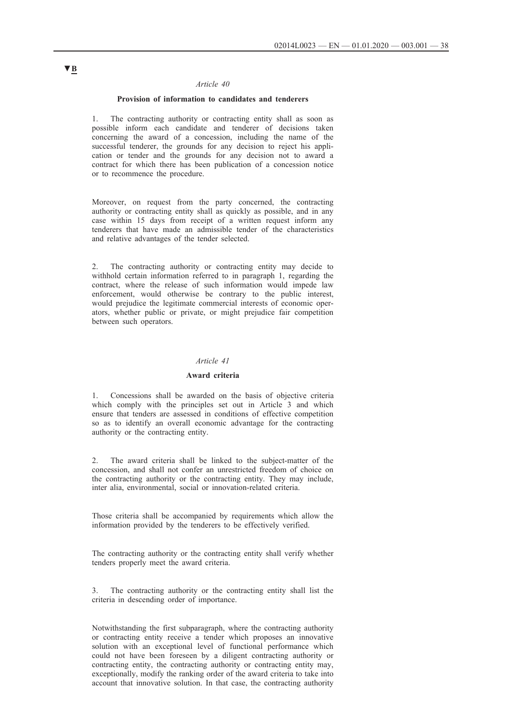### *Article 40*

## **Provision of information to candidates and tenderers**

<span id="page-37-0"></span>1. The contracting authority or contracting entity shall as soon as possible inform each candidate and tenderer of decisions taken concerning the award of a concession, including the name of the successful tenderer, the grounds for any decision to reject his application or tender and the grounds for any decision not to award a contract for which there has been publication of a concession notice or to recommence the procedure.

Moreover, on request from the party concerned, the contracting authority or contracting entity shall as quickly as possible, and in any case within 15 days from receipt of a written request inform any tenderers that have made an admissible tender of the characteristics and relative advantages of the tender selected.

2. The contracting authority or contracting entity may decide to withhold certain information referred to in paragraph 1, regarding the contract, where the release of such information would impede law enforcement, would otherwise be contrary to the public interest, would prejudice the legitimate commercial interests of economic operators, whether public or private, or might prejudice fair competition between such operators.

### *Article 41*

### **Award criteria**

1. Concessions shall be awarded on the basis of objective criteria which comply with the principles set out in Article 3 and which ensure that tenders are assessed in conditions of effective competition so as to identify an overall economic advantage for the contracting authority or the contracting entity.

2. The award criteria shall be linked to the subject-matter of the concession, and shall not confer an unrestricted freedom of choice on the contracting authority or the contracting entity. They may include, inter alia, environmental, social or innovation-related criteria.

Those criteria shall be accompanied by requirements which allow the information provided by the tenderers to be effectively verified.

The contracting authority or the contracting entity shall verify whether tenders properly meet the award criteria.

3. The contracting authority or the contracting entity shall list the criteria in descending order of importance.

Notwithstanding the first subparagraph, where the contracting authority or contracting entity receive a tender which proposes an innovative solution with an exceptional level of functional performance which could not have been foreseen by a diligent contracting authority or contracting entity, the contracting authority or contracting entity may, exceptionally, modify the ranking order of the award criteria to take into account that innovative solution. In that case, the contracting authority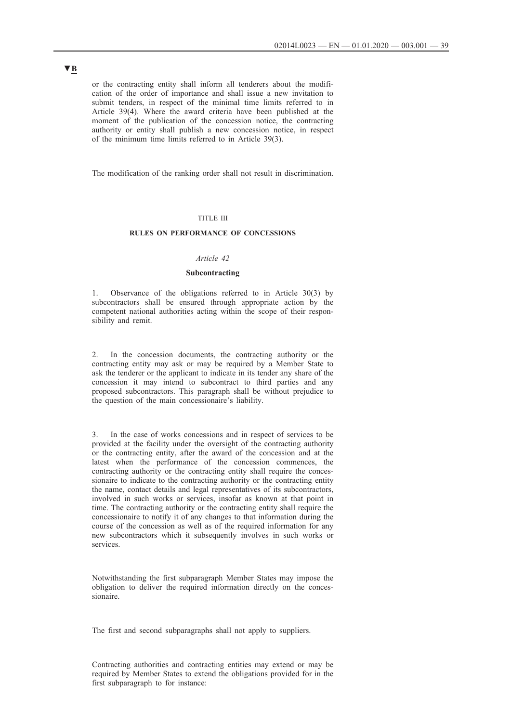<span id="page-38-0"></span>or the contracting entity shall inform all tenderers about the modification of the order of importance and shall issue a new invitation to submit tenders, in respect of the minimal time limits referred to in Article 39(4). Where the award criteria have been published at the moment of the publication of the concession notice, the contracting authority or entity shall publish a new concession notice, in respect of the minimum time limits referred to in Article 39(3).

The modification of the ranking order shall not result in discrimination.

### TITLE III

## **RULES ON PERFORMANCE OF CONCESSIONS**

## *Article 42*

### **Subcontracting**

1. Observance of the obligations referred to in Article 30(3) by subcontractors shall be ensured through appropriate action by the competent national authorities acting within the scope of their responsibility and remit.

2. In the concession documents, the contracting authority or the contracting entity may ask or may be required by a Member State to ask the tenderer or the applicant to indicate in its tender any share of the concession it may intend to subcontract to third parties and any proposed subcontractors. This paragraph shall be without prejudice to the question of the main concessionaire's liability.

3. In the case of works concessions and in respect of services to be provided at the facility under the oversight of the contracting authority or the contracting entity, after the award of the concession and at the latest when the performance of the concession commences, the contracting authority or the contracting entity shall require the concessionaire to indicate to the contracting authority or the contracting entity the name, contact details and legal representatives of its subcontractors, involved in such works or services, insofar as known at that point in time. The contracting authority or the contracting entity shall require the concessionaire to notify it of any changes to that information during the course of the concession as well as of the required information for any new subcontractors which it subsequently involves in such works or services.

Notwithstanding the first subparagraph Member States may impose the obligation to deliver the required information directly on the concessionaire.

The first and second subparagraphs shall not apply to suppliers.

Contracting authorities and contracting entities may extend or may be required by Member States to extend the obligations provided for in the first subparagraph to for instance: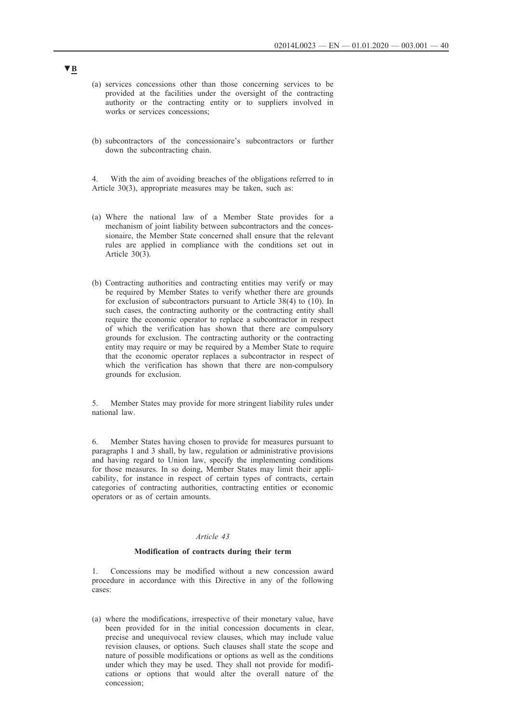- <span id="page-39-0"></span>(a) services concessions other than those concerning services to be provided at the facilities under the oversight of the contracting authority or the contracting entity or to suppliers involved in works or services concessions;
- (b) subcontractors of the concessionaire's subcontractors or further down the subcontracting chain.
- 4. With the aim of avoiding breaches of the obligations referred to in Article 30(3), appropriate measures may be taken, such as:
- (a) Where the national law of a Member State provides for a mechanism of joint liability between subcontractors and the concessionaire, the Member State concerned shall ensure that the relevant rules are applied in compliance with the conditions set out in Article 30(3).
- (b) Contracting authorities and contracting entities may verify or may be required by Member States to verify whether there are grounds for exclusion of subcontractors pursuant to Article 38(4) to (10). In such cases, the contracting authority or the contracting entity shall require the economic operator to replace a subcontractor in respect of which the verification has shown that there are compulsory grounds for exclusion. The contracting authority or the contracting entity may require or may be required by a Member State to require that the economic operator replaces a subcontractor in respect of which the verification has shown that there are non-compulsory grounds for exclusion.

5. Member States may provide for more stringent liability rules under national law.

6. Member States having chosen to provide for measures pursuant to paragraphs 1 and 3 shall, by law, regulation or administrative provisions and having regard to Union law, specify the implementing conditions for those measures. In so doing, Member States may limit their applicability, for instance in respect of certain types of contracts, certain categories of contracting authorities, contracting entities or economic operators or as of certain amounts.

## *Article 43*

### **Modification of contracts during their term**

1. Concessions may be modified without a new concession award procedure in accordance with this Directive in any of the following cases:

(a) where the modifications, irrespective of their monetary value, have been provided for in the initial concession documents in clear, precise and unequivocal review clauses, which may include value revision clauses, or options. Such clauses shall state the scope and nature of possible modifications or options as well as the conditions under which they may be used. They shall not provide for modifications or options that would alter the overall nature of the concession;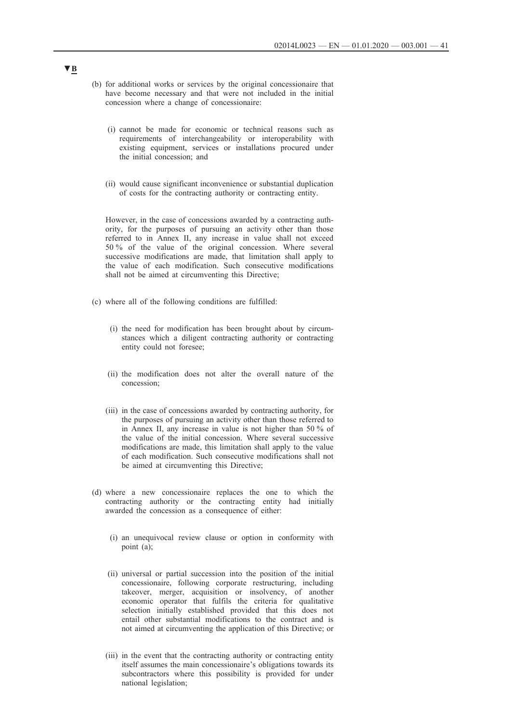- (b) for additional works or services by the original concessionaire that have become necessary and that were not included in the initial concession where a change of concessionaire:
	- (i) cannot be made for economic or technical reasons such as requirements of interchangeability or interoperability with existing equipment, services or installations procured under the initial concession; and
	- (ii) would cause significant inconvenience or substantial duplication of costs for the contracting authority or contracting entity.

However, in the case of concessions awarded by a contracting authority, for the purposes of pursuing an activity other than those referred to in Annex II, any increase in value shall not exceed 50 % of the value of the original concession. Where several successive modifications are made, that limitation shall apply to the value of each modification. Such consecutive modifications shall not be aimed at circumventing this Directive;

- (c) where all of the following conditions are fulfilled:
	- (i) the need for modification has been brought about by circumstances which a diligent contracting authority or contracting entity could not foresee;
	- (ii) the modification does not alter the overall nature of the concession;
	- (iii) in the case of concessions awarded by contracting authority, for the purposes of pursuing an activity other than those referred to in Annex II, any increase in value is not higher than 50 % of the value of the initial concession. Where several successive modifications are made, this limitation shall apply to the value of each modification. Such consecutive modifications shall not be aimed at circumventing this Directive;
- (d) where a new concessionaire replaces the one to which the contracting authority or the contracting entity had initially awarded the concession as a consequence of either:
	- (i) an unequivocal review clause or option in conformity with point (a);
	- (ii) universal or partial succession into the position of the initial concessionaire, following corporate restructuring, including takeover, merger, acquisition or insolvency, of another economic operator that fulfils the criteria for qualitative selection initially established provided that this does not entail other substantial modifications to the contract and is not aimed at circumventing the application of this Directive; or
	- (iii) in the event that the contracting authority or contracting entity itself assumes the main concessionaire's obligations towards its subcontractors where this possibility is provided for under national legislation;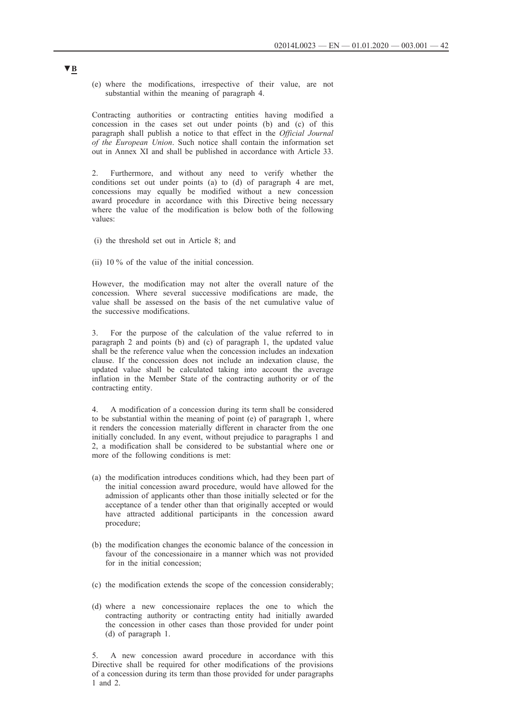(e) where the modifications, irrespective of their value, are not substantial within the meaning of paragraph 4.

Contracting authorities or contracting entities having modified a concession in the cases set out under points (b) and (c) of this paragraph shall publish a notice to that effect in the *Official Journal of the European Union*. Such notice shall contain the information set out in Annex XI and shall be published in accordance with Article 33.

2. Furthermore, and without any need to verify whether the conditions set out under points (a) to (d) of paragraph 4 are met, concessions may equally be modified without a new concession award procedure in accordance with this Directive being necessary where the value of the modification is below both of the following values:

- (i) the threshold set out in Article 8; and
- (ii) 10 % of the value of the initial concession.

However, the modification may not alter the overall nature of the concession. Where several successive modifications are made, the value shall be assessed on the basis of the net cumulative value of the successive modifications.

3. For the purpose of the calculation of the value referred to in paragraph 2 and points (b) and (c) of paragraph 1, the updated value shall be the reference value when the concession includes an indexation clause. If the concession does not include an indexation clause, the updated value shall be calculated taking into account the average inflation in the Member State of the contracting authority or of the contracting entity.

4. A modification of a concession during its term shall be considered to be substantial within the meaning of point (e) of paragraph 1, where it renders the concession materially different in character from the one initially concluded. In any event, without prejudice to paragraphs 1 and 2, a modification shall be considered to be substantial where one or more of the following conditions is met:

- (a) the modification introduces conditions which, had they been part of the initial concession award procedure, would have allowed for the admission of applicants other than those initially selected or for the acceptance of a tender other than that originally accepted or would have attracted additional participants in the concession award procedure;
- (b) the modification changes the economic balance of the concession in favour of the concessionaire in a manner which was not provided for in the initial concession;
- (c) the modification extends the scope of the concession considerably;
- (d) where a new concessionaire replaces the one to which the contracting authority or contracting entity had initially awarded the concession in other cases than those provided for under point (d) of paragraph 1.

5. A new concession award procedure in accordance with this Directive shall be required for other modifications of the provisions of a concession during its term than those provided for under paragraphs 1 and 2.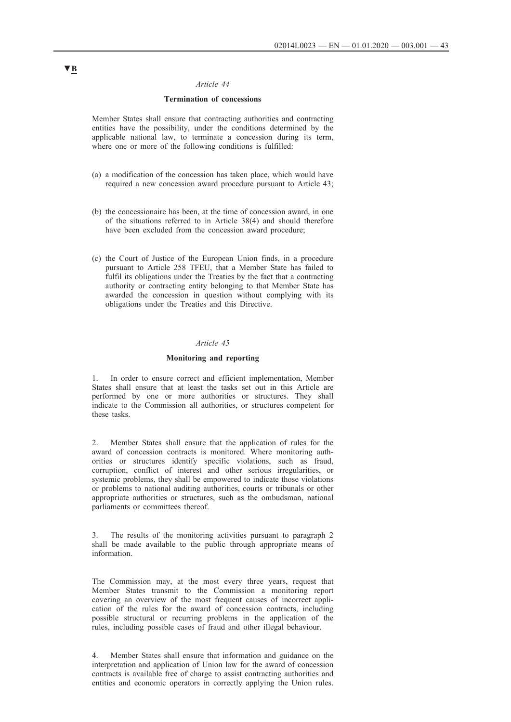## *Article 44*

## **Termination of concessions**

<span id="page-42-0"></span>Member States shall ensure that contracting authorities and contracting entities have the possibility, under the conditions determined by the applicable national law, to terminate a concession during its term, where one or more of the following conditions is fulfilled:

- (a) a modification of the concession has taken place, which would have required a new concession award procedure pursuant to Article 43;
- (b) the concessionaire has been, at the time of concession award, in one of the situations referred to in Article 38(4) and should therefore have been excluded from the concession award procedure;
- (c) the Court of Justice of the European Union finds, in a procedure pursuant to Article 258 TFEU, that a Member State has failed to fulfil its obligations under the Treaties by the fact that a contracting authority or contracting entity belonging to that Member State has awarded the concession in question without complying with its obligations under the Treaties and this Directive.

## *Article 45*

#### **Monitoring and reporting**

In order to ensure correct and efficient implementation, Member States shall ensure that at least the tasks set out in this Article are performed by one or more authorities or structures. They shall indicate to the Commission all authorities, or structures competent for these tasks.

2. Member States shall ensure that the application of rules for the award of concession contracts is monitored. Where monitoring authorities or structures identify specific violations, such as fraud, corruption, conflict of interest and other serious irregularities, or systemic problems, they shall be empowered to indicate those violations or problems to national auditing authorities, courts or tribunals or other appropriate authorities or structures, such as the ombudsman, national parliaments or committees thereof.

3. The results of the monitoring activities pursuant to paragraph 2 shall be made available to the public through appropriate means of information.

The Commission may, at the most every three years, request that Member States transmit to the Commission a monitoring report covering an overview of the most frequent causes of incorrect application of the rules for the award of concession contracts, including possible structural or recurring problems in the application of the rules, including possible cases of fraud and other illegal behaviour.

4. Member States shall ensure that information and guidance on the interpretation and application of Union law for the award of concession contracts is available free of charge to assist contracting authorities and entities and economic operators in correctly applying the Union rules.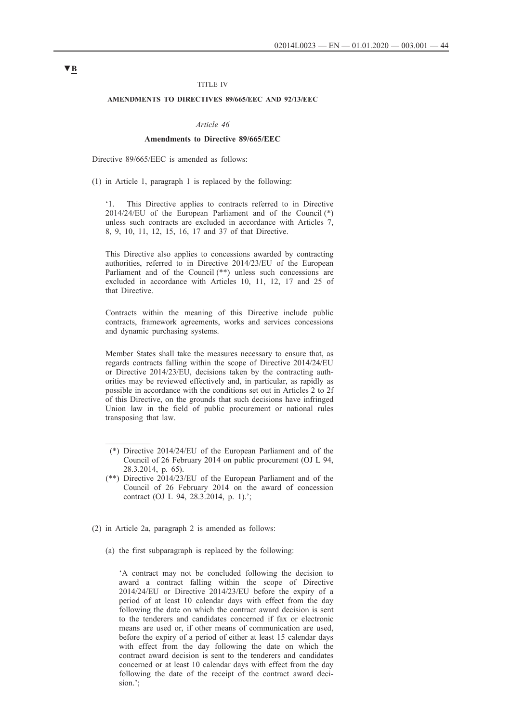#### TITLE IV

## <span id="page-43-0"></span>**AMENDMENTS TO DIRECTIVES 89/665/EEC AND 92/13/EEC**

#### *Article 46*

### **Amendments to Directive 89/665/EEC**

Directive 89/665/EEC is amended as follows:

(1) in Article 1, paragraph 1 is replaced by the following:

'1. This Directive applies to contracts referred to in Directive 2014/24/EU of the European Parliament and of the Council (\*) unless such contracts are excluded in accordance with Articles 7, 8, 9, 10, 11, 12, 15, 16, 17 and 37 of that Directive.

This Directive also applies to concessions awarded by contracting authorities, referred to in Directive 2014/23/EU of the European Parliament and of the Council (\*\*) unless such concessions are excluded in accordance with Articles 10, 11, 12, 17 and 25 of that Directive.

Contracts within the meaning of this Directive include public contracts, framework agreements, works and services concessions and dynamic purchasing systems.

Member States shall take the measures necessary to ensure that, as regards contracts falling within the scope of Directive 2014/24/EU or Directive 2014/23/EU, decisions taken by the contracting authorities may be reviewed effectively and, in particular, as rapidly as possible in accordance with the conditions set out in Articles 2 to 2f of this Directive, on the grounds that such decisions have infringed Union law in the field of public procurement or national rules transposing that law.

- (\*) Directive 2014/24/EU of the European Parliament and of the Council of 26 February 2014 on public procurement (OJ L 94, 28.3.2014, p. 65).
- (\*\*) Directive 2014/23/EU of the European Parliament and of the Council of 26 February 2014 on the award of concession contract (OJ L 94, 28.3.2014, p. 1).';
- (2) in Article 2a, paragraph 2 is amended as follows:
	- (a) the first subparagraph is replaced by the following:

'A contract may not be concluded following the decision to award a contract falling within the scope of Directive 2014/24/EU or Directive 2014/23/EU before the expiry of a period of at least 10 calendar days with effect from the day following the date on which the contract award decision is sent to the tenderers and candidates concerned if fax or electronic means are used or, if other means of communication are used, before the expiry of a period of either at least 15 calendar days with effect from the day following the date on which the contract award decision is sent to the tenderers and candidates concerned or at least 10 calendar days with effect from the day following the date of the receipt of the contract award decision.';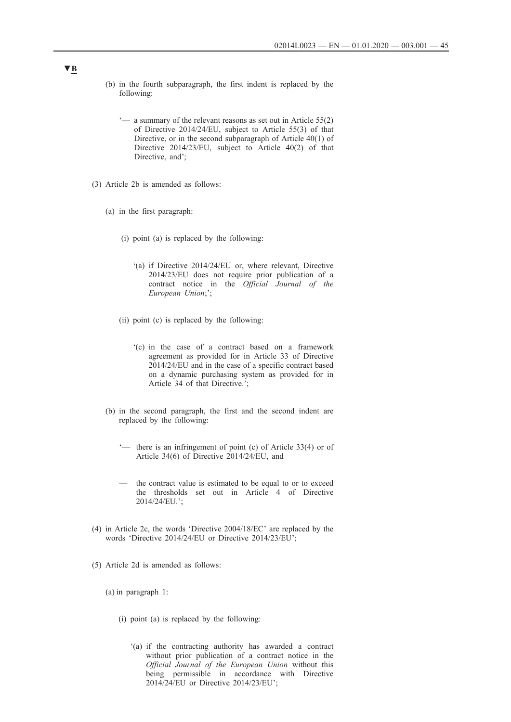- (b) in the fourth subparagraph, the first indent is replaced by the following:
	- '— a summary of the relevant reasons as set out in Article 55(2) of Directive 2014/24/EU, subject to Article 55(3) of that Directive, or in the second subparagraph of Article 40(1) of Directive 2014/23/EU, subject to Article 40(2) of that Directive, and';
- (3) Article 2b is amended as follows:
	- (a) in the first paragraph:
		- (i) point (a) is replaced by the following:
			- '(a) if Directive 2014/24/EU or, where relevant, Directive 2014/23/EU does not require prior publication of a contract notice in the *Official Journal of the European Union*;';
		- (ii) point (c) is replaced by the following:
			- '(c) in the case of a contract based on a framework agreement as provided for in Article 33 of Directive 2014/24/EU and in the case of a specific contract based on a dynamic purchasing system as provided for in Article 34 of that Directive.';
	- (b) in the second paragraph, the first and the second indent are replaced by the following:
		- '— there is an infringement of point (c) of Article 33(4) or of Article 34(6) of Directive 2014/24/EU, and
		- the contract value is estimated to be equal to or to exceed the thresholds set out in Article 4 of Directive 2014/24/EU.';
- (4) in Article 2c, the words 'Directive 2004/18/EC' are replaced by the words 'Directive 2014/24/EU or Directive 2014/23/EU';
- (5) Article 2d is amended as follows:
	- (a) in paragraph 1:
		- (i) point (a) is replaced by the following:
			- '(a) if the contracting authority has awarded a contract without prior publication of a contract notice in the *Official Journal of the European Union* without this being permissible in accordance with Directive 2014/24/EU or Directive 2014/23/EU';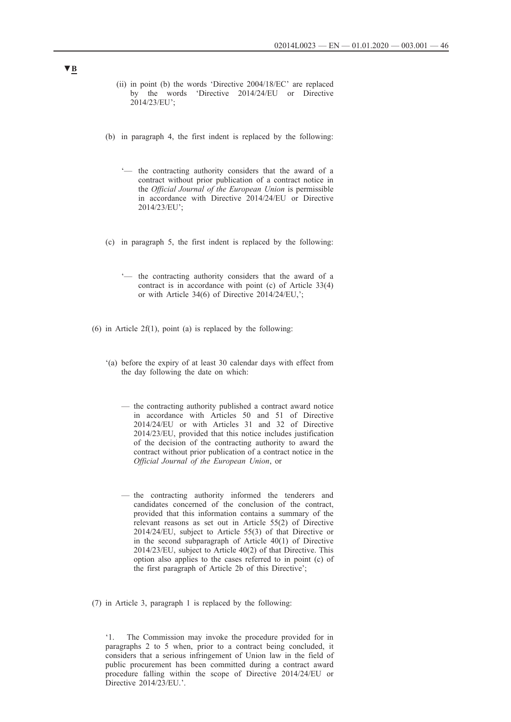- (ii) in point (b) the words 'Directive 2004/18/EC' are replaced by the words 'Directive 2014/24/EU or Directive 2014/23/EU';
- (b) in paragraph 4, the first indent is replaced by the following:
	- '— the contracting authority considers that the award of a contract without prior publication of a contract notice in the *Official Journal of the European Union* is permissible in accordance with Directive 2014/24/EU or Directive 2014/23/EU';
- (c) in paragraph 5, the first indent is replaced by the following:
	- '— the contracting authority considers that the award of a contract is in accordance with point (c) of Article 33(4) or with Article 34(6) of Directive 2014/24/EU,';
- (6) in Article  $2f(1)$ , point (a) is replaced by the following:
	- '(a) before the expiry of at least 30 calendar days with effect from the day following the date on which:
		- the contracting authority published a contract award notice in accordance with Articles 50 and 51 of Directive 2014/24/EU or with Articles 31 and 32 of Directive 2014/23/EU, provided that this notice includes justification of the decision of the contracting authority to award the contract without prior publication of a contract notice in the *Official Journal of the European Union*, or
		- the contracting authority informed the tenderers and candidates concerned of the conclusion of the contract, provided that this information contains a summary of the relevant reasons as set out in Article 55(2) of Directive 2014/24/EU, subject to Article 55(3) of that Directive or in the second subparagraph of Article 40(1) of Directive 2014/23/EU, subject to Article 40(2) of that Directive. This option also applies to the cases referred to in point (c) of the first paragraph of Article 2b of this Directive';
- (7) in Article 3, paragraph 1 is replaced by the following:

'1. The Commission may invoke the procedure provided for in paragraphs 2 to 5 when, prior to a contract being concluded, it considers that a serious infringement of Union law in the field of public procurement has been committed during a contract award procedure falling within the scope of Directive 2014/24/EU or Directive 2014/23/EU.'.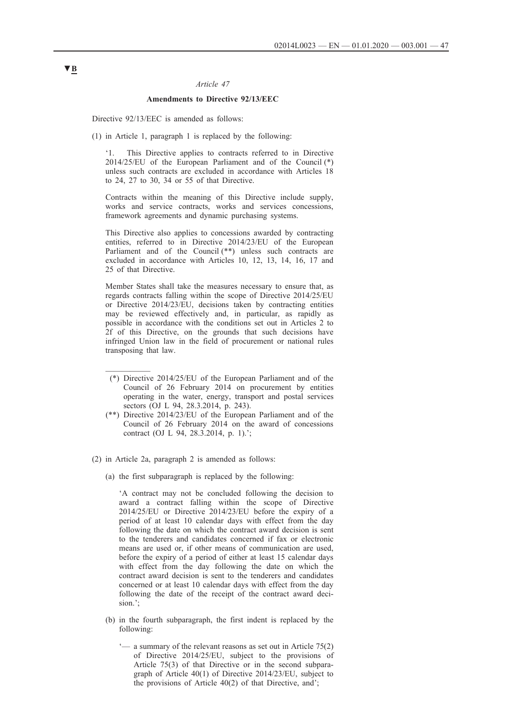## *Article 47*

## **Amendments to Directive 92/13/EEC**

<span id="page-46-0"></span>Directive 92/13/EEC is amended as follows:

(1) in Article 1, paragraph 1 is replaced by the following:

'1. This Directive applies to contracts referred to in Directive 2014/25/EU of the European Parliament and of the Council (\*) unless such contracts are excluded in accordance with Articles 18 to 24, 27 to 30, 34 or 55 of that Directive.

Contracts within the meaning of this Directive include supply, works and service contracts, works and services concessions, framework agreements and dynamic purchasing systems.

This Directive also applies to concessions awarded by contracting entities, referred to in Directive 2014/23/EU of the European Parliament and of the Council (\*\*) unless such contracts are excluded in accordance with Articles 10, 12, 13, 14, 16, 17 and 25 of that Directive.

Member States shall take the measures necessary to ensure that, as regards contracts falling within the scope of Directive 2014/25/EU or Directive 2014/23/EU, decisions taken by contracting entities may be reviewed effectively and, in particular, as rapidly as possible in accordance with the conditions set out in Articles 2 to 2f of this Directive, on the grounds that such decisions have infringed Union law in the field of procurement or national rules transposing that law.

- (\*) Directive 2014/25/EU of the European Parliament and of the Council of 26 February 2014 on procurement by entities operating in the water, energy, transport and postal services sectors (OJ L 94, 28.3.2014, p. 243).
- (\*\*) Directive 2014/23/EU of the European Parliament and of the Council of 26 February 2014 on the award of concessions contract (OJ L 94, 28.3.2014, p. 1).';
- (2) in Article 2a, paragraph 2 is amended as follows:
	- (a) the first subparagraph is replaced by the following:

'A contract may not be concluded following the decision to award a contract falling within the scope of Directive 2014/25/EU or Directive 2014/23/EU before the expiry of a period of at least 10 calendar days with effect from the day following the date on which the contract award decision is sent to the tenderers and candidates concerned if fax or electronic means are used or, if other means of communication are used, before the expiry of a period of either at least 15 calendar days with effect from the day following the date on which the contract award decision is sent to the tenderers and candidates concerned or at least 10 calendar days with effect from the day following the date of the receipt of the contract award decision.';

- (b) in the fourth subparagraph, the first indent is replaced by the following:
	- '— a summary of the relevant reasons as set out in Article 75(2) of Directive 2014/25/EU, subject to the provisions of Article 75(3) of that Directive or in the second subparagraph of Article 40(1) of Directive 2014/23/EU, subject to the provisions of Article 40(2) of that Directive, and';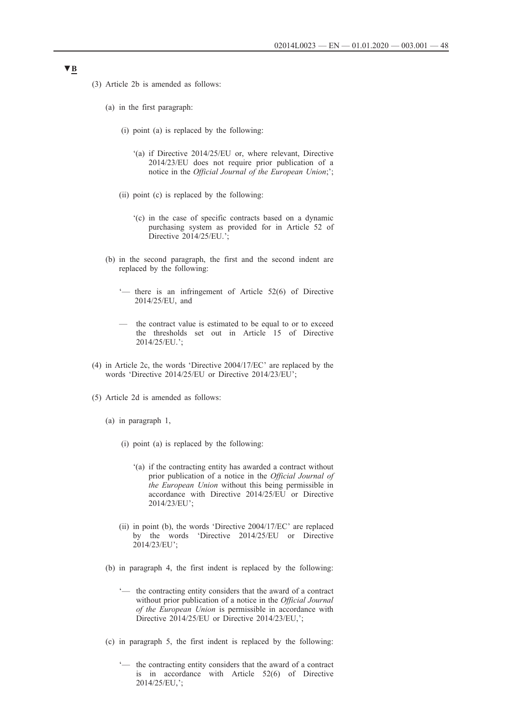- (3) Article 2b is amended as follows:
	- (a) in the first paragraph:
		- (i) point (a) is replaced by the following:
			- '(a) if Directive 2014/25/EU or, where relevant, Directive 2014/23/EU does not require prior publication of a notice in the *Official Journal of the European Union*;';
		- (ii) point (c) is replaced by the following:
			- '(c) in the case of specific contracts based on a dynamic purchasing system as provided for in Article 52 of Directive 2014/25/EU.';
	- (b) in the second paragraph, the first and the second indent are replaced by the following:
		- '— there is an infringement of Article 52(6) of Directive 2014/25/EU, and
		- the contract value is estimated to be equal to or to exceed the thresholds set out in Article 15 of Directive 2014/25/EU.';
- (4) in Article 2c, the words 'Directive 2004/17/EC' are replaced by the words 'Directive 2014/25/EU or Directive 2014/23/EU';
- (5) Article 2d is amended as follows:
	- (a) in paragraph 1,
		- (i) point (a) is replaced by the following:
			- '(a) if the contracting entity has awarded a contract without prior publication of a notice in the *Official Journal of the European Union* without this being permissible in accordance with Directive 2014/25/EU or Directive 2014/23/EU';
		- (ii) in point (b), the words 'Directive 2004/17/EC' are replaced by the words 'Directive 2014/25/EU or Directive 2014/23/EU';
	- (b) in paragraph 4, the first indent is replaced by the following:
		- '— the contracting entity considers that the award of a contract without prior publication of a notice in the *Official Journal of the European Union* is permissible in accordance with Directive 2014/25/EU or Directive 2014/23/EU,
	- (c) in paragraph 5, the first indent is replaced by the following:
		- '— the contracting entity considers that the award of a contract is in accordance with Article 52(6) of Directive 2014/25/EU,';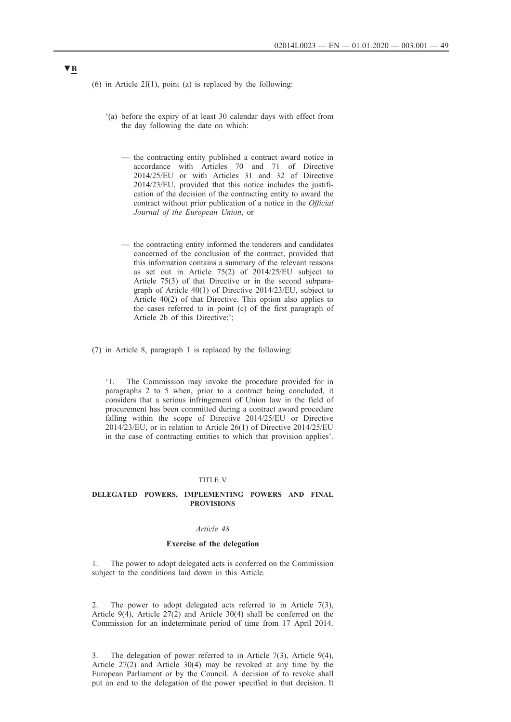- <span id="page-48-0"></span>(6) in Article 2 $f(1)$ , point (a) is replaced by the following:
	- '(a) before the expiry of at least 30 calendar days with effect from the day following the date on which:
		- the contracting entity published a contract award notice in accordance with Articles 70 and 71 of Directive 2014/25/EU or with Articles 31 and 32 of Directive 2014/23/EU, provided that this notice includes the justification of the decision of the contracting entity to award the contract without prior publication of a notice in the *Official Journal of the European Union*, or
		- the contracting entity informed the tenderers and candidates concerned of the conclusion of the contract, provided that this information contains a summary of the relevant reasons as set out in Article 75(2) of 2014/25/EU subject to Article 75(3) of that Directive or in the second subparagraph of Article 40(1) of Directive 2014/23/EU, subject to Article 40(2) of that Directive. This option also applies to the cases referred to in point (c) of the first paragraph of Article 2b of this Directive;';
- (7) in Article 8, paragraph 1 is replaced by the following:

'1. The Commission may invoke the procedure provided for in paragraphs 2 to 5 when, prior to a contract being concluded, it considers that a serious infringement of Union law in the field of procurement has been committed during a contract award procedure falling within the scope of Directive 2014/25/EU or Directive 2014/23/EU, or in relation to Article 26(1) of Directive 2014/25/EU in the case of contracting entities to which that provision applies'.

#### TITLE V

## **DELEGATED POWERS, IMPLEMENTING POWERS AND FINAL PROVISIONS**

### *Article 48*

### **Exercise of the delegation**

1. The power to adopt delegated acts is conferred on the Commission subject to the conditions laid down in this Article.

2. The power to adopt delegated acts referred to in Article 7(3), Article  $9(4)$ , Article  $27(2)$  and Article 30(4) shall be conferred on the Commission for an indeterminate period of time from 17 April 2014.

3. The delegation of power referred to in Article 7(3), Article 9(4), Article 27(2) and Article 30(4) may be revoked at any time by the European Parliament or by the Council. A decision of to revoke shall put an end to the delegation of the power specified in that decision. It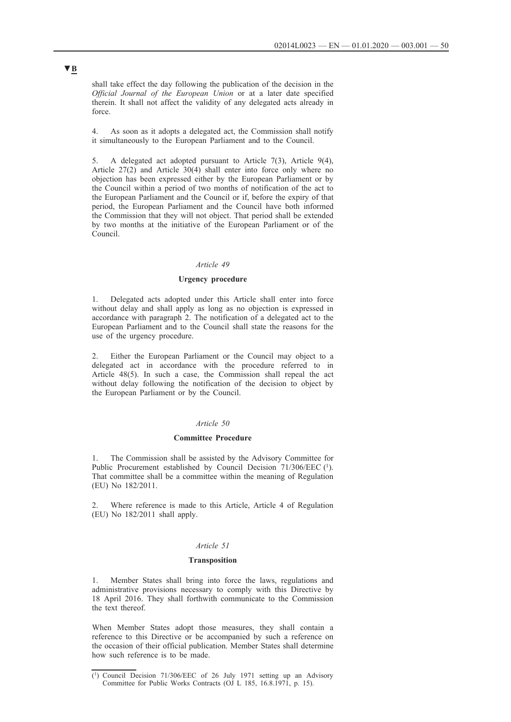<span id="page-49-0"></span>shall take effect the day following the publication of the decision in the *Official Journal of the European Union* or at a later date specified therein. It shall not affect the validity of any delegated acts already in force.

4. As soon as it adopts a delegated act, the Commission shall notify it simultaneously to the European Parliament and to the Council.

5. A delegated act adopted pursuant to Article 7(3), Article 9(4), Article 27(2) and Article 30(4) shall enter into force only where no objection has been expressed either by the European Parliament or by the Council within a period of two months of notification of the act to the European Parliament and the Council or if, before the expiry of that period, the European Parliament and the Council have both informed the Commission that they will not object. That period shall be extended by two months at the initiative of the European Parliament or of the Council.

### *Article 49*

## **Urgency procedure**

1. Delegated acts adopted under this Article shall enter into force without delay and shall apply as long as no objection is expressed in accordance with paragraph 2. The notification of a delegated act to the European Parliament and to the Council shall state the reasons for the use of the urgency procedure.

Either the European Parliament or the Council may object to a delegated act in accordance with the procedure referred to in Article 48(5). In such a case, the Commission shall repeal the act without delay following the notification of the decision to object by the European Parliament or by the Council.

#### *Article 50*

#### **Committee Procedure**

1. The Commission shall be assisted by the Advisory Committee for Public Procurement established by Council Decision 71/306/EEC (1). That committee shall be a committee within the meaning of Regulation (EU) No 182/2011.

2. Where reference is made to this Article, Article 4 of Regulation (EU) No 182/2011 shall apply.

#### *Article 51*

## **Transposition**

1. Member States shall bring into force the laws, regulations and administrative provisions necessary to comply with this Directive by 18 April 2016. They shall forthwith communicate to the Commission the text thereof.

When Member States adopt those measures, they shall contain a reference to this Directive or be accompanied by such a reference on the occasion of their official publication. Member States shall determine how such reference is to be made.

<sup>(1)</sup> Council Decision 71/306/EEC of 26 July 1971 setting up an Advisory Committee for Public Works Contracts (OJ L 185, 16.8.1971, p. 15).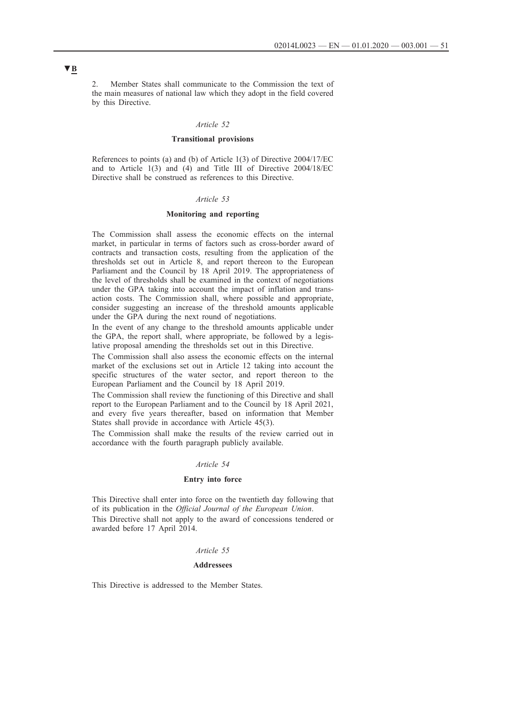<span id="page-50-0"></span>2. Member States shall communicate to the Commission the text of the main measures of national law which they adopt in the field covered by this Directive.

#### *Article 52*

#### **Transitional provisions**

References to points (a) and (b) of Article 1(3) of Directive 2004/17/EC and to Article 1(3) and (4) and Title III of Directive 2004/18/EC Directive shall be construed as references to this Directive.

### *Article 53*

## **Monitoring and reporting**

The Commission shall assess the economic effects on the internal market, in particular in terms of factors such as cross-border award of contracts and transaction costs, resulting from the application of the thresholds set out in Article 8, and report thereon to the European Parliament and the Council by 18 April 2019. The appropriateness of the level of thresholds shall be examined in the context of negotiations under the GPA taking into account the impact of inflation and transaction costs. The Commission shall, where possible and appropriate, consider suggesting an increase of the threshold amounts applicable under the GPA during the next round of negotiations.

In the event of any change to the threshold amounts applicable under the GPA, the report shall, where appropriate, be followed by a legislative proposal amending the thresholds set out in this Directive.

The Commission shall also assess the economic effects on the internal market of the exclusions set out in Article 12 taking into account the specific structures of the water sector, and report thereon to the European Parliament and the Council by 18 April 2019.

The Commission shall review the functioning of this Directive and shall report to the European Parliament and to the Council by 18 April 2021, and every five years thereafter, based on information that Member States shall provide in accordance with Article 45(3).

The Commission shall make the results of the review carried out in accordance with the fourth paragraph publicly available.

### *Article 54*

#### **Entry into force**

This Directive shall enter into force on the twentieth day following that of its publication in the *Official Journal of the European Union*. This Directive shall not apply to the award of concessions tendered or

awarded before 17 April 2014.

### *Article 55*

#### **Addressees**

This Directive is addressed to the Member States.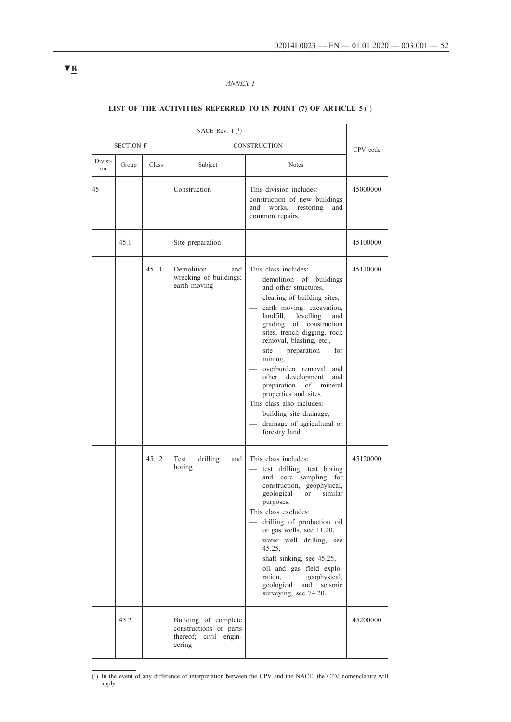# *ANNEX I*

# <span id="page-51-0"></span>LIST OF THE ACTIVITIES REFERRED TO IN POINT (7) OF ARTICLE 5<sup>(1)</sup>

| NACE Rev. $1(1)$ |                  |       |                                                                                   |                                                                                                                                                                                                                                                                                                                                                                                                                                                                                                                              |          |
|------------------|------------------|-------|-----------------------------------------------------------------------------------|------------------------------------------------------------------------------------------------------------------------------------------------------------------------------------------------------------------------------------------------------------------------------------------------------------------------------------------------------------------------------------------------------------------------------------------------------------------------------------------------------------------------------|----------|
|                  | <b>SECTION F</b> |       |                                                                                   | <b>CONSTRUCTION</b>                                                                                                                                                                                                                                                                                                                                                                                                                                                                                                          | CPV code |
| Divisi-<br>on    | Group            | Class | Subject                                                                           | <b>Notes</b>                                                                                                                                                                                                                                                                                                                                                                                                                                                                                                                 |          |
| 45               |                  |       | Construction                                                                      | This division includes:<br>construction of new buildings<br>works, restoring<br>and<br>and<br>common repairs.                                                                                                                                                                                                                                                                                                                                                                                                                | 45000000 |
|                  | 45.1             |       | Site preparation                                                                  |                                                                                                                                                                                                                                                                                                                                                                                                                                                                                                                              | 45100000 |
|                  |                  | 45.11 | Demolition<br>and<br>wrecking of buildings;<br>earth moving                       | This class includes:<br>demolition of buildings<br>and other structures,<br>clearing of building sites,<br>earth moving: excavation,<br>landfill,<br>levelling<br>and<br>grading<br>of construction<br>sites, trench digging, rock<br>removal, blasting, etc.,<br>site<br>preparation<br>for<br>mining,<br>overburden removal<br>and<br>other development<br>and<br>preparation of mineral<br>properties and sites.<br>This class also includes:<br>building site drainage,<br>drainage of agricultural or<br>forestry land. | 45110000 |
|                  |                  | 45.12 | Test<br>drilling<br>and<br>boring                                                 | This class includes:<br>test drilling, test boring<br>core sampling<br>and<br>for<br>construction, geophysical,<br>geological<br>similar<br>or<br>purposes.<br>This class excludes:<br>drilling of production oil<br>or gas wells, see 11.20,<br>water well drilling, see<br>45.25,<br>shaft sinking, see 45.25,<br>oil and gas field explo-<br>geophysical,<br>ration,<br>geological<br>and<br>seismic<br>surveying, see 74.20.                                                                                             | 45120000 |
|                  | 45.2             |       | Building of complete<br>constructions or parts<br>thereof; civil engin-<br>eering |                                                                                                                                                                                                                                                                                                                                                                                                                                                                                                                              | 45200000 |

<sup>(1)</sup> In the event of any difference of interpretation between the CPV and the NACE, the CPV nomenclature will apply.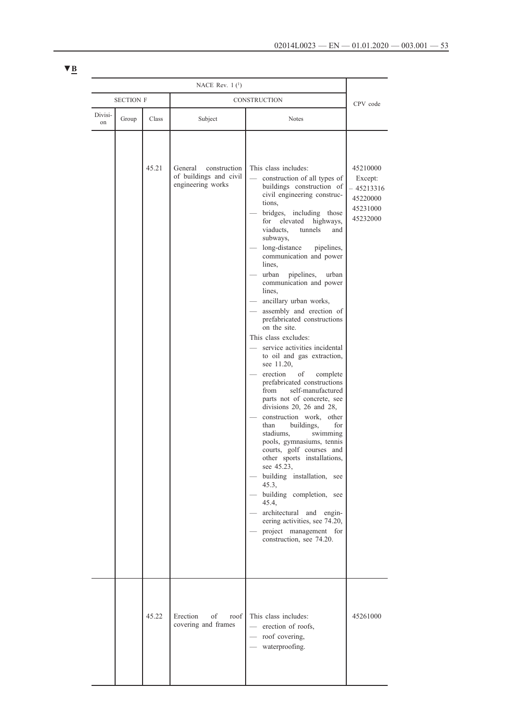| NACE Rev. $1(1)$ |                  |       |                                                                        |                                                                                                                                                                                                                                                                                                                                                                                                                                                                                                                                                                                                                                                                                                                                                                                                                                                                                                                                                                                                                                                                                                                                         |                                                                     |
|------------------|------------------|-------|------------------------------------------------------------------------|-----------------------------------------------------------------------------------------------------------------------------------------------------------------------------------------------------------------------------------------------------------------------------------------------------------------------------------------------------------------------------------------------------------------------------------------------------------------------------------------------------------------------------------------------------------------------------------------------------------------------------------------------------------------------------------------------------------------------------------------------------------------------------------------------------------------------------------------------------------------------------------------------------------------------------------------------------------------------------------------------------------------------------------------------------------------------------------------------------------------------------------------|---------------------------------------------------------------------|
|                  | <b>SECTION F</b> |       |                                                                        | CONSTRUCTION                                                                                                                                                                                                                                                                                                                                                                                                                                                                                                                                                                                                                                                                                                                                                                                                                                                                                                                                                                                                                                                                                                                            | CPV code                                                            |
| Divisi-<br>on    | Group            | Class | Subject                                                                | Notes                                                                                                                                                                                                                                                                                                                                                                                                                                                                                                                                                                                                                                                                                                                                                                                                                                                                                                                                                                                                                                                                                                                                   |                                                                     |
|                  |                  | 45.21 | General<br>construction<br>of buildings and civil<br>engineering works | This class includes:<br>construction of all types of<br>buildings construction of<br>civil engineering construc-<br>tions,<br>bridges, including those<br>elevated<br>for<br>highways,<br>viaducts.<br>tunnels<br>and<br>subways,<br>long-distance<br>pipelines,<br>communication and power<br>lines.<br>urban<br>pipelines,<br>urban<br>communication and power<br>lines,<br>ancillary urban works,<br>assembly and erection of<br>prefabricated constructions<br>on the site.<br>This class excludes:<br>service activities incidental<br>to oil and gas extraction,<br>see 11.20,<br>erection<br>of<br>complete<br>prefabricated constructions<br>from<br>self-manufactured<br>parts not of concrete, see<br>divisions $20$ , $26$ and $28$ ,<br>construction work, other<br>than<br>buildings,<br>for<br>swimming<br>stadiums.<br>pools, gymnasiums, tennis<br>courts, golf courses and<br>other sports installations,<br>see 45.23,<br>building installation, see<br>45.3,<br>building completion, see<br>45.4,<br>architectural and engin-<br>eering activities, see 74.20,<br>project management for<br>construction, see 74.20. | 45210000<br>Except:<br>45213316<br>45220000<br>45231000<br>45232000 |
|                  |                  | 45.22 | Erection<br>of<br>roof<br>covering and frames                          | This class includes:<br>- erection of roofs,<br>- roof covering,<br>- waterproofing.                                                                                                                                                                                                                                                                                                                                                                                                                                                                                                                                                                                                                                                                                                                                                                                                                                                                                                                                                                                                                                                    | 45261000                                                            |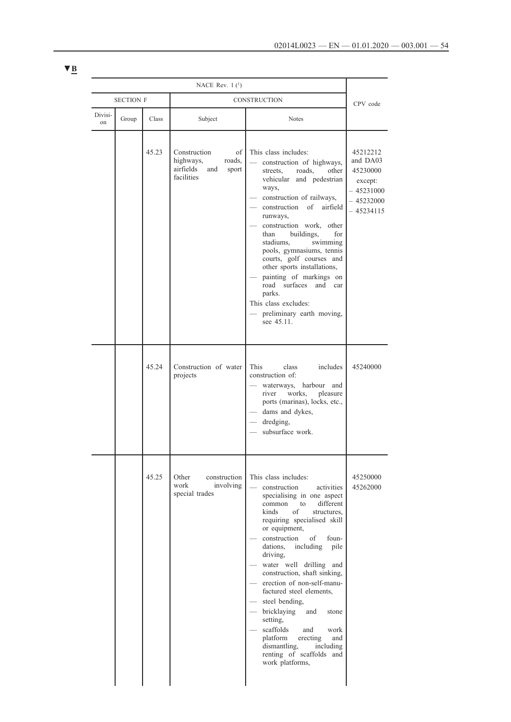| NACE Rev. $1(1)$ |                  |       |                                                                                      |                                                                                                                                                                                                                                                                                                                                                                                                                                                                                                                                                                                                  |                                                                                        |
|------------------|------------------|-------|--------------------------------------------------------------------------------------|--------------------------------------------------------------------------------------------------------------------------------------------------------------------------------------------------------------------------------------------------------------------------------------------------------------------------------------------------------------------------------------------------------------------------------------------------------------------------------------------------------------------------------------------------------------------------------------------------|----------------------------------------------------------------------------------------|
|                  | <b>SECTION F</b> |       | CONSTRUCTION                                                                         |                                                                                                                                                                                                                                                                                                                                                                                                                                                                                                                                                                                                  | CPV code                                                                               |
| Divisi-<br>on    | Group            | Class | Subject                                                                              | <b>Notes</b>                                                                                                                                                                                                                                                                                                                                                                                                                                                                                                                                                                                     |                                                                                        |
|                  |                  | 45.23 | Construction<br>of<br>highways,<br>roads,<br>airfields<br>and<br>sport<br>facilities | This class includes:<br>construction of highways,<br>streets.<br>roads,<br>other<br>and pedestrian<br>vehicular<br>ways,<br>construction of railways,<br>construction<br>of<br>airfield<br>runways,<br>construction work, other<br>buildings,<br>than<br>for<br>stadiums.<br>swimming<br>pools, gymnasiums, tennis<br>courts, golf courses and<br>other sports installations,<br>painting of markings on<br>road surfaces<br>and<br>car<br>parks.<br>This class excludes:<br>preliminary earth moving,<br>see 45.11.                                                                             | 45212212<br>and DA03<br>45230000<br>except:<br>$-45231000$<br>- 45232000<br>- 45234115 |
|                  |                  | 45.24 | Construction of water<br>projects                                                    | This<br>class<br>includes<br>construction of:<br>waterways, harbour and<br>works,<br>pleasure<br>river<br>ports (marinas), locks, etc.,<br>dams and dykes,<br>dredging,<br>subsurface work.                                                                                                                                                                                                                                                                                                                                                                                                      | 45240000                                                                               |
|                  |                  | 45.25 | Other<br>construction<br>work<br>involving<br>special trades                         | This class includes:<br>construction<br>activities<br>specialising in one aspect<br>different<br>common<br>to<br>kinds<br>of<br>structures.<br>requiring specialised skill<br>or equipment,<br>construction<br>of<br>foun-<br>including<br>dations.<br>pile<br>driving,<br>water well drilling and<br>construction, shaft sinking,<br>erection of non-self-manu-<br>factured steel elements,<br>steel bending,<br>bricklaying<br>and<br>stone<br>setting,<br>scaffolds<br>work<br>and<br>platform<br>erecting<br>and<br>dismantling.<br>including<br>renting of scaffolds and<br>work platforms, | 45250000<br>45262000                                                                   |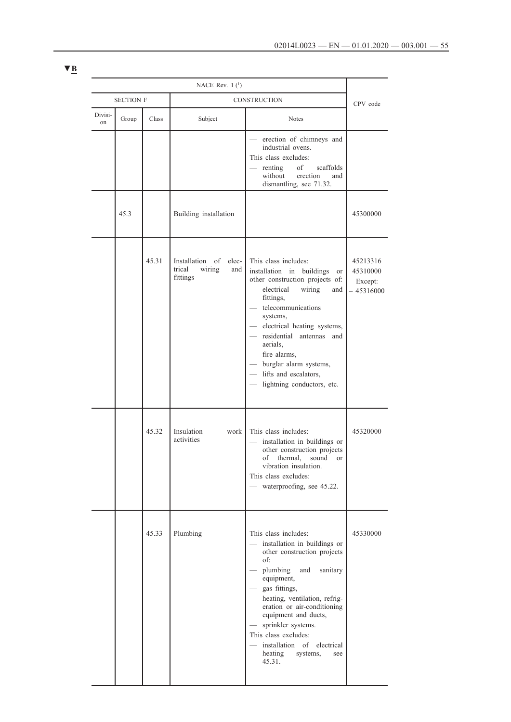|               | NACE Rev. $1(1)$ |       |                                                                    |                                                                                                                                                                                                                                                                                                                                                                                                      |                                                |
|---------------|------------------|-------|--------------------------------------------------------------------|------------------------------------------------------------------------------------------------------------------------------------------------------------------------------------------------------------------------------------------------------------------------------------------------------------------------------------------------------------------------------------------------------|------------------------------------------------|
|               | <b>SECTION F</b> |       | CONSTRUCTION                                                       |                                                                                                                                                                                                                                                                                                                                                                                                      | CPV code                                       |
| Divisi-<br>on | Group            | Class | Subject                                                            | <b>Notes</b>                                                                                                                                                                                                                                                                                                                                                                                         |                                                |
|               |                  |       |                                                                    | erection of chimneys and<br>industrial ovens.<br>This class excludes:<br>of<br>scaffolds<br>renting<br>without<br>erection<br>and<br>dismantling, see 71.32.                                                                                                                                                                                                                                         |                                                |
|               | 45.3             |       | Building installation                                              |                                                                                                                                                                                                                                                                                                                                                                                                      | 45300000                                       |
|               |                  | 45.31 | Installation<br>of<br>elec-<br>trical<br>wiring<br>and<br>fittings | This class includes:<br>installation in buildings<br><b>or</b><br>other construction projects of:<br>- electrical<br>wiring<br>and<br>fittings,<br>telecommunications<br>systems,<br>- electrical heating systems,<br>- residential antennas<br>and<br>aerials.<br>- fire alarms,<br>- burglar alarm systems,<br>- lifts and escalators,<br>lightning conductors, etc.<br>$\frac{1}{2}$              | 45213316<br>45310000<br>Except:<br>$-45316000$ |
|               |                  | 45.32 | Insulation<br>work<br>activities                                   | This class includes:<br>installation in buildings or<br>other construction projects<br>of thermal, sound or<br>vibration insulation.<br>This class excludes:<br>— waterproofing, see 45.22.                                                                                                                                                                                                          | 45320000                                       |
|               |                  | 45.33 | Plumbing                                                           | This class includes:<br>installation in buildings or<br>other construction projects<br>of:<br>plumbing<br>and<br>sanitary<br>equipment,<br>- gas fittings,<br>- heating, ventilation, refrig-<br>eration or air-conditioning<br>equipment and ducts,<br>sprinkler systems.<br>$\overline{\phantom{m}}$<br>This class excludes:<br>installation of electrical<br>heating<br>systems,<br>see<br>45.31. | 45330000                                       |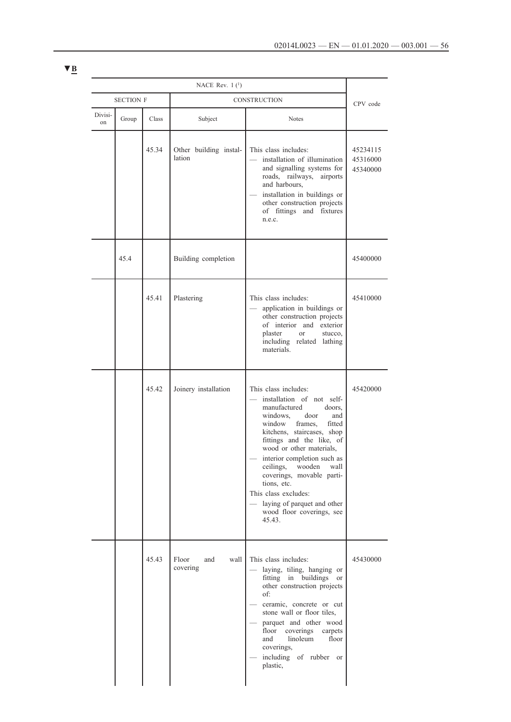| NACE Rev. $1(1)$ |                  |              |                                  |                                                                                                                                                                                                                                                                                                                                                                                                                                                    |                                  |
|------------------|------------------|--------------|----------------------------------|----------------------------------------------------------------------------------------------------------------------------------------------------------------------------------------------------------------------------------------------------------------------------------------------------------------------------------------------------------------------------------------------------------------------------------------------------|----------------------------------|
|                  | <b>SECTION F</b> | CONSTRUCTION |                                  |                                                                                                                                                                                                                                                                                                                                                                                                                                                    | CPV code                         |
| Divisi-<br>on    | Group            | Class        | Subject                          | Notes                                                                                                                                                                                                                                                                                                                                                                                                                                              |                                  |
|                  |                  | 45.34        | Other building instal-<br>lation | This class includes:<br>installation of illumination<br>and signalling systems for<br>roads, railways,<br>airports<br>and harbours,<br>installation in buildings or<br>other construction projects<br>of fittings and fixtures<br>n.e.c.                                                                                                                                                                                                           | 45234115<br>45316000<br>45340000 |
|                  | 45.4             |              | Building completion              |                                                                                                                                                                                                                                                                                                                                                                                                                                                    | 45400000                         |
|                  |                  | 45.41        | Plastering                       | This class includes:<br>application in buildings or<br>other construction projects<br>of interior and exterior<br>plaster<br><sub>or</sub><br>stucco.<br>including related lathing<br>materials.                                                                                                                                                                                                                                                   | 45410000                         |
|                  |                  | 45.42        | Joinery installation             | This class includes:<br>installation of not self-<br>manufactured<br>doors.<br>windows.<br>door<br>and<br>window frames,<br>fitted<br>kitchens, staircases, shop<br>fittings and the like, of<br>wood or other materials,<br>interior completion such as<br>ceilings,<br>wooden<br>wall<br>coverings, movable parti-<br>tions, etc.<br>This class excludes:<br>laying of parquet and other<br>$\frac{1}{2}$<br>wood floor coverings, see<br>45.43. | 45420000                         |
|                  |                  | 45.43        | Floor<br>and<br>wall<br>covering | This class includes:<br>laying, tiling, hanging or<br>fitting in buildings or<br>other construction projects<br>of:<br>ceramic, concrete or cut<br>stone wall or floor tiles,<br>parquet and other wood<br>floor<br>coverings<br>carpets<br>linoleum<br>floor<br>and<br>coverings,<br>including of rubber<br><b>or</b><br>plastic,                                                                                                                 | 45430000                         |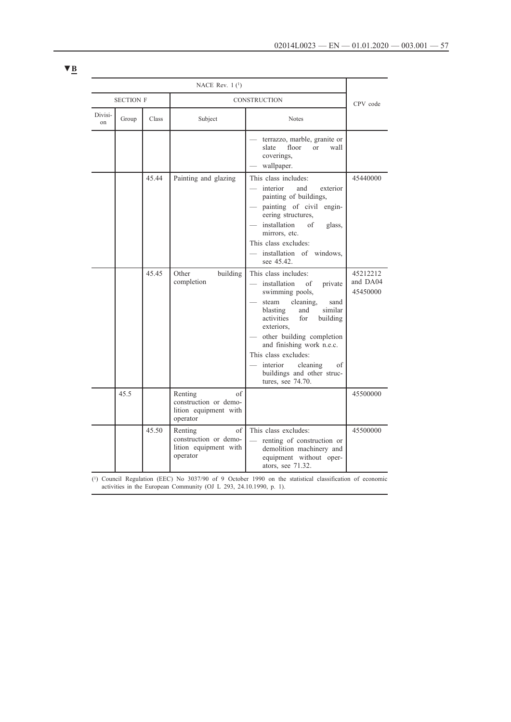|                          |       |       | NACE Rev. $1(1)$                                                                             |                                                                                                                                                                                                                                                                                                                                                     |                                  |  |
|--------------------------|-------|-------|----------------------------------------------------------------------------------------------|-----------------------------------------------------------------------------------------------------------------------------------------------------------------------------------------------------------------------------------------------------------------------------------------------------------------------------------------------------|----------------------------------|--|
| <b>SECTION F</b>         |       |       | CONSTRUCTION                                                                                 |                                                                                                                                                                                                                                                                                                                                                     | CPV code                         |  |
| Divisi-<br><sub>on</sub> | Group | Class | Subject                                                                                      | <b>Notes</b>                                                                                                                                                                                                                                                                                                                                        |                                  |  |
|                          |       |       |                                                                                              | terrazzo, marble, granite or<br>floor<br>slate<br>$\alpha$<br>wall<br>coverings,<br>wallpaper.                                                                                                                                                                                                                                                      |                                  |  |
|                          |       | 45.44 | Painting and glazing                                                                         | This class includes:<br>$\equiv$<br>interior<br>and<br>exterior<br>painting of buildings,<br>painting of civil engin-<br>eering structures,<br>installation<br>of<br>glass,<br>mirrors, etc.<br>This class excludes:<br>- installation of windows,<br>see 45.42.                                                                                    | 45440000                         |  |
|                          |       | 45.45 | Other<br>building<br>completion                                                              | This class includes:<br>installation<br>of<br>private<br>swimming pools,<br>steam cleaning.<br>sand<br>similar<br>blasting<br>and<br>activities<br>for<br>building<br>exteriors,<br>other building completion<br>and finishing work n.e.c.<br>This class excludes:<br>cleaning<br>interior<br>οf<br>buildings and other struc-<br>tures, see 74.70. | 45212212<br>and DA04<br>45450000 |  |
|                          | 45.5  |       | Renting<br>of<br>construction or demo-<br>lition equipment with<br>operator                  |                                                                                                                                                                                                                                                                                                                                                     | 45500000                         |  |
|                          |       | 45.50 | $% \overline{a}$ of<br>Renting<br>construction or demo-<br>lition equipment with<br>operator | This class excludes:<br>renting of construction or<br>demolition machinery and<br>equipment without oper-<br>ators, see 71.32.                                                                                                                                                                                                                      | 45500000                         |  |

(1) Council Regulation (EEC) No 3037/90 of 9 October 1990 on the statistical classification of economic activities in the European Community (OJ L 293, 24.10.1990, p. 1).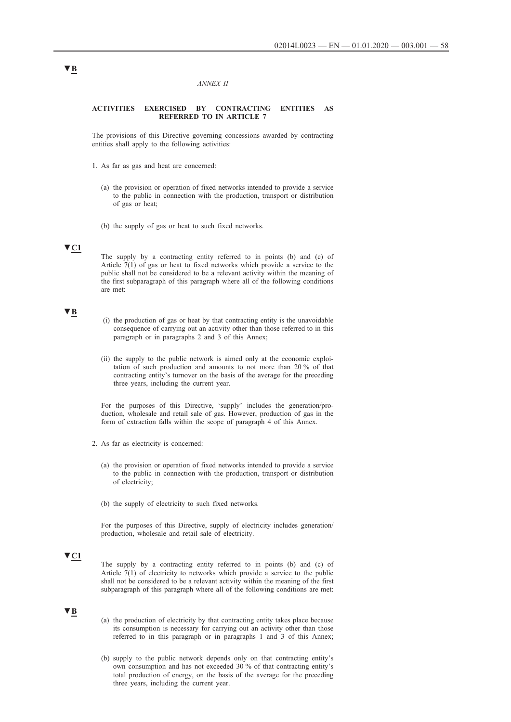#### *ANNEX II*

### <span id="page-57-0"></span>**ACTIVITIES EXERCISED BY CONTRACTING ENTITIES AS REFERRED TO IN ARTICLE 7**

The provisions of this Directive governing concessions awarded by contracting entities shall apply to the following activities:

- 1. As far as gas and heat are concerned:
	- (a) the provision or operation of fixed networks intended to provide a service to the public in connection with the production, transport or distribution of gas or heat;
	- (b) the supply of gas or heat to such fixed networks.

## **▼C1**

The supply by a contracting entity referred to in points (b) and (c) of Article 7(1) of gas or heat to fixed networks which provide a service to the public shall not be considered to be a relevant activity within the meaning of the first subparagraph of this paragraph where all of the following conditions are met:

## **▼B**

- (i) the production of gas or heat by that contracting entity is the unavoidable consequence of carrying out an activity other than those referred to in this paragraph or in paragraphs 2 and 3 of this Annex;
- (ii) the supply to the public network is aimed only at the economic exploitation of such production and amounts to not more than 20 % of that contracting entity's turnover on the basis of the average for the preceding three years, including the current year.

For the purposes of this Directive, 'supply' includes the generation/production, wholesale and retail sale of gas. However, production of gas in the form of extraction falls within the scope of paragraph 4 of this Annex.

- 2. As far as electricity is concerned:
	- (a) the provision or operation of fixed networks intended to provide a service to the public in connection with the production, transport or distribution of electricity;
	- (b) the supply of electricity to such fixed networks.

For the purposes of this Directive, supply of electricity includes generation/ production, wholesale and retail sale of electricity.

## **▼C1**

The supply by a contracting entity referred to in points (b) and (c) of Article 7(1) of electricity to networks which provide a service to the public shall not be considered to be a relevant activity within the meaning of the first subparagraph of this paragraph where all of the following conditions are met:

## **▼B**

- (a) the production of electricity by that contracting entity takes place because its consumption is necessary for carrying out an activity other than those referred to in this paragraph or in paragraphs 1 and 3 of this Annex;
- (b) supply to the public network depends only on that contracting entity's own consumption and has not exceeded 30 % of that contracting entity's total production of energy, on the basis of the average for the preceding three years, including the current year.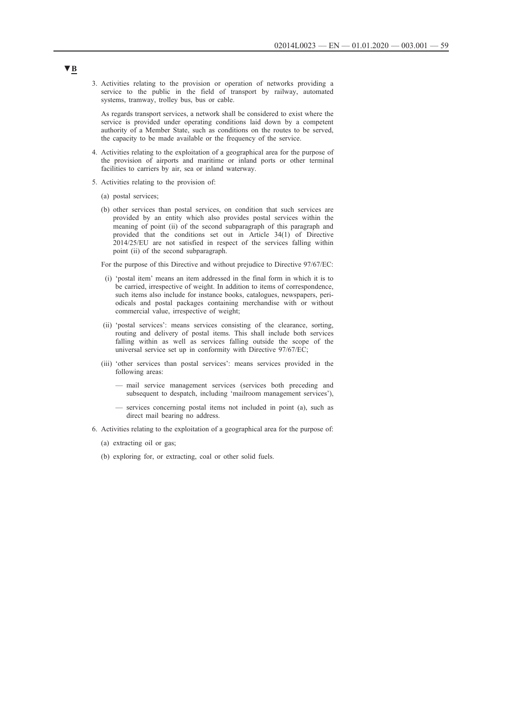3. Activities relating to the provision or operation of networks providing a service to the public in the field of transport by railway, automated systems, tramway, trolley bus, bus or cable.

As regards transport services, a network shall be considered to exist where the service is provided under operating conditions laid down by a competent authority of a Member State, such as conditions on the routes to be served, the capacity to be made available or the frequency of the service.

- 4. Activities relating to the exploitation of a geographical area for the purpose of the provision of airports and maritime or inland ports or other terminal facilities to carriers by air, sea or inland waterway.
- 5. Activities relating to the provision of:
	- (a) postal services;
	- (b) other services than postal services, on condition that such services are provided by an entity which also provides postal services within the meaning of point (ii) of the second subparagraph of this paragraph and provided that the conditions set out in Article 34(1) of Directive 2014/25/EU are not satisfied in respect of the services falling within point (ii) of the second subparagraph.

For the purpose of this Directive and without prejudice to Directive 97/67/EC:

- (i) 'postal item' means an item addressed in the final form in which it is to be carried, irrespective of weight. In addition to items of correspondence, such items also include for instance books, catalogues, newspapers, periodicals and postal packages containing merchandise with or without commercial value, irrespective of weight;
- (ii) 'postal services': means services consisting of the clearance, sorting, routing and delivery of postal items. This shall include both services falling within as well as services falling outside the scope of the universal service set up in conformity with Directive 97/67/EC;
- (iii) 'other services than postal services': means services provided in the following areas:
	- mail service management services (services both preceding and subsequent to despatch, including 'mailroom management services'),
	- services concerning postal items not included in point (a), such as direct mail bearing no address.
- 6. Activities relating to the exploitation of a geographical area for the purpose of:
	- (a) extracting oil or gas;
	- (b) exploring for, or extracting, coal or other solid fuels.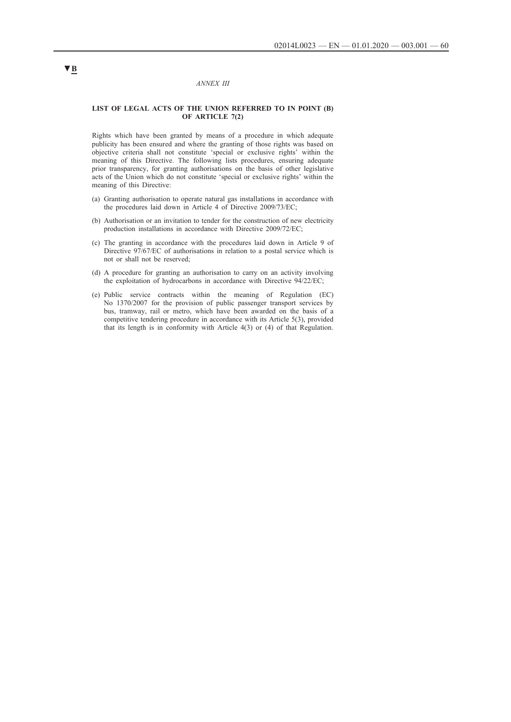#### *ANNEX III*

### <span id="page-59-0"></span>**LIST OF LEGAL ACTS OF THE UNION REFERRED TO IN POINT (B) OF ARTICLE 7(2)**

Rights which have been granted by means of a procedure in which adequate publicity has been ensured and where the granting of those rights was based on objective criteria shall not constitute 'special or exclusive rights' within the meaning of this Directive. The following lists procedures, ensuring adequate prior transparency, for granting authorisations on the basis of other legislative acts of the Union which do not constitute 'special or exclusive rights' within the meaning of this Directive:

- (a) Granting authorisation to operate natural gas installations in accordance with the procedures laid down in Article 4 of Directive 2009/73/EC;
- (b) Authorisation or an invitation to tender for the construction of new electricity production installations in accordance with Directive 2009/72/EC;
- (c) The granting in accordance with the procedures laid down in Article 9 of Directive 97/67/EC of authorisations in relation to a postal service which is not or shall not be reserved;
- (d) A procedure for granting an authorisation to carry on an activity involving the exploitation of hydrocarbons in accordance with Directive 94/22/EC;
- (e) Public service contracts within the meaning of Regulation (EC) No 1370/2007 for the provision of public passenger transport services by bus, tramway, rail or metro, which have been awarded on the basis of a competitive tendering procedure in accordance with its Article 5(3), provided that its length is in conformity with Article 4(3) or (4) of that Regulation.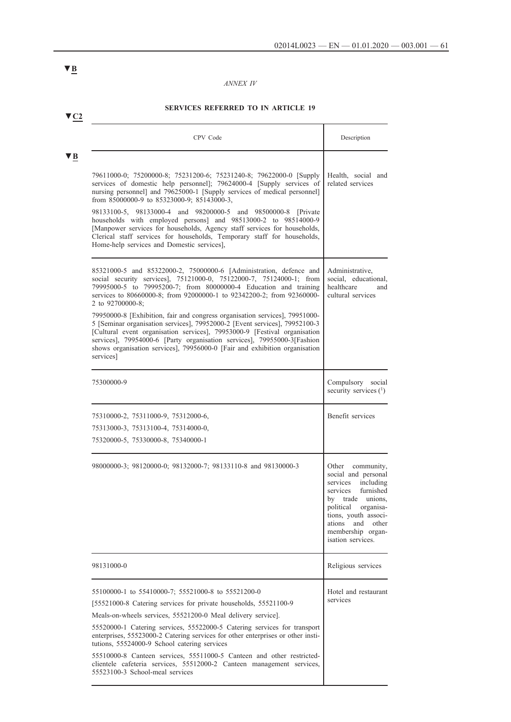## *ANNEX IV*

## **SERVICES REFERRED TO IN ARTICLE 19**

| CPV Code                                                                                                                                                                                                                                                                                                                                                                                                                                                                                                                                                                                                                                                                                                                   | Description                                                                                                                                                                                                                      |
|----------------------------------------------------------------------------------------------------------------------------------------------------------------------------------------------------------------------------------------------------------------------------------------------------------------------------------------------------------------------------------------------------------------------------------------------------------------------------------------------------------------------------------------------------------------------------------------------------------------------------------------------------------------------------------------------------------------------------|----------------------------------------------------------------------------------------------------------------------------------------------------------------------------------------------------------------------------------|
| 79611000-0; 75200000-8; 75231200-6; 75231240-8; 79622000-0 [Supply<br>services of domestic help personnel]; 79624000-4 [Supply services of<br>nursing personnel] and 79625000-1 [Supply services of medical personnel]<br>from 85000000-9 to 85323000-9; 85143000-3,<br>98133100-5, 98133000-4 and 98200000-5 and 98500000-8 [Private<br>households with employed persons] and 98513000-2 to 98514000-9<br>[Manpower services for households, Agency staff services for households,<br>Clerical staff services for households, Temporary staff for households,<br>Home-help services and Domestic services],                                                                                                               | Health, social and<br>related services                                                                                                                                                                                           |
| 85321000-5 and 85322000-2, 75000000-6 [Administration, defence and<br>social security services], 75121000-0, 75122000-7, 75124000-1; from<br>79995000-5 to 79995200-7; from 80000000-4 Education and training<br>services to 80660000-8; from 92000000-1 to 92342200-2; from 92360000-<br>2 to 92700000-8:<br>79950000-8 [Exhibition, fair and congress organisation services], 79951000-<br>5 [Seminar organisation services], 79952000-2 [Event services], 79952100-3<br>[Cultural event organisation services], 79953000-9 [Festival organisation<br>services], 79954000-6 [Party organisation services], 79955000-3[Fashion<br>shows organisation services], 79956000-0 [Fair and exhibition organisation<br>services] | Administrative,<br>social, educational,<br>healthcare<br>and<br>cultural services                                                                                                                                                |
| 75300000-9                                                                                                                                                                                                                                                                                                                                                                                                                                                                                                                                                                                                                                                                                                                 | Compulsory social<br>security services (1)                                                                                                                                                                                       |
| 75310000-2, 75311000-9, 75312000-6,<br>75313000-3, 75313100-4, 75314000-0,<br>75320000-5, 75330000-8, 75340000-1                                                                                                                                                                                                                                                                                                                                                                                                                                                                                                                                                                                                           | Benefit services                                                                                                                                                                                                                 |
| 98000000-3; 98120000-0; 98132000-7; 98133110-8 and 98130000-3                                                                                                                                                                                                                                                                                                                                                                                                                                                                                                                                                                                                                                                              | Other community,<br>social and personal<br>including<br>services<br>furnished<br>services<br>by trade unions,<br>political organisa-<br>tions, youth associ-<br>and<br>ations<br>other<br>membership organ-<br>isation services. |
| 98131000-0                                                                                                                                                                                                                                                                                                                                                                                                                                                                                                                                                                                                                                                                                                                 | Religious services                                                                                                                                                                                                               |
| 55100000-1 to 55410000-7; 55521000-8 to 55521200-0<br>[55521000-8 Catering services for private households, 55521100-9<br>Meals-on-wheels services, 55521200-0 Meal delivery service].<br>55520000-1 Catering services, 55522000-5 Catering services for transport<br>enterprises, 55523000-2 Catering services for other enterprises or other insti-<br>tutions, 55524000-9 School catering services<br>55510000-8 Canteen services, 55511000-5 Canteen and other restricted-<br>clientele cafeteria services, 55512000-2 Canteen management services,<br>55523100-3 School-meal services                                                                                                                                 | Hotel and restaurant<br>services                                                                                                                                                                                                 |

<span id="page-60-0"></span>**▼B**

**▼C2**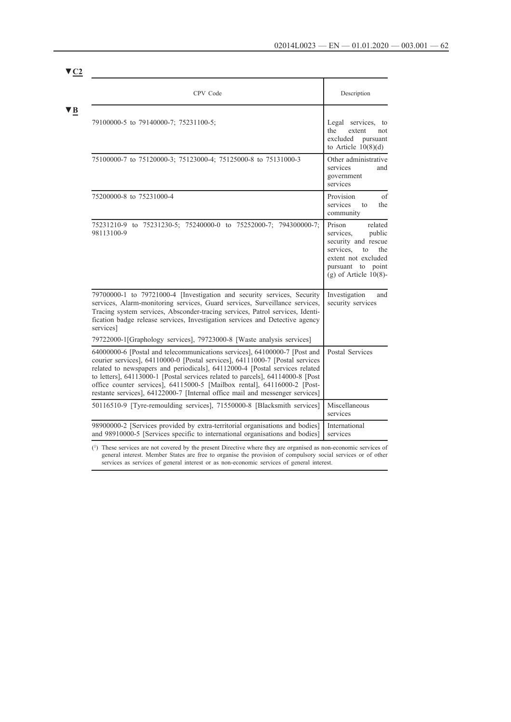| CPV Code                                                                                                                                                                                                                                                                                                                                                                                                                                                                                                                                                         | Description                                                                                                                                                      |
|------------------------------------------------------------------------------------------------------------------------------------------------------------------------------------------------------------------------------------------------------------------------------------------------------------------------------------------------------------------------------------------------------------------------------------------------------------------------------------------------------------------------------------------------------------------|------------------------------------------------------------------------------------------------------------------------------------------------------------------|
| 79100000-5 to 79140000-7; 75231100-5;                                                                                                                                                                                                                                                                                                                                                                                                                                                                                                                            | Legal services, to<br>the<br>extent<br>not<br>excluded pursuant<br>to Article $10(8)(d)$                                                                         |
| 75100000-7 to 75120000-3; 75123000-4; 75125000-8 to 75131000-3                                                                                                                                                                                                                                                                                                                                                                                                                                                                                                   | Other administrative<br>services<br>and<br>government<br>services                                                                                                |
| 75200000-8 to 75231000-4                                                                                                                                                                                                                                                                                                                                                                                                                                                                                                                                         | Provision<br>of<br>services<br>the<br>to<br>community                                                                                                            |
| 75231210-9 to 75231230-5; 75240000-0 to 75252000-7; 794300000-7;<br>98113100-9                                                                                                                                                                                                                                                                                                                                                                                                                                                                                   | Prison<br>related<br>services.<br>public<br>security and rescue<br>services.<br>the<br>to<br>extent not excluded<br>pursuant to point<br>$(g)$ of Article 10(8)- |
| 79700000-1 to 79721000-4 [Investigation and security services, Security<br>services, Alarm-monitoring services, Guard services, Surveillance services,<br>Tracing system services, Absconder-tracing services, Patrol services, Identi-<br>fication badge release services, Investigation services and Detective agency<br>services]                                                                                                                                                                                                                             | Investigation<br>and<br>security services                                                                                                                        |
| 79722000-1[Graphology services], 79723000-8 [Waste analysis services]<br>64000000-6 [Postal and telecommunications services], 64100000-7 [Post and<br>courier services], 64110000-0 [Postal services], 64111000-7 [Postal services]<br>related to newspapers and periodicals], 64112000-4 [Postal services related<br>to letters], 64113000-1 [Postal services related to parcels], 64114000-8 [Post<br>office counter services], 64115000-5 [Mailbox rental], 64116000-2 [Post-<br>restante services], 64122000-7 [Internal office mail and messenger services] | Postal Services                                                                                                                                                  |
| 50116510-9 [Tyre-remoulding services], 71550000-8 [Blacksmith services]                                                                                                                                                                                                                                                                                                                                                                                                                                                                                          | Miscellaneous<br>services                                                                                                                                        |
| 98900000-2 [Services provided by extra-territorial organisations and bodies]                                                                                                                                                                                                                                                                                                                                                                                                                                                                                     | International                                                                                                                                                    |

services as services of general interest or as non-economic services of general interest.

**▼C2**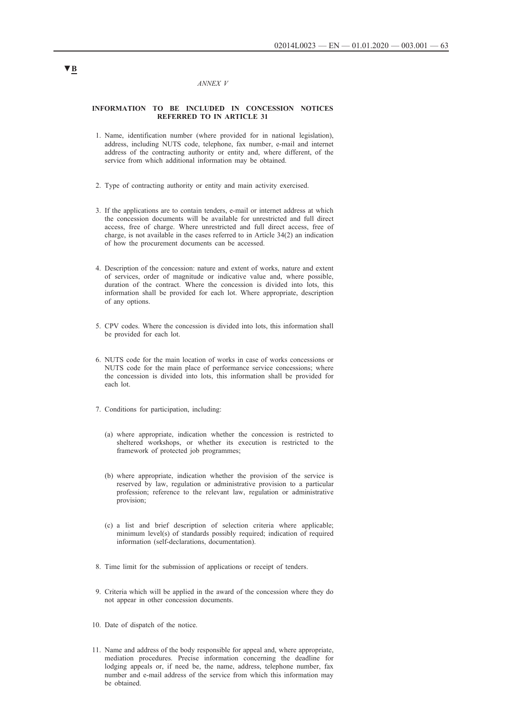#### *ANNEX V*

### <span id="page-62-0"></span>**INFORMATION TO BE INCLUDED IN CONCESSION NOTICES REFERRED TO IN ARTICLE 31**

- 1. Name, identification number (where provided for in national legislation), address, including NUTS code, telephone, fax number, e-mail and internet address of the contracting authority or entity and, where different, of the service from which additional information may be obtained.
- 2. Type of contracting authority or entity and main activity exercised.
- 3. If the applications are to contain tenders, e-mail or internet address at which the concession documents will be available for unrestricted and full direct access, free of charge. Where unrestricted and full direct access, free of charge, is not available in the cases referred to in Article 34(2) an indication of how the procurement documents can be accessed.
- 4. Description of the concession: nature and extent of works, nature and extent of services, order of magnitude or indicative value and, where possible, duration of the contract. Where the concession is divided into lots, this information shall be provided for each lot. Where appropriate, description of any options.
- 5. CPV codes. Where the concession is divided into lots, this information shall be provided for each lot.
- 6. NUTS code for the main location of works in case of works concessions or NUTS code for the main place of performance service concessions; where the concession is divided into lots, this information shall be provided for each lot.
- 7. Conditions for participation, including:
	- (a) where appropriate, indication whether the concession is restricted to sheltered workshops, or whether its execution is restricted to the framework of protected job programmes;
	- (b) where appropriate, indication whether the provision of the service is reserved by law, regulation or administrative provision to a particular profession; reference to the relevant law, regulation or administrative provision;
	- (c) a list and brief description of selection criteria where applicable; minimum level(s) of standards possibly required; indication of required information (self-declarations, documentation).
- 8. Time limit for the submission of applications or receipt of tenders.
- 9. Criteria which will be applied in the award of the concession where they do not appear in other concession documents.
- 10. Date of dispatch of the notice.
- 11. Name and address of the body responsible for appeal and, where appropriate, mediation procedures. Precise information concerning the deadline for lodging appeals or, if need be, the name, address, telephone number, fax number and e-mail address of the service from which this information may be obtained.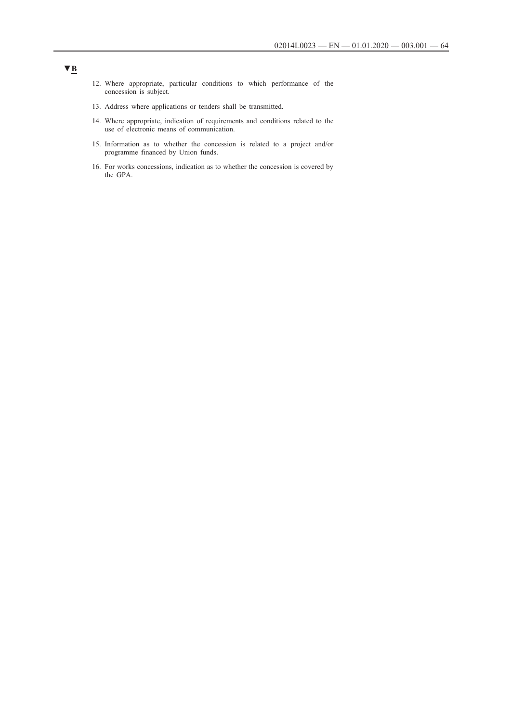- 12. Where appropriate, particular conditions to which performance of the concession is subject.
- 13. Address where applications or tenders shall be transmitted.
- 14. Where appropriate, indication of requirements and conditions related to the use of electronic means of communication.
- 15. Information as to whether the concession is related to a project and/or programme financed by Union funds.
- 16. For works concessions, indication as to whether the concession is covered by the GPA.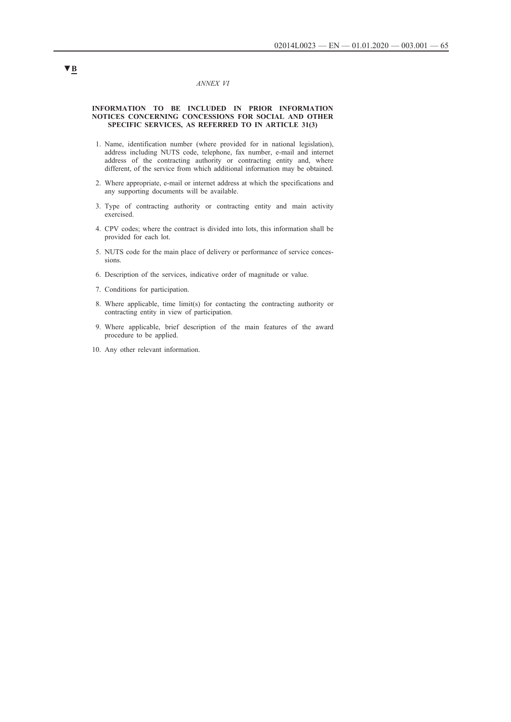### *ANNEX VI*

### <span id="page-64-0"></span>**INFORMATION TO BE INCLUDED IN PRIOR INFORMATION NOTICES CONCERNING CONCESSIONS FOR SOCIAL AND OTHER SPECIFIC SERVICES, AS REFERRED TO IN ARTICLE 31(3)**

- 1. Name, identification number (where provided for in national legislation), address including NUTS code, telephone, fax number, e-mail and internet address of the contracting authority or contracting entity and, where different, of the service from which additional information may be obtained.
- 2. Where appropriate, e-mail or internet address at which the specifications and any supporting documents will be available.
- 3. Type of contracting authority or contracting entity and main activity exercised.
- 4. CPV codes; where the contract is divided into lots, this information shall be provided for each lot.
- 5. NUTS code for the main place of delivery or performance of service concessions.
- 6. Description of the services, indicative order of magnitude or value.
- 7. Conditions for participation.
- 8. Where applicable, time limit(s) for contacting the contracting authority or contracting entity in view of participation.
- 9. Where applicable, brief description of the main features of the award procedure to be applied.
- 10. Any other relevant information.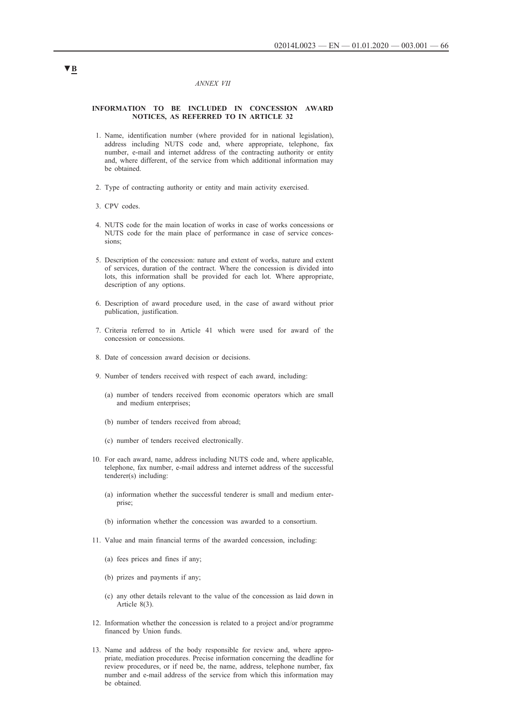#### *ANNEX VII*

### <span id="page-65-0"></span>**INFORMATION TO BE INCLUDED IN CONCESSION AWARD NOTICES, AS REFERRED TO IN ARTICLE 32**

- 1. Name, identification number (where provided for in national legislation), address including NUTS code and, where appropriate, telephone, fax number, e-mail and internet address of the contracting authority or entity and, where different, of the service from which additional information may be obtained.
- 2. Type of contracting authority or entity and main activity exercised.
- 3. CPV codes.
- 4. NUTS code for the main location of works in case of works concessions or NUTS code for the main place of performance in case of service concessions;
- 5. Description of the concession: nature and extent of works, nature and extent of services, duration of the contract. Where the concession is divided into lots, this information shall be provided for each lot. Where appropriate, description of any options.
- 6. Description of award procedure used, in the case of award without prior publication, justification.
- 7. Criteria referred to in Article 41 which were used for award of the concession or concessions.
- 8. Date of concession award decision or decisions.
- 9. Number of tenders received with respect of each award, including:
	- (a) number of tenders received from economic operators which are small and medium enterprises;
	- (b) number of tenders received from abroad;
	- (c) number of tenders received electronically.
- 10. For each award, name, address including NUTS code and, where applicable, telephone, fax number, e-mail address and internet address of the successful tenderer(s) including:
	- (a) information whether the successful tenderer is small and medium enterprise;
	- (b) information whether the concession was awarded to a consortium.
- 11. Value and main financial terms of the awarded concession, including:
	- (a) fees prices and fines if any;
	- (b) prizes and payments if any;
	- (c) any other details relevant to the value of the concession as laid down in Article 8(3).
- 12. Information whether the concession is related to a project and/or programme financed by Union funds.
- 13. Name and address of the body responsible for review and, where appropriate, mediation procedures. Precise information concerning the deadline for review procedures, or if need be, the name, address, telephone number, fax number and e-mail address of the service from which this information may be obtained.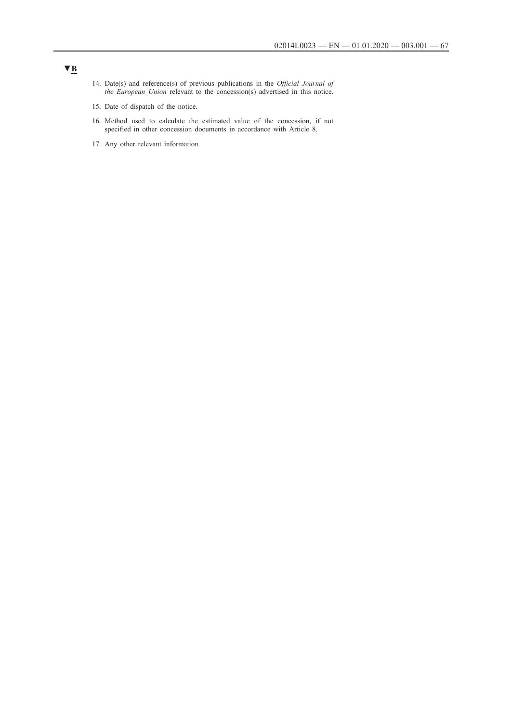- 14. Date(s) and reference(s) of previous publications in the *Official Journal of the European Union* relevant to the concession(s) advertised in this notice.
- 15. Date of dispatch of the notice.
- 16. Method used to calculate the estimated value of the concession, if not specified in other concession documents in accordance with Article 8.
- 17. Any other relevant information.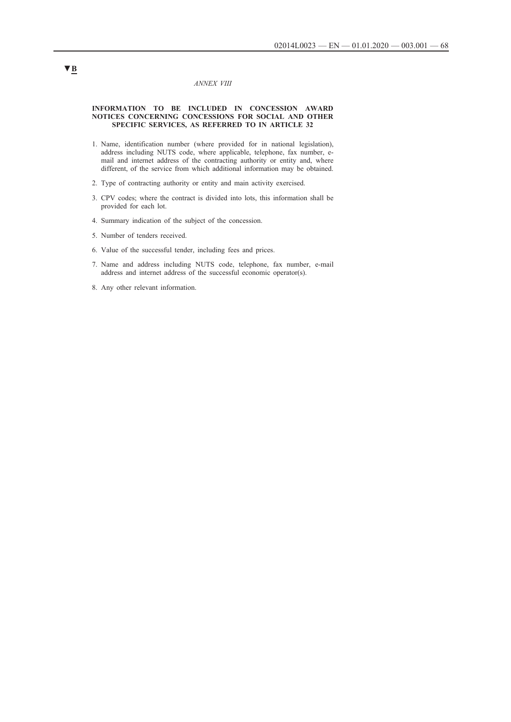### *ANNEX VIII*

### <span id="page-67-0"></span>**INFORMATION TO BE INCLUDED IN CONCESSION AWARD NOTICES CONCERNING CONCESSIONS FOR SOCIAL AND OTHER SPECIFIC SERVICES, AS REFERRED TO IN ARTICLE 32**

- 1. Name, identification number (where provided for in national legislation), address including NUTS code, where applicable, telephone, fax number, email and internet address of the contracting authority or entity and, where different, of the service from which additional information may be obtained.
- 2. Type of contracting authority or entity and main activity exercised.
- 3. CPV codes; where the contract is divided into lots, this information shall be provided for each lot.
- 4. Summary indication of the subject of the concession.
- 5. Number of tenders received.
- 6. Value of the successful tender, including fees and prices.
- 7. Name and address including NUTS code, telephone, fax number, e-mail address and internet address of the successful economic operator(s).
- 8. Any other relevant information.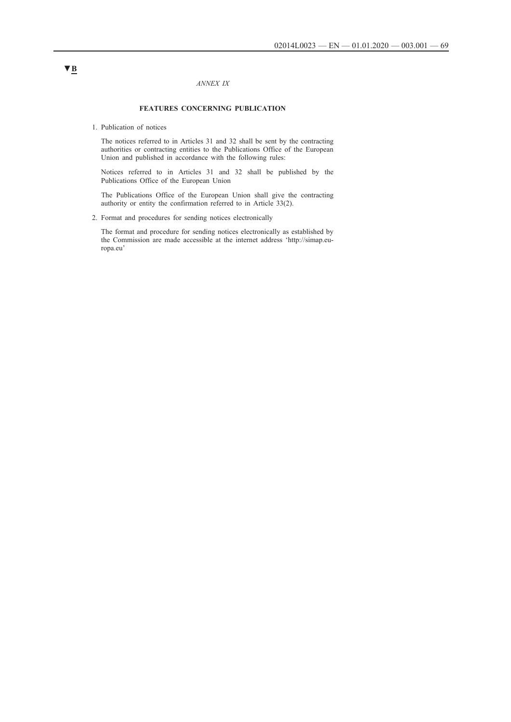### *ANNEX IX*

## **FEATURES CONCERNING PUBLICATION**

<span id="page-68-0"></span>1. Publication of notices

The notices referred to in Articles 31 and 32 shall be sent by the contracting authorities or contracting entities to the Publications Office of the European Union and published in accordance with the following rules:

Notices referred to in Articles 31 and 32 shall be published by the Publications Office of the European Union

The Publications Office of the European Union shall give the contracting authority or entity the confirmation referred to in Article 33(2).

2. Format and procedures for sending notices electronically

The format and procedure for sending notices electronically as established by the Commission are made accessible at the internet address 'http://simap.europa.eu'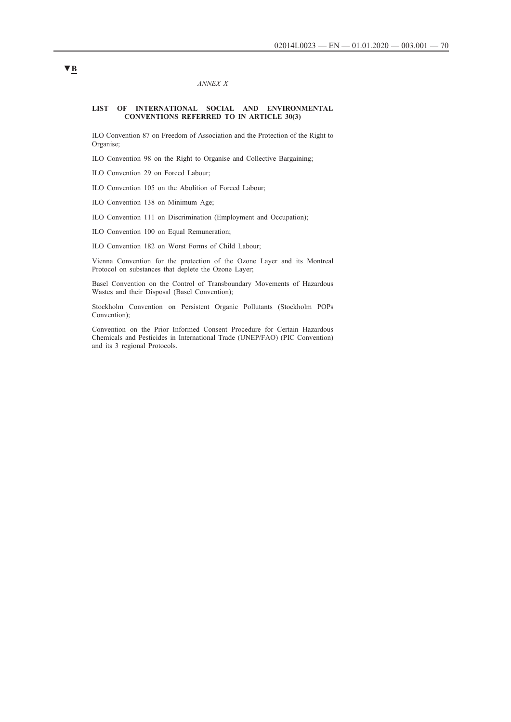### *ANNEX X*

### <span id="page-69-0"></span>**LIST OF INTERNATIONAL SOCIAL AND ENVIRONMENTAL CONVENTIONS REFERRED TO IN ARTICLE 30(3)**

ILO Convention 87 on Freedom of Association and the Protection of the Right to Organise;

ILO Convention 98 on the Right to Organise and Collective Bargaining;

ILO Convention 29 on Forced Labour;

ILO Convention 105 on the Abolition of Forced Labour;

ILO Convention 138 on Minimum Age;

ILO Convention 111 on Discrimination (Employment and Occupation);

ILO Convention 100 on Equal Remuneration;

ILO Convention 182 on Worst Forms of Child Labour;

Vienna Convention for the protection of the Ozone Layer and its Montreal Protocol on substances that deplete the Ozone Layer;

Basel Convention on the Control of Transboundary Movements of Hazardous Wastes and their Disposal (Basel Convention);

Stockholm Convention on Persistent Organic Pollutants (Stockholm POPs Convention);

Convention on the Prior Informed Consent Procedure for Certain Hazardous Chemicals and Pesticides in International Trade (UNEP/FAO) (PIC Convention) and its 3 regional Protocols.